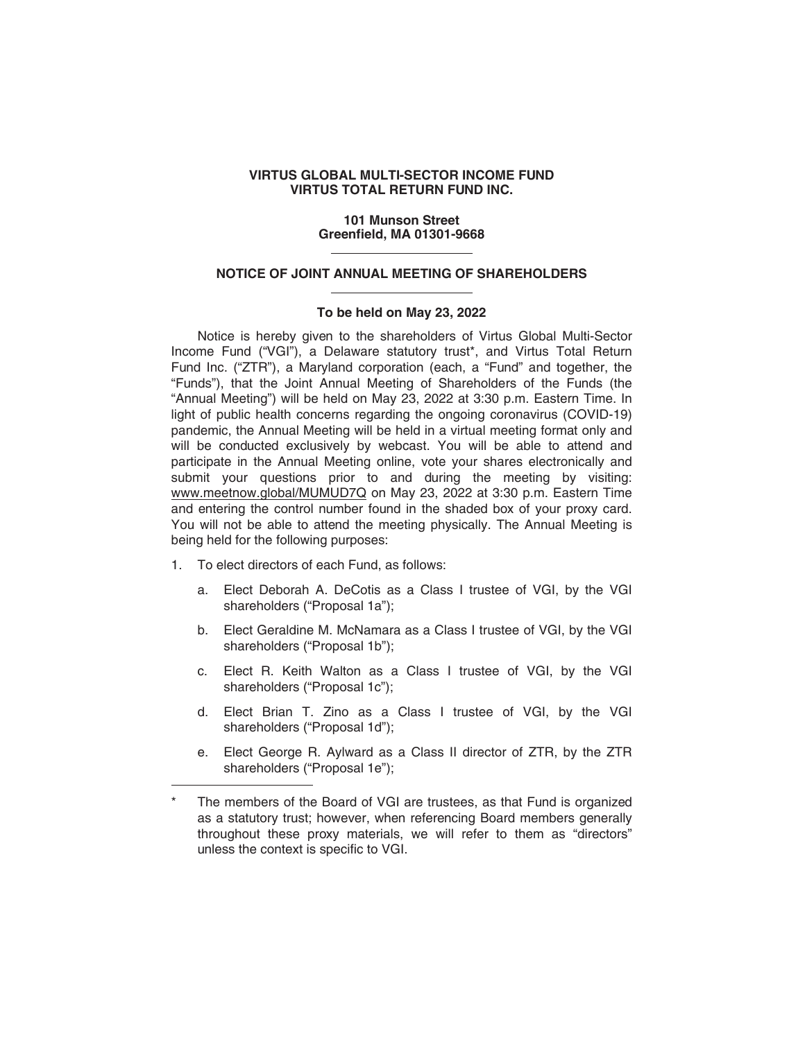### **VIRTUS GLOBAL MULTI-SECTOR INCOME FUND VIRTUS TOTAL RETURN FUND INC.**

#### **101 Munson Street Greenfield, MA 01301-9668**

## **NOTICE OF JOINT ANNUAL MEETING OF SHAREHOLDERS**

## **To be held on May 23, 2022**

Notice is hereby given to the shareholders of Virtus Global Multi-Sector Income Fund ("VGI"), a Delaware statutory trust\*, and Virtus Total Return Fund Inc. ("ZTR"), a Maryland corporation (each, a "Fund" and together, the "Funds"), that the Joint Annual Meeting of Shareholders of the Funds (the "Annual Meeting") will be held on May 23, 2022 at 3:30 p.m. Eastern Time. In light of public health concerns regarding the ongoing coronavirus (COVID-19) pandemic, the Annual Meeting will be held in a virtual meeting format only and will be conducted exclusively by webcast. You will be able to attend and participate in the Annual Meeting online, vote your shares electronically and submit your questions prior to and during the meeting by visiting: www.meetnow.global/MUMUD7Q on May 23, 2022 at 3:30 p.m. Eastern Time and entering the control number found in the shaded box of your proxy card. You will not be able to attend the meeting physically. The Annual Meeting is being held for the following purposes:

- 1. To elect directors of each Fund, as follows:
	- a. Elect Deborah A. DeCotis as a Class I trustee of VGI, by the VGI shareholders ("Proposal 1a"):
	- b. Elect Geraldine M. McNamara as a Class I trustee of VGI, by the VGI shareholders ("Proposal 1b");
	- c. Elect R. Keith Walton as a Class I trustee of VGI, by the VGI shareholders ("Proposal 1c");
	- d. Elect Brian T. Zino as a Class I trustee of VGI, by the VGI shareholders ("Proposal 1d");
	- e. Elect George R. Aylward as a Class II director of ZTR, by the ZTR shareholders ("Proposal 1e");

The members of the Board of VGI are trustees, as that Fund is organized as a statutory trust; however, when referencing Board members generally throughout these proxy materials, we will refer to them as "directors" unless the context is specific to VGI.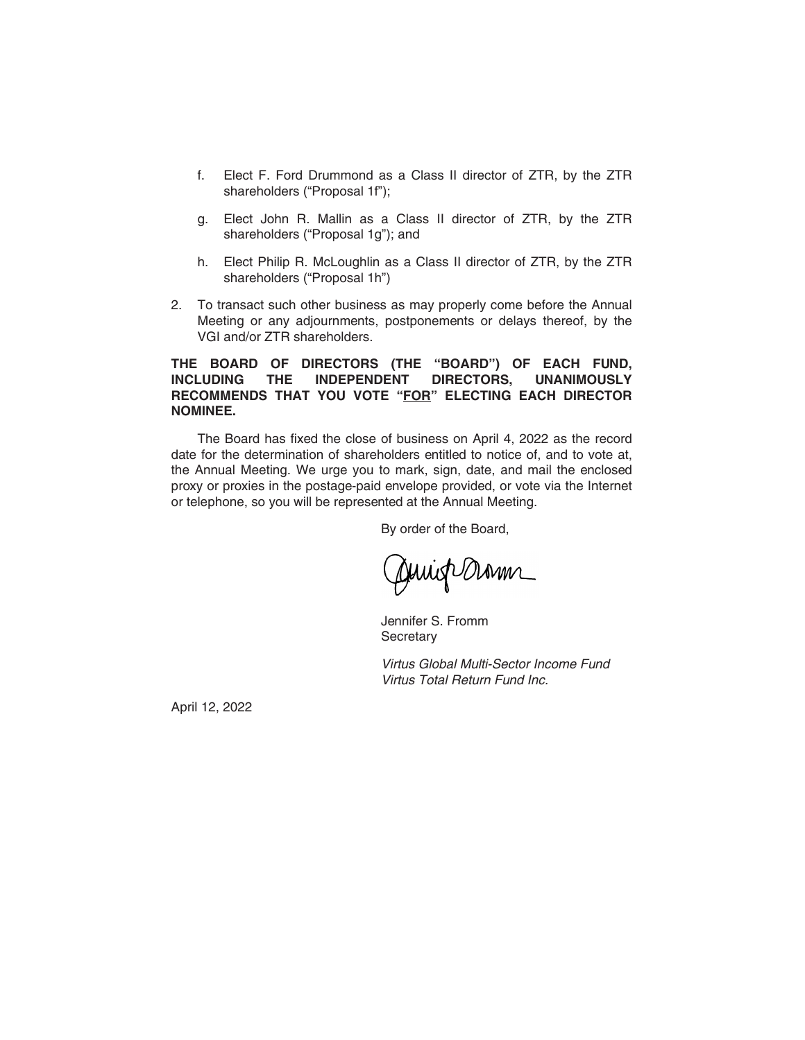- f. Elect F. Ford Drummond as a Class II director of ZTR, by the ZTR shareholders ("Proposal 1f");
- g. Elect John R. Mallin as a Class II director of ZTR, by the ZTR shareholders ("Proposal 1g"); and
- h. Elect Philip R. McLoughlin as a Class II director of ZTR, by the ZTR shareholders ("Proposal 1h")
- 2. To transact such other business as may properly come before the Annual Meeting or any adjournments, postponements or delays thereof, by the VGI and/or ZTR shareholders.

## **THE BOARD OF DIRECTORS (THE "BOARD") OF EACH FUND, INCLUDING THE INDEPENDENT DIRECTORS, UNANIMOUSLY RECOMMENDS THAT YOU VOTE "FOR" ELECTING EACH DIRECTOR NOMINEE.**

The Board has fixed the close of business on April 4, 2022 as the record date for the determination of shareholders entitled to notice of, and to vote at, the Annual Meeting. We urge you to mark, sign, date, and mail the enclosed proxy or proxies in the postage-paid envelope provided, or vote via the Internet or telephone, so you will be represented at the Annual Meeting.

By order of the Board,

Juriop Dram

Jennifer S. Fromm **Secretary** 

*Virtus Global Multi-Sector Income Fund Virtus Total Return Fund Inc.*

April 12, 2022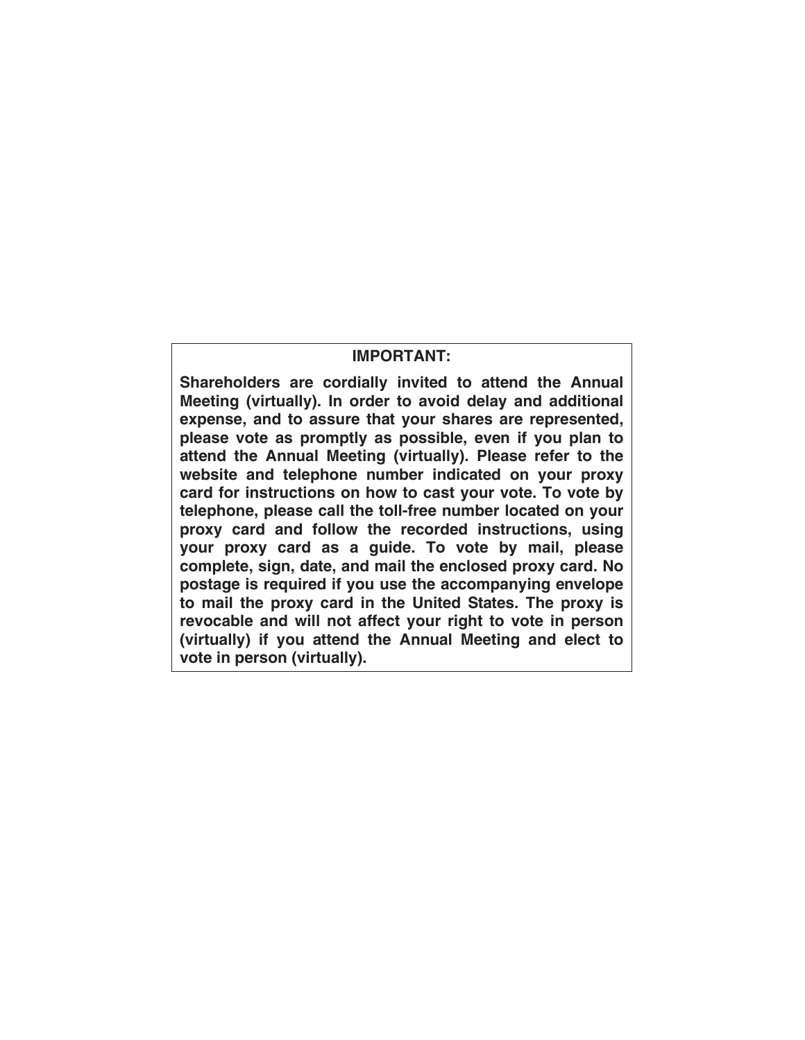# **IMPORTANT:**

**Shareholders are cordially invited to attend the Annual Meeting (virtually). In order to avoid delay and additional expense, and to assure that your shares are represented, please vote as promptly as possible, even if you plan to attend the Annual Meeting (virtually). Please refer to the website and telephone number indicated on your proxy card for instructions on how to cast your vote. To vote by telephone, please call the toll-free number located on your proxy card and follow the recorded instructions, using your proxy card as a guide. To vote by mail, please complete, sign, date, and mail the enclosed proxy card. No postage is required if you use the accompanying envelope to mail the proxy card in the United States. The proxy is revocable and will not affect your right to vote in person (virtually) if you attend the Annual Meeting and elect to vote in person (virtually).**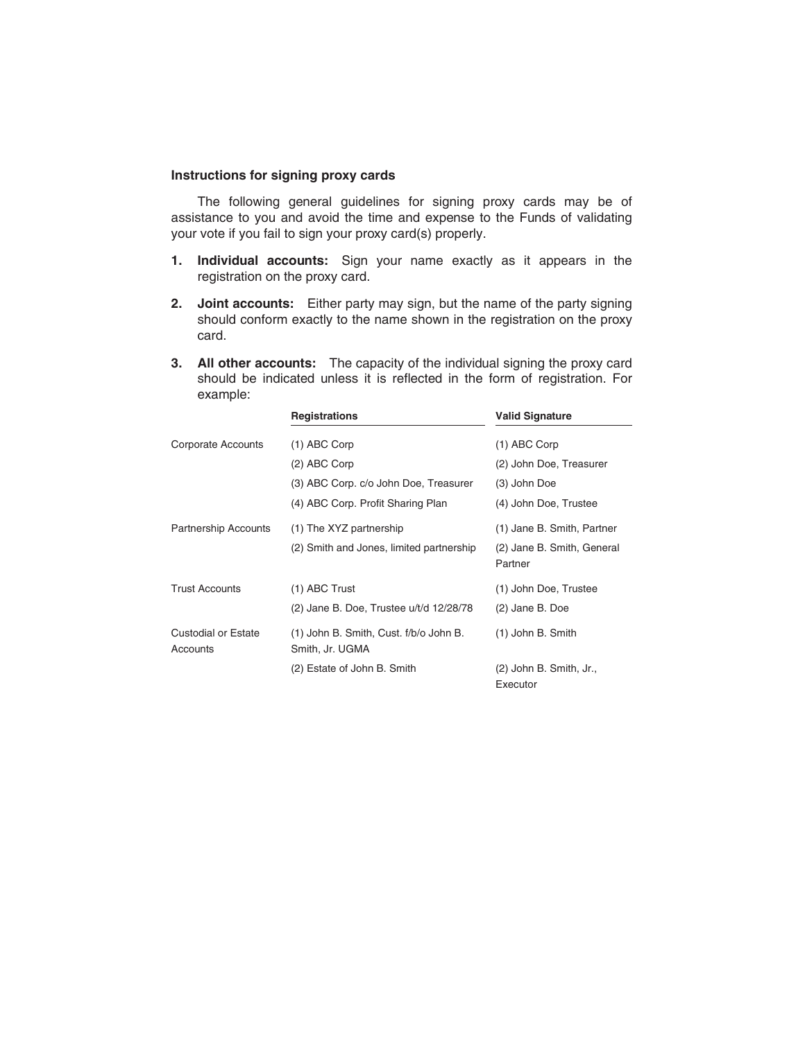## **Instructions for signing proxy cards**

The following general guidelines for signing proxy cards may be of assistance to you and avoid the time and expense to the Funds of validating your vote if you fail to sign your proxy card(s) properly.

- **1. Individual accounts:** Sign your name exactly as it appears in the registration on the proxy card.
- **2. Joint accounts:** Either party may sign, but the name of the party signing should conform exactly to the name shown in the registration on the proxy card.
- **3. All other accounts:** The capacity of the individual signing the proxy card should be indicated unless it is reflected in the form of registration. For example:

|                                        | <b>Registrations</b>                                      | <b>Valid Signature</b>                |
|----------------------------------------|-----------------------------------------------------------|---------------------------------------|
| Corporate Accounts                     | (1) ABC Corp                                              | (1) ABC Corp                          |
|                                        | (2) ABC Corp                                              | (2) John Doe, Treasurer               |
|                                        | (3) ABC Corp. c/o John Doe, Treasurer                     | (3) John Doe                          |
|                                        | (4) ABC Corp. Profit Sharing Plan                         | (4) John Doe, Trustee                 |
| <b>Partnership Accounts</b>            | (1) The XYZ partnership                                   | (1) Jane B. Smith, Partner            |
|                                        | (2) Smith and Jones, limited partnership                  | (2) Jane B. Smith, General<br>Partner |
| <b>Trust Accounts</b>                  | (1) ABC Trust                                             | (1) John Doe, Trustee                 |
|                                        | (2) Jane B. Doe, Trustee u/t/d 12/28/78                   | (2) Jane B. Doe                       |
| <b>Custodial or Estate</b><br>Accounts | (1) John B. Smith, Cust. f/b/o John B.<br>Smith, Jr. UGMA | (1) John B. Smith                     |
|                                        | (2) Estate of John B. Smith                               | (2) John B. Smith, Jr.,<br>Executor   |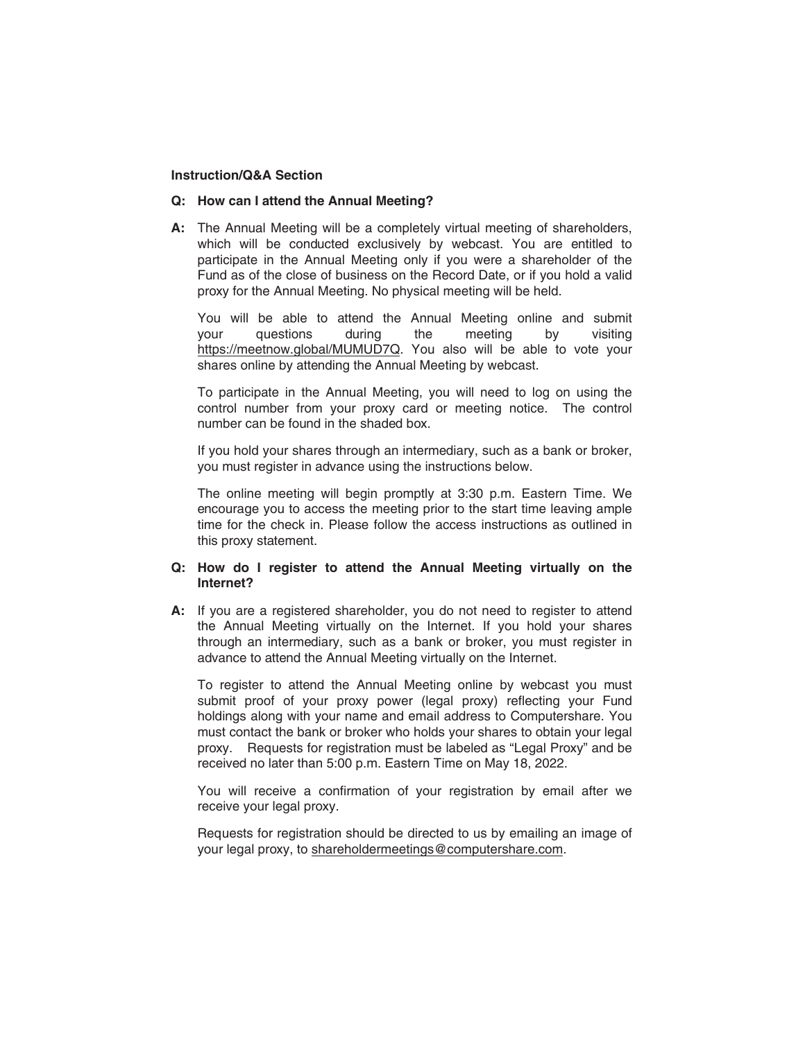## **Instruction/Q&A Section**

## **Q: How can I attend the Annual Meeting?**

**A:** The Annual Meeting will be a completely virtual meeting of shareholders, which will be conducted exclusively by webcast. You are entitled to participate in the Annual Meeting only if you were a shareholder of the Fund as of the close of business on the Record Date, or if you hold a valid proxy for the Annual Meeting. No physical meeting will be held.

You will be able to attend the Annual Meeting online and submit your questions during the meeting by visiting https://meetnow.global/MUMUD7Q. You also will be able to vote your shares online by attending the Annual Meeting by webcast.

To participate in the Annual Meeting, you will need to log on using the control number from your proxy card or meeting notice. The control number can be found in the shaded box.

If you hold your shares through an intermediary, such as a bank or broker, you must register in advance using the instructions below.

The online meeting will begin promptly at 3:30 p.m. Eastern Time. We encourage you to access the meeting prior to the start time leaving ample time for the check in. Please follow the access instructions as outlined in this proxy statement.

## **Q: How do I register to attend the Annual Meeting virtually on the Internet?**

**A:** If you are a registered shareholder, you do not need to register to attend the Annual Meeting virtually on the Internet. If you hold your shares through an intermediary, such as a bank or broker, you must register in advance to attend the Annual Meeting virtually on the Internet.

To register to attend the Annual Meeting online by webcast you must submit proof of your proxy power (legal proxy) reflecting your Fund holdings along with your name and email address to Computershare. You must contact the bank or broker who holds your shares to obtain your legal proxy. Requests for registration must be labeled as "Legal Proxy" and be received no later than 5:00 p.m. Eastern Time on May 18, 2022.

You will receive a confirmation of your registration by email after we receive your legal proxy.

Requests for registration should be directed to us by emailing an image of your legal proxy, to shareholdermeetings@computershare.com.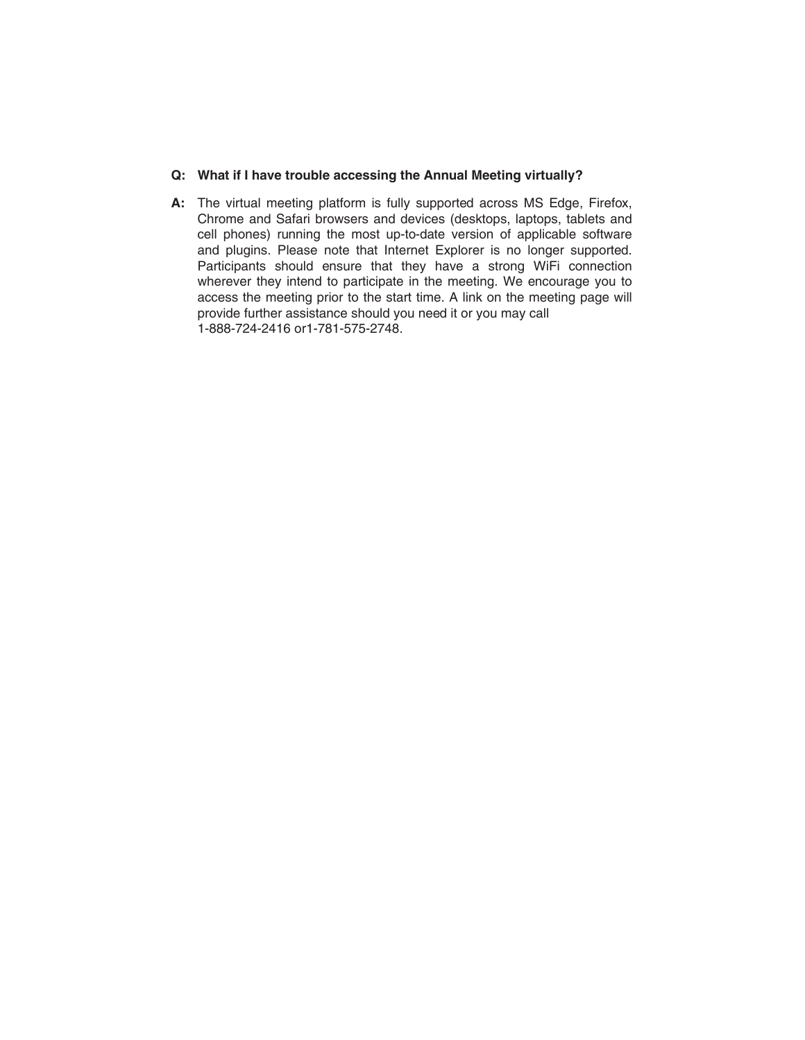## **Q: What if I have trouble accessing the Annual Meeting virtually?**

**A:** The virtual meeting platform is fully supported across MS Edge, Firefox, Chrome and Safari browsers and devices (desktops, laptops, tablets and cell phones) running the most up-to-date version of applicable software and plugins. Please note that Internet Explorer is no longer supported. Participants should ensure that they have a strong WiFi connection wherever they intend to participate in the meeting. We encourage you to access the meeting prior to the start time. A link on the meeting page will provide further assistance should you need it or you may call 1-888-724-2416 or1-781-575-2748.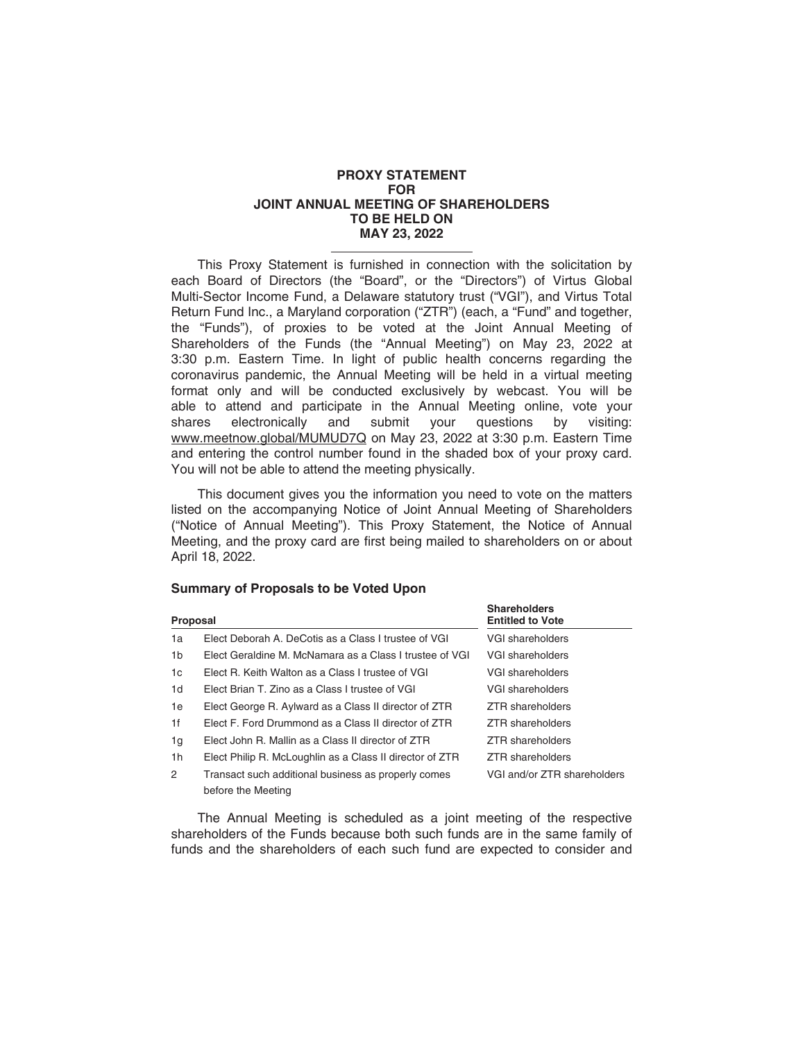### **PROXY STATEMENT FOR JOINT ANNUAL MEETING OF SHAREHOLDERS TO BE HELD ON MAY 23, 2022**

This Proxy Statement is furnished in connection with the solicitation by each Board of Directors (the "Board", or the "Directors") of Virtus Global Multi-Sector Income Fund, a Delaware statutory trust ("VGI"), and Virtus Total Return Fund Inc., a Maryland corporation ("ZTR") (each, a "Fund" and together, the "Funds"), of proxies to be voted at the Joint Annual Meeting of Shareholders of the Funds (the "Annual Meeting") on May 23, 2022 at 3:30 p.m. Eastern Time. In light of public health concerns regarding the coronavirus pandemic, the Annual Meeting will be held in a virtual meeting format only and will be conducted exclusively by webcast. You will be able to attend and participate in the Annual Meeting online, vote your shares electronically and submit your questions by visiting: electronically and submit your questions by visiting: www.meetnow.global/MUMUD7Q on May 23, 2022 at 3:30 p.m. Eastern Time and entering the control number found in the shaded box of your proxy card. You will not be able to attend the meeting physically.

This document gives you the information you need to vote on the matters listed on the accompanying Notice of Joint Annual Meeting of Shareholders ("Notice of Annual Meeting"). This Proxy Statement, the Notice of Annual Meeting, and the proxy card are first being mailed to shareholders on or about April 18, 2022.

## **Summary of Proposals to be Voted Upon**

| Proposal       |                                                                           | <b>Shareholders</b><br><b>Entitled to Vote</b> |  |
|----------------|---------------------------------------------------------------------------|------------------------------------------------|--|
| 1a             | Elect Deborah A. DeCotis as a Class I trustee of VGI                      | VGI shareholders                               |  |
| 1b             | Elect Geraldine M. McNamara as a Class I trustee of VGI                   | VGI shareholders                               |  |
| 1c             | Elect R. Keith Walton as a Class I trustee of VGI                         | VGI shareholders                               |  |
| 1 <sub>d</sub> | Elect Brian T. Zino as a Class I trustee of VGI                           | VGI shareholders                               |  |
| 1e             | Elect George R. Aylward as a Class II director of ZTR                     | ZTR shareholders                               |  |
| 1f             | Elect F. Ford Drummond as a Class II director of ZTR                      | ZTR shareholders                               |  |
| 1g             | Elect John R. Mallin as a Class II director of ZTR                        | ZTR shareholders                               |  |
| 1 <sub>h</sub> | Elect Philip R. McLoughlin as a Class II director of ZTR                  | ZTR shareholders                               |  |
| $\overline{2}$ | Transact such additional business as properly comes<br>before the Meeting | VGI and/or ZTR shareholders                    |  |

The Annual Meeting is scheduled as a joint meeting of the respective shareholders of the Funds because both such funds are in the same family of funds and the shareholders of each such fund are expected to consider and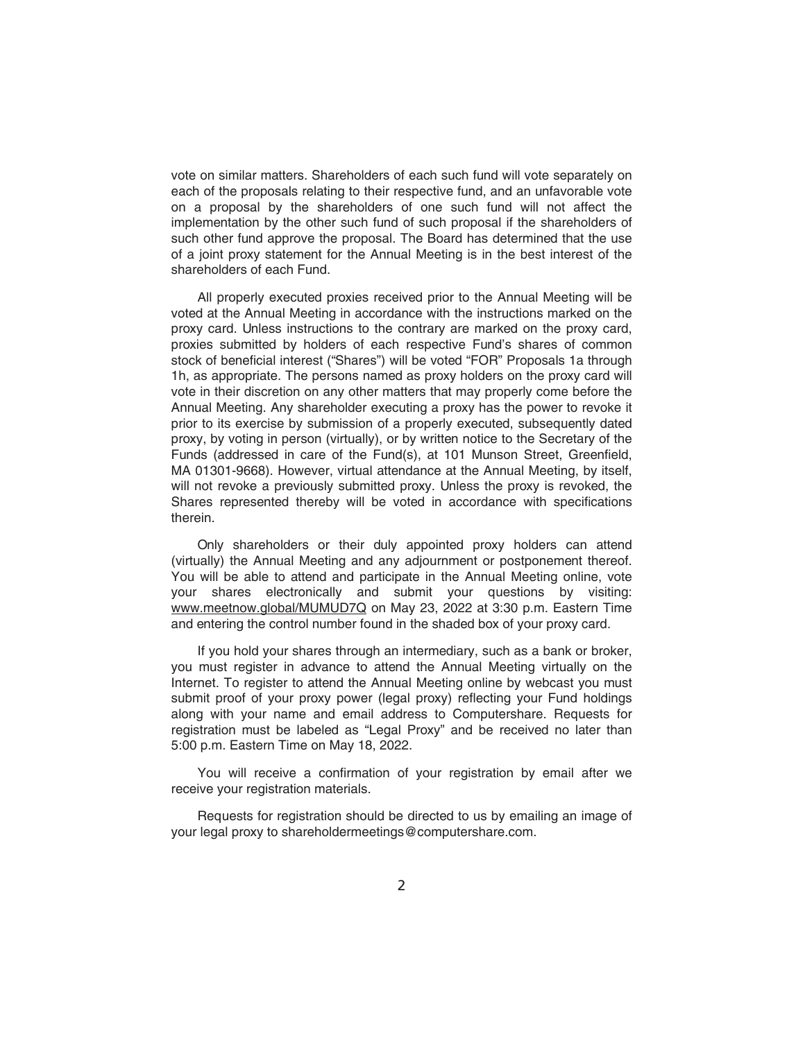vote on similar matters. Shareholders of each such fund will vote separately on each of the proposals relating to their respective fund, and an unfavorable vote on a proposal by the shareholders of one such fund will not affect the implementation by the other such fund of such proposal if the shareholders of such other fund approve the proposal. The Board has determined that the use of a joint proxy statement for the Annual Meeting is in the best interest of the shareholders of each Fund.

All properly executed proxies received prior to the Annual Meeting will be voted at the Annual Meeting in accordance with the instructions marked on the proxy card. Unless instructions to the contrary are marked on the proxy card, proxies submitted by holders of each respective Fund's shares of common stock of beneficial interest ("Shares") will be voted "FOR" Proposals 1a through 1h, as appropriate. The persons named as proxy holders on the proxy card will vote in their discretion on any other matters that may properly come before the Annual Meeting. Any shareholder executing a proxy has the power to revoke it prior to its exercise by submission of a properly executed, subsequently dated proxy, by voting in person (virtually), or by written notice to the Secretary of the Funds (addressed in care of the Fund(s), at 101 Munson Street, Greenfield, MA 01301-9668). However, virtual attendance at the Annual Meeting, by itself, will not revoke a previously submitted proxy. Unless the proxy is revoked, the Shares represented thereby will be voted in accordance with specifications therein.

Only shareholders or their duly appointed proxy holders can attend (virtually) the Annual Meeting and any adjournment or postponement thereof. You will be able to attend and participate in the Annual Meeting online, vote your shares electronically and submit your questions by visiting: www.meetnow.global/MUMUD7Q on May 23, 2022 at 3:30 p.m. Eastern Time and entering the control number found in the shaded box of your proxy card.

If you hold your shares through an intermediary, such as a bank or broker, you must register in advance to attend the Annual Meeting virtually on the Internet. To register to attend the Annual Meeting online by webcast you must submit proof of your proxy power (legal proxy) reflecting your Fund holdings along with your name and email address to Computershare. Requests for registration must be labeled as "Legal Proxy" and be received no later than 5:00 p.m. Eastern Time on May 18, 2022.

You will receive a confirmation of your registration by email after we receive your registration materials.

Requests for registration should be directed to us by emailing an image of your legal proxy to shareholdermeetings@computershare.com.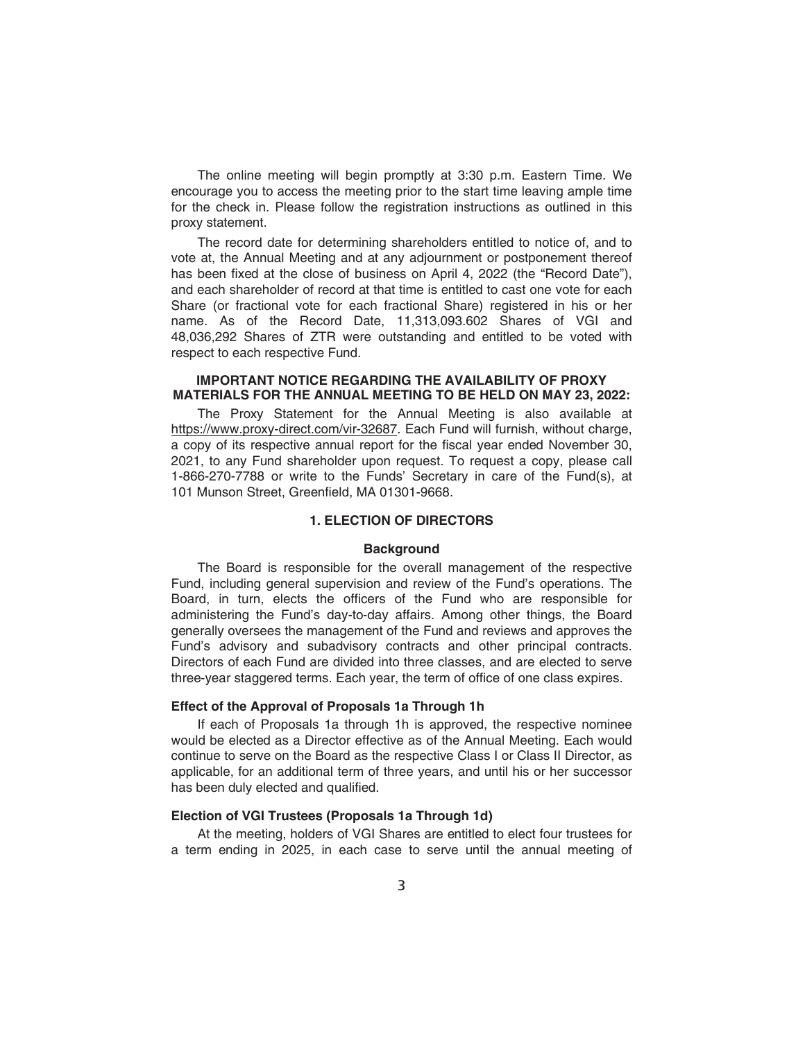The online meeting will begin promptly at 3:30 p.m. Eastern Time. We encourage you to access the meeting prior to the start time leaving ample time for the check in. Please follow the registration instructions as outlined in this proxy statement.

The record date for determining shareholders entitled to notice of, and to vote at, the Annual Meeting and at any adjournment or postponement thereof has been fixed at the close of business on April 4, 2022 (the "Record Date"), and each shareholder of record at that time is entitled to cast one vote for each Share (or fractional vote for each fractional Share) registered in his or her name. As of the Record Date, 11,313,093.602 Shares of VGI and 48,036,292 Shares of ZTR were outstanding and entitled to be voted with respect to each respective Fund.

### **IMPORTANT NOTICE REGARDING THE AVAILABILITY OF PROXY MATERIALS FOR THE ANNUAL MEETING TO BE HELD ON MAY 23, 2022:**

The Proxy Statement for the Annual Meeting is also available at https://www.proxy-direct.com/vir-32687. Each Fund will furnish, without charge, a copy of its respective annual report for the fiscal year ended November 30, 2021, to any Fund shareholder upon request. To request a copy, please call 1-866-270-7788 or write to the Funds' Secretary in care of the Fund(s), at 101 Munson Street, Greenfield, MA 01301-9668.

## **1. ELECTION OF DIRECTORS**

### **Background**

The Board is responsible for the overall management of the respective Fund, including general supervision and review of the Fund's operations. The Board, in turn, elects the officers of the Fund who are responsible for administering the Fund's day-to-day affairs. Among other things, the Board generally oversees the management of the Fund and reviews and approves the Fund's advisory and subadvisory contracts and other principal contracts. Directors of each Fund are divided into three classes, and are elected to serve three-year staggered terms. Each year, the term of office of one class expires.

## **Effect of the Approval of Proposals 1a Through 1h**

If each of Proposals 1a through 1h is approved, the respective nominee would be elected as a Director effective as of the Annual Meeting. Each would continue to serve on the Board as the respective Class I or Class II Director, as applicable, for an additional term of three years, and until his or her successor has been duly elected and qualified.

## **Election of VGI Trustees (Proposals 1a Through 1d)**

At the meeting, holders of VGI Shares are entitled to elect four trustees for a term ending in 2025, in each case to serve until the annual meeting of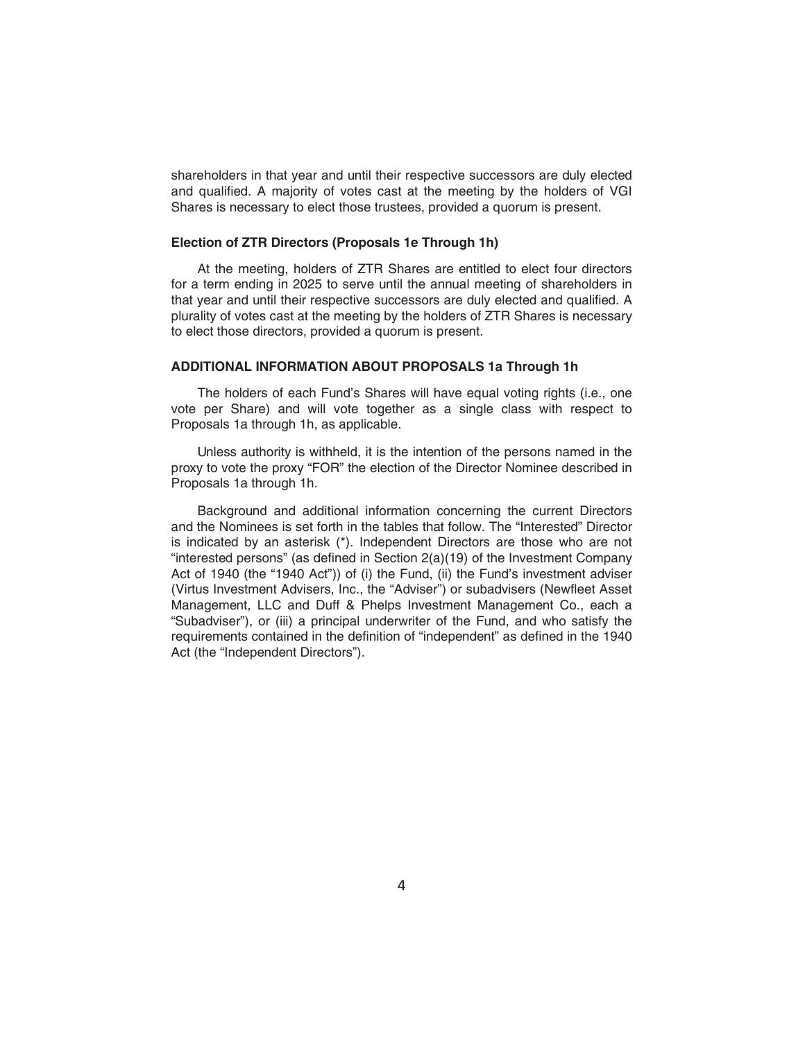shareholders in that year and until their respective successors are duly elected and qualified. A majority of votes cast at the meeting by the holders of VGI Shares is necessary to elect those trustees, provided a quorum is present.

## **Election of ZTR Directors (Proposals 1e Through 1h)**

At the meeting, holders of ZTR Shares are entitled to elect four directors for a term ending in 2025 to serve until the annual meeting of shareholders in that year and until their respective successors are duly elected and qualified. A plurality of votes cast at the meeting by the holders of ZTR Shares is necessary to elect those directors, provided a quorum is present.

## **ADDITIONAL INFORMATION ABOUT PROPOSALS 1a Through 1h**

The holders of each Fund's Shares will have equal voting rights (i.e., one vote per Share) and will vote together as a single class with respect to Proposals 1a through 1h, as applicable.

Unless authority is withheld, it is the intention of the persons named in the proxy to vote the proxy "FOR" the election of the Director Nominee described in Proposals 1a through 1h.

Background and additional information concerning the current Directors and the Nominees is set forth in the tables that follow. The "Interested" Director is indicated by an asterisk (\*). Independent Directors are those who are not "interested persons" (as defined in Section 2(a)(19) of the Investment Company Act of 1940 (the "1940 Act")) of (i) the Fund, (ii) the Fund's investment adviser (Virtus Investment Advisers, Inc., the "Adviser") or subadvisers (Newfleet Asset Management, LLC and Duff & Phelps Investment Management Co., each a "Subadviser"), or (iii) a principal underwriter of the Fund, and who satisfy the requirements contained in the definition of "independent" as defined in the 1940 Act (the "Independent Directors").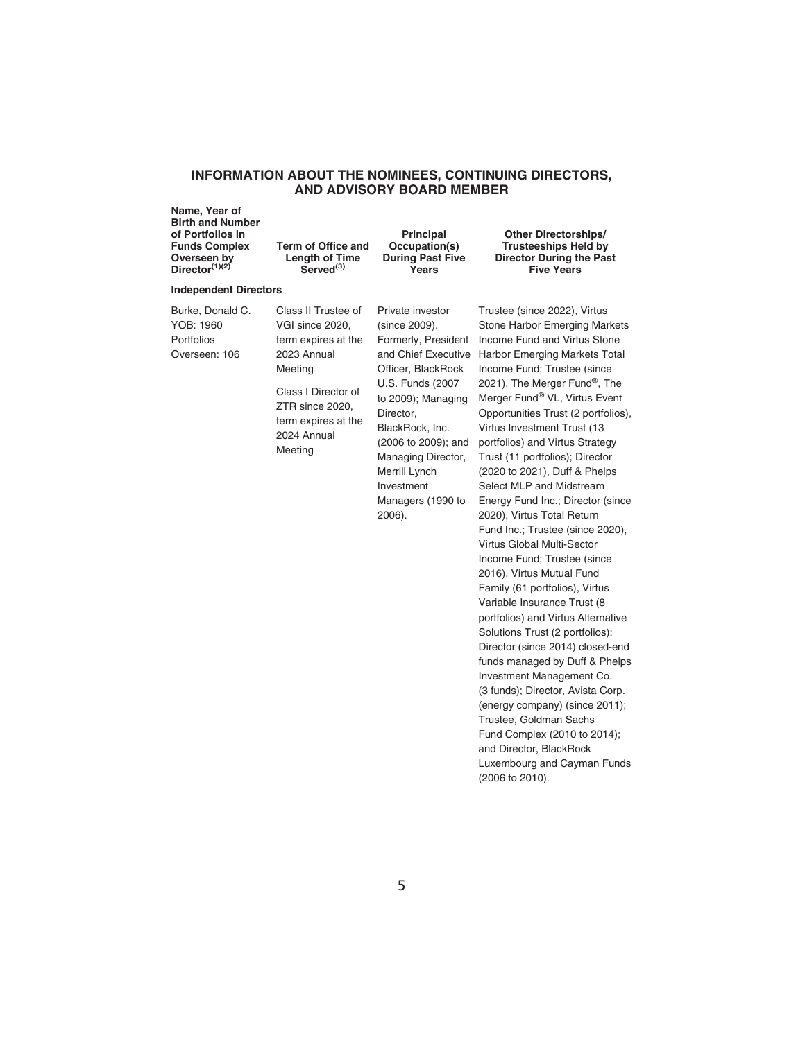## **INFORMATION ABOUT THE NOMINEES, CONTINUING DIRECTORS, AND ADVISORY BOARD MEMBER**

| Name, Year of<br><b>Birth and Number</b><br>of Portfolios in<br><b>Funds Complex</b><br>Overseen by<br>Director $(1)(2)$ | Term of Office and<br><b>Length of Time</b><br>Served <sup>(3)</sup>                                                                                                               | <b>Principal</b><br>Occupation(s)<br><b>During Past Five</b><br>Years                                                                                                                                                                                                                       | <b>Other Directorships/</b><br><b>Trusteeships Held by</b><br><b>Director During the Past</b><br><b>Five Years</b>                                                                                                                                                                                                                                                                                                                                                                                                                                                                                                                                                                                                                                                                                                                                                                                                                                                                                                                                                    |
|--------------------------------------------------------------------------------------------------------------------------|------------------------------------------------------------------------------------------------------------------------------------------------------------------------------------|---------------------------------------------------------------------------------------------------------------------------------------------------------------------------------------------------------------------------------------------------------------------------------------------|-----------------------------------------------------------------------------------------------------------------------------------------------------------------------------------------------------------------------------------------------------------------------------------------------------------------------------------------------------------------------------------------------------------------------------------------------------------------------------------------------------------------------------------------------------------------------------------------------------------------------------------------------------------------------------------------------------------------------------------------------------------------------------------------------------------------------------------------------------------------------------------------------------------------------------------------------------------------------------------------------------------------------------------------------------------------------|
| <b>Independent Directors</b>                                                                                             |                                                                                                                                                                                    |                                                                                                                                                                                                                                                                                             |                                                                                                                                                                                                                                                                                                                                                                                                                                                                                                                                                                                                                                                                                                                                                                                                                                                                                                                                                                                                                                                                       |
| Burke, Donald C.<br>YOB: 1960<br>Portfolios<br>Overseen: 106                                                             | Class II Trustee of<br>VGI since 2020,<br>term expires at the<br>2023 Annual<br>Meeting<br>Class I Director of<br>ZTR since 2020,<br>term expires at the<br>2024 Annual<br>Meeting | Private investor<br>(since 2009).<br>Formerly, President<br>and Chief Executive<br>Officer, BlackRock<br>U.S. Funds (2007)<br>to 2009); Managing<br>Director,<br>BlackRock, Inc.<br>(2006 to 2009); and<br>Managing Director,<br>Merrill Lynch<br>Investment<br>Managers (1990 to<br>2006). | Trustee (since 2022), Virtus<br>Stone Harbor Emerging Markets<br>Income Fund and Virtus Stone<br>Harbor Emerging Markets Total<br>Income Fund; Trustee (since<br>2021), The Merger Fund <sup>®</sup> , The<br>Merger Fund® VL, Virtus Event<br>Opportunities Trust (2 portfolios),<br>Virtus Investment Trust (13<br>portfolios) and Virtus Strategy<br>Trust (11 portfolios); Director<br>(2020 to 2021), Duff & Phelps<br>Select MLP and Midstream<br>Energy Fund Inc.; Director (since<br>2020), Virtus Total Return<br>Fund Inc.; Trustee (since 2020),<br><b>Virtus Global Multi-Sector</b><br>Income Fund; Trustee (since<br>2016), Virtus Mutual Fund<br>Family (61 portfolios), Virtus<br>Variable Insurance Trust (8<br>portfolios) and Virtus Alternative<br>Solutions Trust (2 portfolios);<br>Director (since 2014) closed-end<br>funds managed by Duff & Phelps<br>Investment Management Co.<br>(3 funds); Director, Avista Corp.<br>(energy company) (since 2011);<br>Trustee, Goldman Sachs<br>Fund Complex (2010 to 2014);<br>and Director, BlackRock |

Luxembourg and Cayman Funds

(2006 to 2010).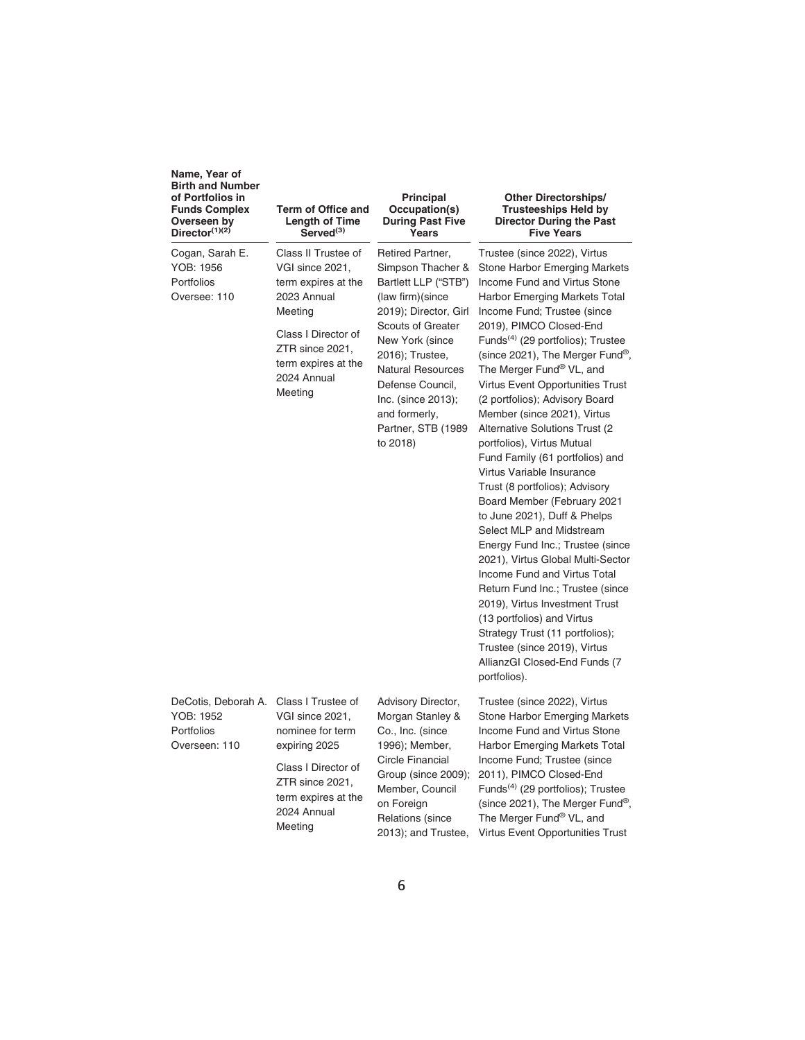| Name, Year of<br><b>Birth and Number</b><br>of Portfolios in<br><b>Funds Complex</b><br>Overseen by<br>Director $(1)(2)$ | <b>Term of Office and</b><br><b>Length of Time</b><br>Served <sup>(3)</sup>                                                                                                        | Principal<br>Occupation(s)<br><b>During Past Five</b><br>Years                                                                                                                                                                                                                                         | <b>Other Directorships/</b><br><b>Trusteeships Held by</b><br><b>Director During the Past</b><br><b>Five Years</b>                                                                                                                                                                                                                                                                                                                                                                                                                                                                                                                                                                                                                                                                                                                                                                                                                                                                                                               |
|--------------------------------------------------------------------------------------------------------------------------|------------------------------------------------------------------------------------------------------------------------------------------------------------------------------------|--------------------------------------------------------------------------------------------------------------------------------------------------------------------------------------------------------------------------------------------------------------------------------------------------------|----------------------------------------------------------------------------------------------------------------------------------------------------------------------------------------------------------------------------------------------------------------------------------------------------------------------------------------------------------------------------------------------------------------------------------------------------------------------------------------------------------------------------------------------------------------------------------------------------------------------------------------------------------------------------------------------------------------------------------------------------------------------------------------------------------------------------------------------------------------------------------------------------------------------------------------------------------------------------------------------------------------------------------|
| Cogan, Sarah E.<br>YOB: 1956<br>Portfolios<br>Oversee: 110                                                               | Class II Trustee of<br>VGI since 2021,<br>term expires at the<br>2023 Annual<br>Meeting<br>Class I Director of<br>ZTR since 2021,<br>term expires at the<br>2024 Annual<br>Meeting | Retired Partner,<br>Simpson Thacher &<br>Bartlett LLP ("STB")<br>(law firm) (since<br>2019); Director, Girl<br><b>Scouts of Greater</b><br>New York (since<br>2016); Trustee,<br><b>Natural Resources</b><br>Defense Council,<br>Inc. (since 2013);<br>and formerly,<br>Partner, STB (1989<br>to 2018) | Trustee (since 2022), Virtus<br>Stone Harbor Emerging Markets<br>Income Fund and Virtus Stone<br>Harbor Emerging Markets Total<br>Income Fund; Trustee (since<br>2019), PIMCO Closed-End<br>Funds <sup>(4)</sup> (29 portfolios); Trustee<br>(since 2021), The Merger Fund <sup>®</sup> ,<br>The Merger Fund® VL, and<br>Virtus Event Opportunities Trust<br>(2 portfolios); Advisory Board<br>Member (since 2021), Virtus<br>Alternative Solutions Trust (2)<br>portfolios), Virtus Mutual<br>Fund Family (61 portfolios) and<br>Virtus Variable Insurance<br>Trust (8 portfolios); Advisory<br>Board Member (February 2021<br>to June 2021), Duff & Phelps<br>Select MLP and Midstream<br>Energy Fund Inc.; Trustee (since<br>2021), Virtus Global Multi-Sector<br><b>Income Fund and Virtus Total</b><br>Return Fund Inc.; Trustee (since<br>2019), Virtus Investment Trust<br>(13 portfolios) and Virtus<br>Strategy Trust (11 portfolios);<br>Trustee (since 2019), Virtus<br>AllianzGI Closed-End Funds (7<br>portfolios). |
| DeCotis, Deborah A.<br>YOB: 1952<br>Portfolios<br>Overseen: 110                                                          | Class I Trustee of<br>VGI since 2021.<br>nominee for term<br>expiring 2025<br>Class I Director of<br>ZTR since 2021,<br>term expires at the<br>2024 Annual<br>Meeting              | Advisory Director,<br>Morgan Stanley &<br>Co., Inc. (since<br>1996); Member,<br>Circle Financial<br>Group (since 2009);<br>Member, Council<br>on Foreign<br><b>Relations (since</b><br>2013); and Trustee,                                                                                             | Trustee (since 2022), Virtus<br>Stone Harbor Emerging Markets<br>Income Fund and Virtus Stone<br>Harbor Emerging Markets Total<br>Income Fund; Trustee (since<br>2011), PIMCO Closed-End<br>Funds <sup>(4)</sup> (29 portfolios); Trustee<br>(since 2021), The Merger Fund®,<br>The Merger Fund® VL, and<br><b>Virtus Event Opportunities Trust</b>                                                                                                                                                                                                                                                                                                                                                                                                                                                                                                                                                                                                                                                                              |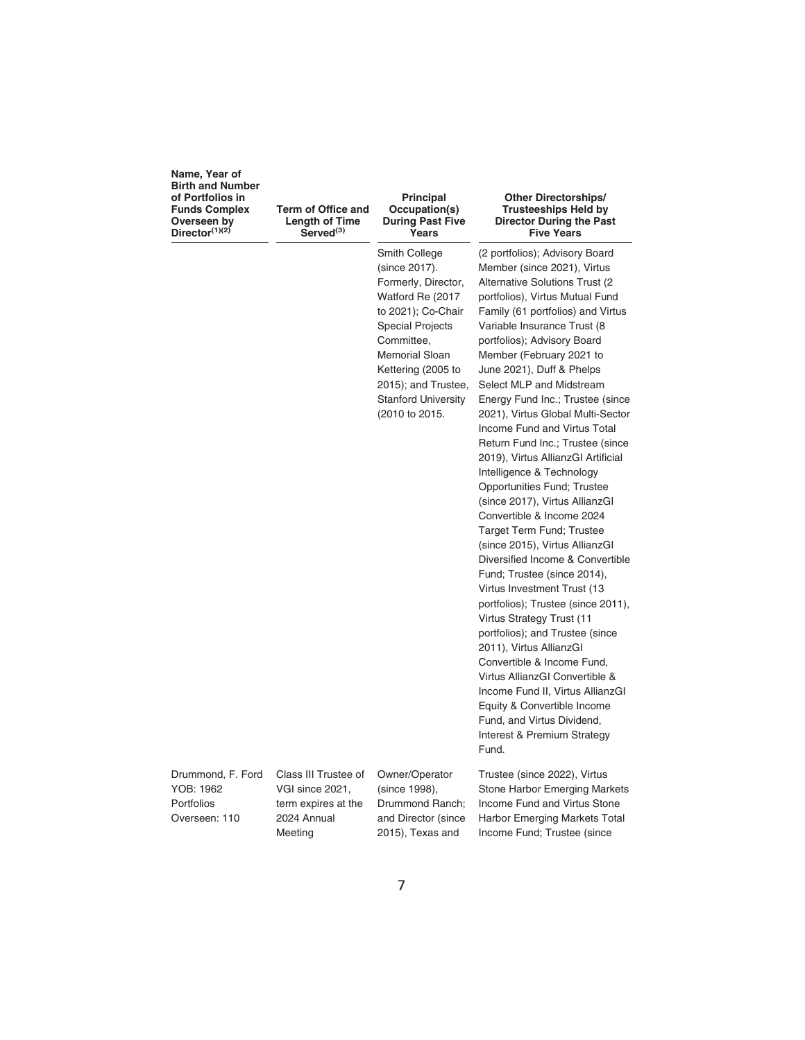| Name, Year of           |
|-------------------------|
| <b>Birth and Number</b> |
| of Portfolios in        |
| <b>Funds Complex</b>    |
| Overseen by             |
| Director $(1)(2)$       |

**Term of Office and Length of Time Served(3)**

#### **Principal Occupation(s) During Past Five Years**

Smith College (since 2017). Formerly, Director, Watford Re (2017 to 2021); Co-Chair Special Projects Committee, Memorial Sloan Kettering (2005 to 2015); and Trustee, Stanford University (2010 to 2015.

#### **Other Directorships/ Trusteeships Held by Director During the Past Five Years**

(2 portfolios); Advisory Board Member (since 2021), Virtus Alternative Solutions Trust (2 portfolios), Virtus Mutual Fund Family (61 portfolios) and Virtus Variable Insurance Trust (8 portfolios); Advisory Board Member (February 2021 to June 2021), Duff & Phelps Select MLP and Midstream Energy Fund Inc.; Trustee (since 2021), Virtus Global Multi-Sector Income Fund and Virtus Total Return Fund Inc.; Trustee (since 2019), Virtus AllianzGI Artificial Intelligence & Technology Opportunities Fund; Trustee (since 2017), Virtus AllianzGI Convertible & Income 2024 Target Term Fund; Trustee (since 2015), Virtus AllianzGI Diversified Income & Convertible Fund; Trustee (since 2014), Virtus Investment Trust (13 portfolios); Trustee (since 2011), Virtus Strategy Trust (11 portfolios); and Trustee (since 2011), Virtus AllianzGI Convertible & Income Fund, Virtus AllianzGI Convertible & Income Fund II, Virtus AllianzGI Equity & Convertible Income Fund, and Virtus Dividend, Interest & Premium Strategy Fund.

Drummond, F. Ford YOB: 1962 Portfolios Overseen: 110

Class III Trustee of VGI since 2021, term expires at the 2024 Annual Meeting

Owner/Operator (since 1998), Drummond Ranch; and Director (since 2015), Texas and

Trustee (since 2022), Virtus Stone Harbor Emerging Markets Income Fund and Virtus Stone Harbor Emerging Markets Total Income Fund; Trustee (since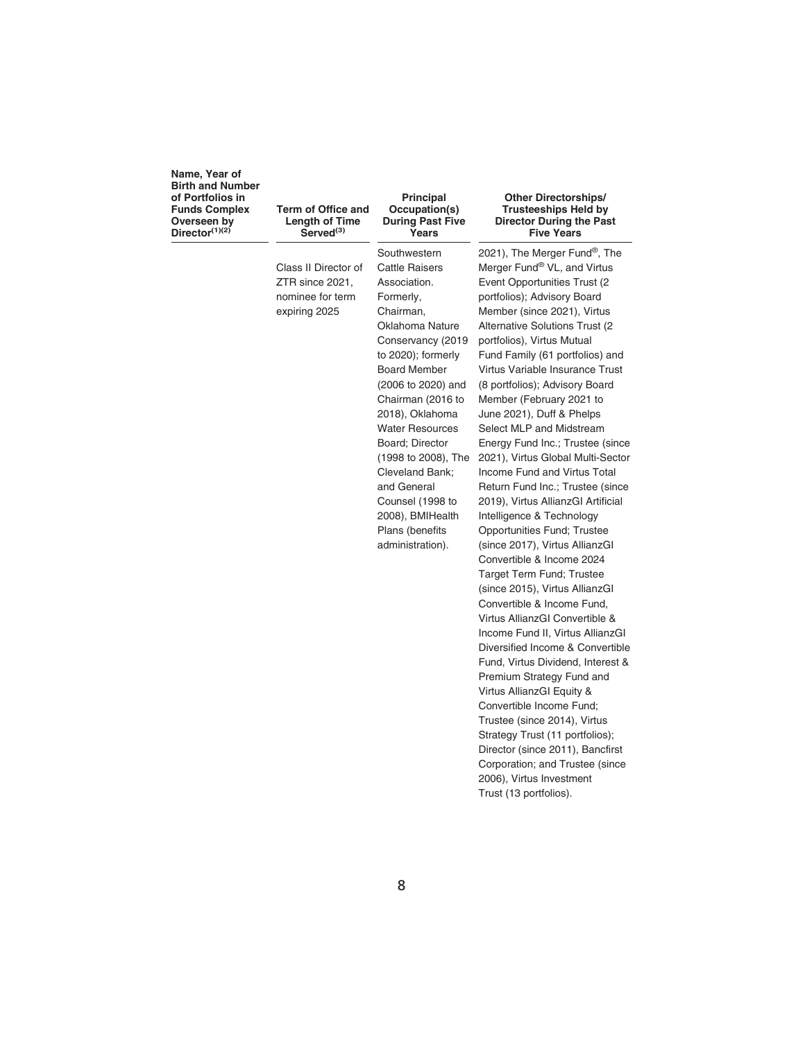**Term of Office and Length of Time Served(3)**

Class II Director of ZTR since 2021, nominee for term expiring 2025

**Southwestern** Cattle Raisers Association. Formerly, Chairman, Oklahoma Nature Conservancy (2019 to 2020); formerly Board Member (2006 to 2020) and Chairman (2016 to 2018), Oklahoma Water Resources Board; Director (1998 to 2008), The Cleveland Bank; and General Counsel (1998 to 2008), BMIHealth Plans (benefits administration).

**Principal Occupation(s) During Past Five Years**

#### **Other Directorships/ Trusteeships Held by Director During the Past Five Years**

2021), The Merger Fund®, The Merger Fund® VL, and Virtus Event Opportunities Trust (2 portfolios); Advisory Board Member (since 2021), Virtus Alternative Solutions Trust (2 portfolios), Virtus Mutual Fund Family (61 portfolios) and Virtus Variable Insurance Trust (8 portfolios); Advisory Board Member (February 2021 to June 2021), Duff & Phelps Select MLP and Midstream Energy Fund Inc.; Trustee (since 2021), Virtus Global Multi-Sector Income Fund and Virtus Total Return Fund Inc.; Trustee (since 2019), Virtus AllianzGI Artificial Intelligence & Technology Opportunities Fund; Trustee (since 2017), Virtus AllianzGI Convertible & Income 2024 Target Term Fund; Trustee (since 2015), Virtus AllianzGI Convertible & Income Fund, Virtus AllianzGI Convertible & Income Fund II, Virtus AllianzGI Diversified Income & Convertible Fund, Virtus Dividend, Interest & Premium Strategy Fund and Virtus AllianzGI Equity & Convertible Income Fund; Trustee (since 2014), Virtus Strategy Trust (11 portfolios); Director (since 2011), Bancfirst Corporation; and Trustee (since 2006), Virtus Investment Trust (13 portfolios).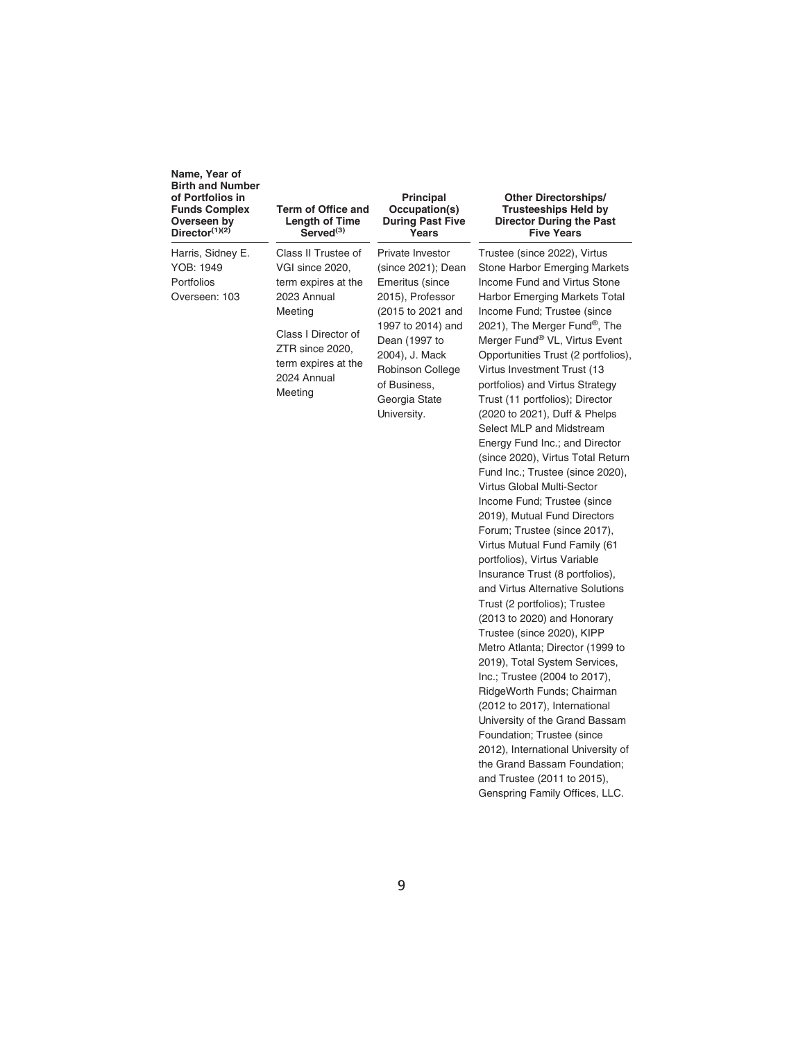Harris, Sidney E. YOB: 1949 Portfolios Overseen: 103

#### **Term of Office and Length of Time Served(3)**

Class II Trustee of VGI since 2020, term expires at the 2023 Annual Meeting

Class I Director of ZTR since 2020, term expires at the 2024 Annual **Meeting** 

#### **Principal Occupation(s) During Past Five Years**

Private Investor (since 2021); Dean Emeritus (since 2015), Professor (2015 to 2021 and 1997 to 2014) and Dean (1997 to 2004), J. Mack Robinson College of Business, Georgia State University.

#### **Other Directorships/ Trusteeships Held by Director During the Past Five Years**

Trustee (since 2022), Virtus Stone Harbor Emerging Markets Income Fund and Virtus Stone Harbor Emerging Markets Total Income Fund; Trustee (since 2021), The Merger Fund®, The Merger Fund® VL, Virtus Event Opportunities Trust (2 portfolios), Virtus Investment Trust (13 portfolios) and Virtus Strategy Trust (11 portfolios); Director (2020 to 2021), Duff & Phelps Select MLP and Midstream Energy Fund Inc.; and Director (since 2020), Virtus Total Return Fund Inc.; Trustee (since 2020), Virtus Global Multi-Sector Income Fund; Trustee (since 2019), Mutual Fund Directors Forum; Trustee (since 2017), Virtus Mutual Fund Family (61 portfolios), Virtus Variable Insurance Trust (8 portfolios), and Virtus Alternative Solutions Trust (2 portfolios); Trustee (2013 to 2020) and Honorary Trustee (since 2020), KIPP Metro Atlanta; Director (1999 to 2019), Total System Services, Inc.; Trustee (2004 to 2017), RidgeWorth Funds; Chairman (2012 to 2017), International University of the Grand Bassam Foundation; Trustee (since 2012), International University of the Grand Bassam Foundation; and Trustee (2011 to 2015), Genspring Family Offices, LLC.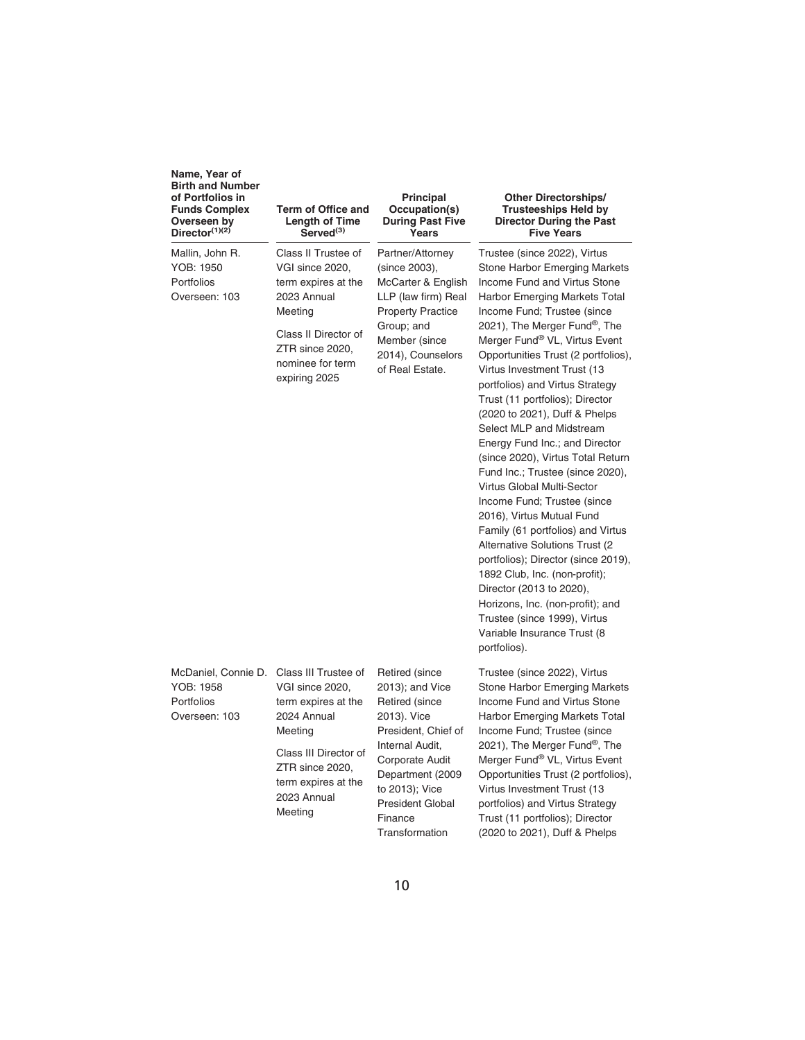| Name, Year of<br><b>Birth and Number</b><br>of Portfolios in<br><b>Funds Complex</b><br>Overseen by<br>Director $(1)(2)$ | Term of Office and<br><b>Length of Time</b><br>Served <sup>(3)</sup>                                                                                                                  | <b>Principal</b><br>Occupation(s)<br><b>During Past Five</b><br>Years                                                                                                                                                         | <b>Other Directorships/</b><br><b>Trusteeships Held by</b><br>Director During the Past<br><b>Five Years</b>                                                                                                                                                                                                                                                                                                                                                                                                                                                                                                                                                                                                                                                                                                                                                                                                                                 |
|--------------------------------------------------------------------------------------------------------------------------|---------------------------------------------------------------------------------------------------------------------------------------------------------------------------------------|-------------------------------------------------------------------------------------------------------------------------------------------------------------------------------------------------------------------------------|---------------------------------------------------------------------------------------------------------------------------------------------------------------------------------------------------------------------------------------------------------------------------------------------------------------------------------------------------------------------------------------------------------------------------------------------------------------------------------------------------------------------------------------------------------------------------------------------------------------------------------------------------------------------------------------------------------------------------------------------------------------------------------------------------------------------------------------------------------------------------------------------------------------------------------------------|
| Mallin, John R.<br>YOB: 1950<br>Portfolios<br>Overseen: 103                                                              | Class II Trustee of<br>VGI since 2020,<br>term expires at the<br>2023 Annual<br>Meeting<br>Class II Director of<br>ZTR since 2020,<br>nominee for term<br>expiring 2025               | Partner/Attorney<br>(since 2003),<br>McCarter & English<br>LLP (law firm) Real<br><b>Property Practice</b><br>Group; and<br>Member (since<br>2014), Counselors<br>of Real Estate.                                             | Trustee (since 2022), Virtus<br>Stone Harbor Emerging Markets<br>Income Fund and Virtus Stone<br>Harbor Emerging Markets Total<br>Income Fund; Trustee (since<br>2021), The Merger Fund®, The<br>Merger Fund® VL, Virtus Event<br>Opportunities Trust (2 portfolios),<br>Virtus Investment Trust (13<br>portfolios) and Virtus Strategy<br>Trust (11 portfolios); Director<br>(2020 to 2021), Duff & Phelps<br>Select MLP and Midstream<br>Energy Fund Inc.; and Director<br>(since 2020), Virtus Total Return<br>Fund Inc.; Trustee (since 2020),<br>Virtus Global Multi-Sector<br>Income Fund; Trustee (since<br>2016), Virtus Mutual Fund<br>Family (61 portfolios) and Virtus<br>Alternative Solutions Trust (2)<br>portfolios); Director (since 2019),<br>1892 Club, Inc. (non-profit);<br>Director (2013 to 2020),<br>Horizons, Inc. (non-profit); and<br>Trustee (since 1999), Virtus<br>Variable Insurance Trust (8<br>portfolios). |
| McDaniel, Connie D.<br>YOB: 1958<br>Portfolios<br>Overseen: 103                                                          | Class III Trustee of<br>VGI since 2020,<br>term expires at the<br>2024 Annual<br>Meeting<br>Class III Director of<br>ZTR since 2020,<br>term expires at the<br>2023 Annual<br>Meeting | Retired (since<br>2013); and Vice<br>Retired (since<br>2013). Vice<br>President, Chief of<br>Internal Audit,<br>Corporate Audit<br>Department (2009<br>to 2013); Vice<br><b>President Global</b><br>Finance<br>Transformation | Trustee (since 2022), Virtus<br>Stone Harbor Emerging Markets<br>Income Fund and Virtus Stone<br>Harbor Emerging Markets Total<br>Income Fund; Trustee (since<br>2021), The Merger Fund <sup>®</sup> , The<br>Merger Fund® VL, Virtus Event<br>Opportunities Trust (2 portfolios),<br>Virtus Investment Trust (13<br>portfolios) and Virtus Strategy<br>Trust (11 portfolios); Director<br>(2020 to 2021), Duff & Phelps                                                                                                                                                                                                                                                                                                                                                                                                                                                                                                                    |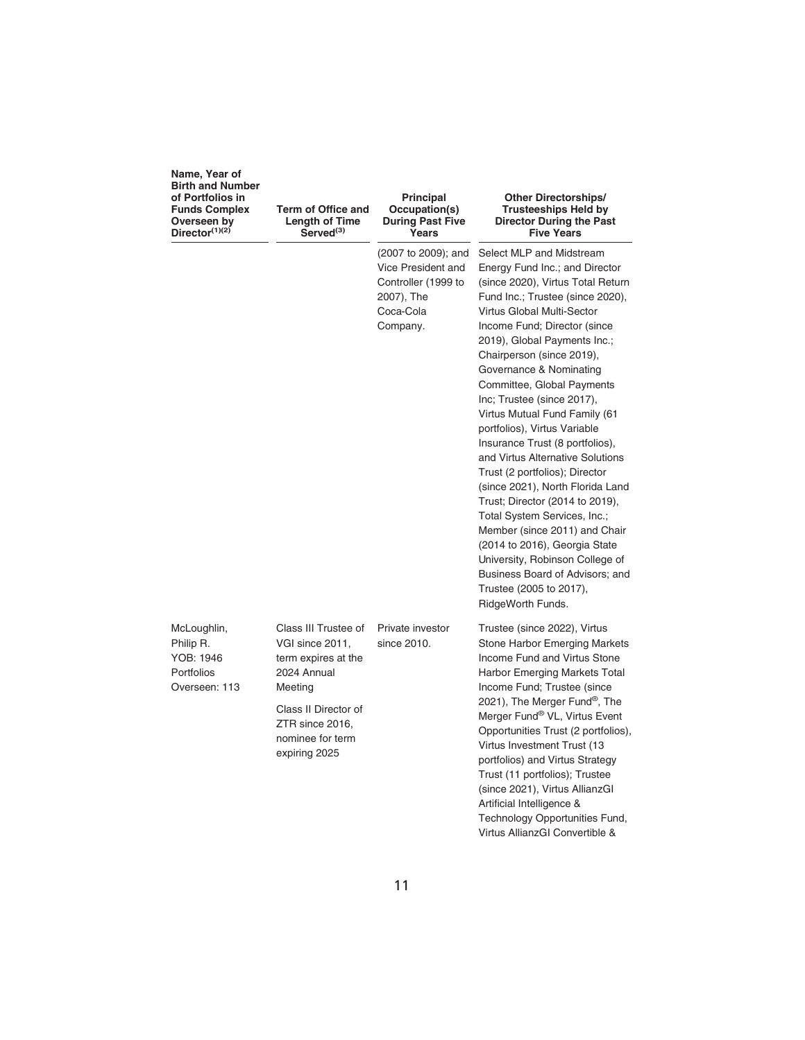| Name, Year of<br><b>Birth and Number</b><br>of Portfolios in<br><b>Funds Complex</b><br>Overseen by<br>Director $(1)(2)$ | Term of Office and<br>Length of Time<br>Served <sup>(3)</sup>                                                                                                            | Principal<br>Occupation(s)<br><b>During Past Five</b><br>Years                                          | <b>Other Directorships/</b><br><b>Trusteeships Held by</b><br><b>Director During the Past</b><br><b>Five Years</b>                                                                                                                                                                                                                                                                                                                                                                                                                                                                                                                                                                                                                                                                                                             |
|--------------------------------------------------------------------------------------------------------------------------|--------------------------------------------------------------------------------------------------------------------------------------------------------------------------|---------------------------------------------------------------------------------------------------------|--------------------------------------------------------------------------------------------------------------------------------------------------------------------------------------------------------------------------------------------------------------------------------------------------------------------------------------------------------------------------------------------------------------------------------------------------------------------------------------------------------------------------------------------------------------------------------------------------------------------------------------------------------------------------------------------------------------------------------------------------------------------------------------------------------------------------------|
|                                                                                                                          |                                                                                                                                                                          | (2007 to 2009); and<br>Vice President and<br>Controller (1999 to<br>2007), The<br>Coca-Cola<br>Company. | Select MLP and Midstream<br>Energy Fund Inc.; and Director<br>(since 2020), Virtus Total Return<br>Fund Inc.; Trustee (since 2020),<br>Virtus Global Multi-Sector<br>Income Fund; Director (since<br>2019), Global Payments Inc.;<br>Chairperson (since 2019),<br>Governance & Nominating<br>Committee, Global Payments<br>Inc; Trustee (since 2017),<br>Virtus Mutual Fund Family (61<br>portfolios), Virtus Variable<br>Insurance Trust (8 portfolios),<br>and Virtus Alternative Solutions<br>Trust (2 portfolios); Director<br>(since 2021), North Florida Land<br>Trust; Director (2014 to 2019),<br>Total System Services, Inc.;<br>Member (since 2011) and Chair<br>(2014 to 2016), Georgia State<br>University, Robinson College of<br>Business Board of Advisors; and<br>Trustee (2005 to 2017),<br>RidgeWorth Funds. |
| McLoughlin,<br>Philip R.<br>YOB: 1946<br>Portfolios<br>Overseen: 113                                                     | Class III Trustee of<br>VGI since 2011,<br>term expires at the<br>2024 Annual<br>Meeting<br>Class II Director of<br>ZTR since 2016.<br>nominee for term<br>expiring 2025 | Private investor<br>since 2010.                                                                         | Trustee (since 2022), Virtus<br>Stone Harbor Emerging Markets<br>Income Fund and Virtus Stone<br>Harbor Emerging Markets Total<br>Income Fund; Trustee (since<br>2021), The Merger Fund <sup>®</sup> , The<br>Merger Fund® VL, Virtus Event<br>Opportunities Trust (2 portfolios),<br>Virtus Investment Trust (13<br>portfolios) and Virtus Strategy<br>Trust (11 portfolios); Trustee<br>(since 2021), Virtus AllianzGI<br>Artificial Intelligence &<br>Technology Opportunities Fund,<br>Virtus AllianzGI Convertible &                                                                                                                                                                                                                                                                                                      |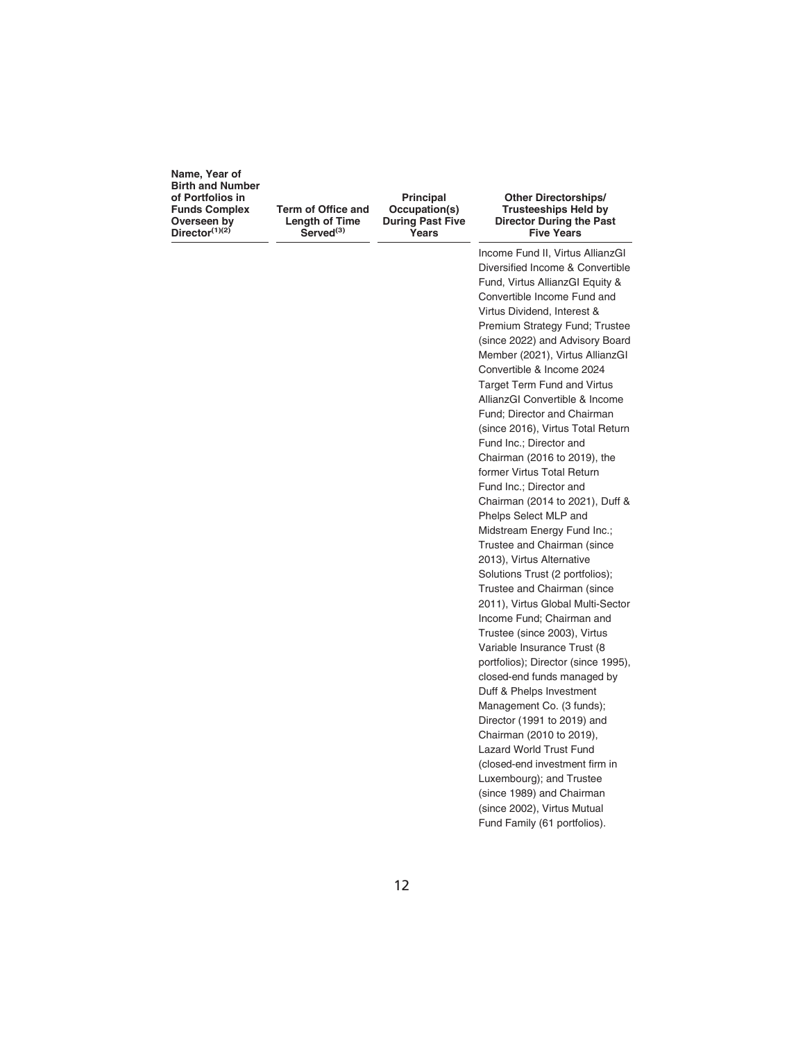**Term of Office and Length of Time Served(3)**

**Principal Occupation(s) During Past Five Years**

#### **Other Directorships/ Trusteeships Held by Director During the Past Five Years**

Income Fund II, Virtus AllianzGI Diversified Income & Convertible Fund, Virtus AllianzGI Equity & Convertible Income Fund and Virtus Dividend, Interest & Premium Strategy Fund; Trustee (since 2022) and Advisory Board Member (2021), Virtus AllianzGI Convertible & Income 2024 Target Term Fund and Virtus AllianzGI Convertible & Income Fund; Director and Chairman (since 2016), Virtus Total Return Fund Inc.; Director and Chairman (2016 to 2019), the former Virtus Total Return Fund Inc.; Director and Chairman (2014 to 2021), Duff & Phelps Select MLP and Midstream Energy Fund Inc.; Trustee and Chairman (since 2013), Virtus Alternative Solutions Trust (2 portfolios); Trustee and Chairman (since 2011), Virtus Global Multi-Sector Income Fund; Chairman and Trustee (since 2003), Virtus Variable Insurance Trust (8 portfolios); Director (since 1995), closed-end funds managed by Duff & Phelps Investment Management Co. (3 funds); Director (1991 to 2019) and Chairman (2010 to 2019), Lazard World Trust Fund (closed-end investment firm in Luxembourg); and Trustee (since 1989) and Chairman (since 2002), Virtus Mutual Fund Family (61 portfolios).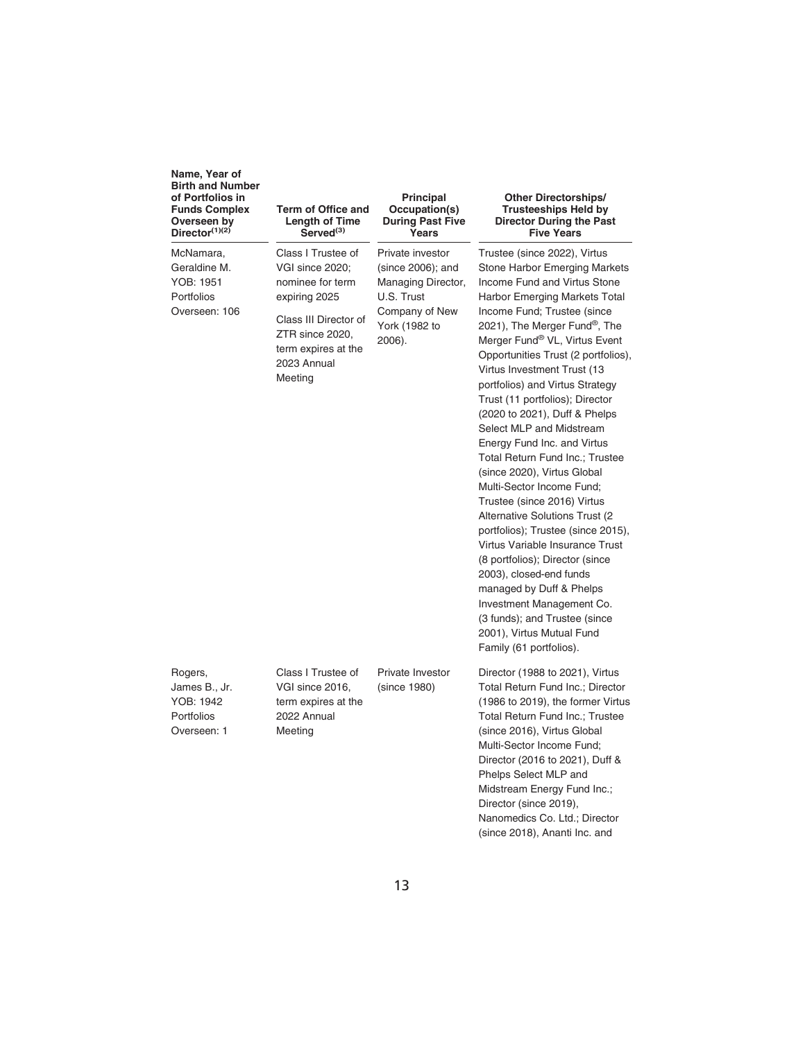| Name, Year of<br><b>Birth and Number</b><br>of Portfolios in<br><b>Funds Complex</b><br>Overseen by<br>Director $(1)(2)$ | Term of Office and<br>Length of Time<br>Served <sup>(3)</sup>                                                                                                           | <b>Principal</b><br>Occupation(s)<br><b>During Past Five</b><br>Years                                                  | <b>Other Directorships/</b><br><b>Trusteeships Held by</b><br><b>Director During the Past</b><br><b>Five Years</b>                                                                                                                                                                                                                                                                                                                                                                                                                                                                                                                                                                                                                                                                                                                                                                                                                            |
|--------------------------------------------------------------------------------------------------------------------------|-------------------------------------------------------------------------------------------------------------------------------------------------------------------------|------------------------------------------------------------------------------------------------------------------------|-----------------------------------------------------------------------------------------------------------------------------------------------------------------------------------------------------------------------------------------------------------------------------------------------------------------------------------------------------------------------------------------------------------------------------------------------------------------------------------------------------------------------------------------------------------------------------------------------------------------------------------------------------------------------------------------------------------------------------------------------------------------------------------------------------------------------------------------------------------------------------------------------------------------------------------------------|
| McNamara,<br>Geraldine M.<br>YOB: 1951<br>Portfolios<br>Overseen: 106                                                    | Class I Trustee of<br>VGI since 2020:<br>nominee for term<br>expiring 2025<br>Class III Director of<br>ZTR since 2020,<br>term expires at the<br>2023 Annual<br>Meeting | Private investor<br>(since 2006); and<br>Managing Director,<br>U.S. Trust<br>Company of New<br>York (1982 to<br>2006). | Trustee (since 2022), Virtus<br>Stone Harbor Emerging Markets<br>Income Fund and Virtus Stone<br>Harbor Emerging Markets Total<br>Income Fund; Trustee (since<br>2021), The Merger Fund <sup>®</sup> , The<br>Merger Fund® VL, Virtus Event<br>Opportunities Trust (2 portfolios),<br>Virtus Investment Trust (13<br>portfolios) and Virtus Strategy<br>Trust (11 portfolios); Director<br>(2020 to 2021), Duff & Phelps<br>Select MLP and Midstream<br>Energy Fund Inc. and Virtus<br>Total Return Fund Inc.; Trustee<br>(since 2020), Virtus Global<br>Multi-Sector Income Fund;<br>Trustee (since 2016) Virtus<br>Alternative Solutions Trust (2)<br>portfolios); Trustee (since 2015),<br>Virtus Variable Insurance Trust<br>(8 portfolios); Director (since<br>2003), closed-end funds<br>managed by Duff & Phelps<br>Investment Management Co.<br>(3 funds); and Trustee (since<br>2001), Virtus Mutual Fund<br>Family (61 portfolios). |
| Rogers,<br>James B., Jr.<br>YOB: 1942<br>Portfolios<br>Overseen: 1                                                       | Class I Trustee of<br>VGI since 2016,<br>term expires at the<br>2022 Annual<br>Meeting                                                                                  | Private Investor<br>(since 1980)                                                                                       | Director (1988 to 2021), Virtus<br>Total Return Fund Inc.; Director<br>(1986 to 2019), the former Virtus<br>Total Return Fund Inc.; Trustee<br>(since 2016), Virtus Global<br>Multi-Sector Income Fund;<br>Director (2016 to 2021), Duff &<br>Phelps Select MLP and<br>Midstream Energy Fund Inc.;<br>Director (since 2019),<br>Nanomedics Co. Ltd.; Director<br>(since 2018), Ananti Inc. and                                                                                                                                                                                                                                                                                                                                                                                                                                                                                                                                                |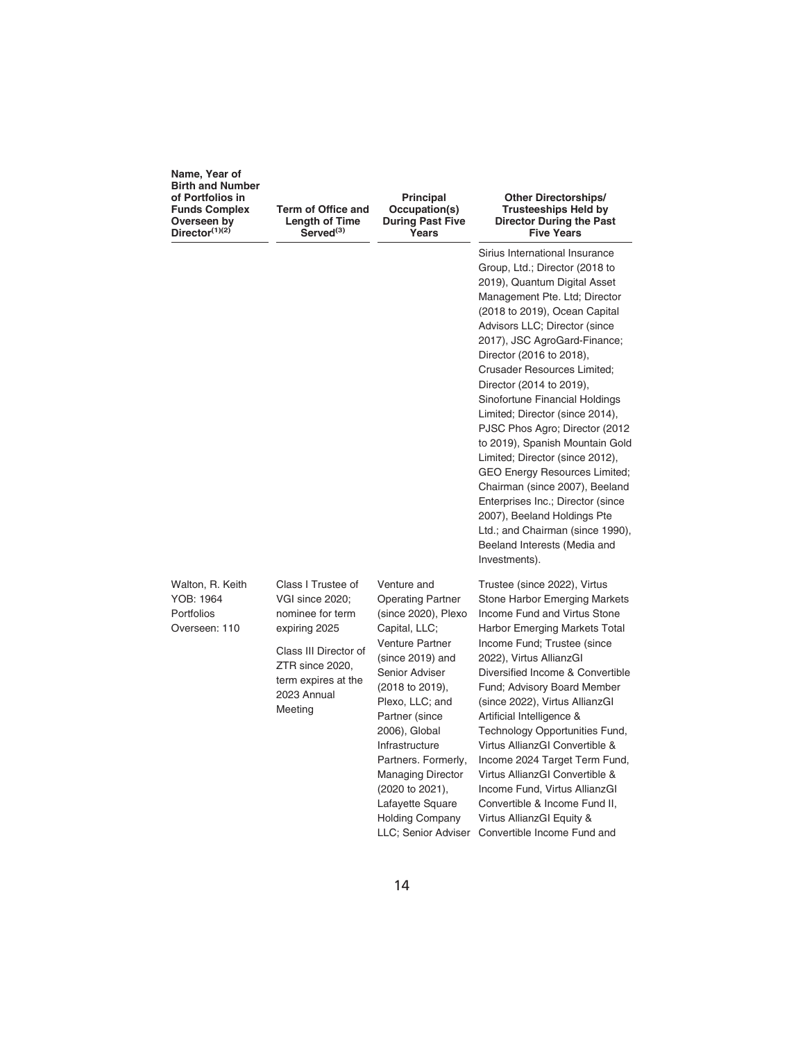| Name, Year of<br><b>Birth and Number</b><br>of Portfolios in<br><b>Funds Complex</b><br>Overseen by<br>Director $(1)(2)$ | Term of Office and<br><b>Length of Time</b><br>Served <sup>(3)</sup>                      | <b>Principal</b><br>Occupation(s)<br><b>During Past Five</b><br>Years                                                                                   | <b>Other Directorships/</b><br><b>Trusteeships Held by</b><br>Director During the Past<br><b>Five Years</b>                                                                                                                                                                                                                                                                                                                                                                                                                                                                                                                                                                                                                                        |
|--------------------------------------------------------------------------------------------------------------------------|-------------------------------------------------------------------------------------------|---------------------------------------------------------------------------------------------------------------------------------------------------------|----------------------------------------------------------------------------------------------------------------------------------------------------------------------------------------------------------------------------------------------------------------------------------------------------------------------------------------------------------------------------------------------------------------------------------------------------------------------------------------------------------------------------------------------------------------------------------------------------------------------------------------------------------------------------------------------------------------------------------------------------|
|                                                                                                                          |                                                                                           |                                                                                                                                                         | Sirius International Insurance<br>Group, Ltd.; Director (2018 to<br>2019), Quantum Digital Asset<br>Management Pte. Ltd; Director<br>(2018 to 2019), Ocean Capital<br>Advisors LLC; Director (since<br>2017), JSC AgroGard-Finance;<br>Director (2016 to 2018),<br><b>Crusader Resources Limited:</b><br>Director (2014 to 2019),<br>Sinofortune Financial Holdings<br>Limited; Director (since 2014),<br>PJSC Phos Agro; Director (2012)<br>to 2019), Spanish Mountain Gold<br>Limited; Director (since 2012),<br><b>GEO Energy Resources Limited;</b><br>Chairman (since 2007), Beeland<br>Enterprises Inc.; Director (since<br>2007), Beeland Holdings Pte<br>Ltd.; and Chairman (since 1990),<br>Beeland Interests (Media and<br>Investments). |
| Walton, R. Keith<br>YOB: 1964<br>Portfolios<br>Overseen: 110                                                             | Class I Trustee of<br>VGI since 2020;<br>nominee for term<br>expiring 2025                | Venture and<br><b>Operating Partner</b><br>(since 2020), Plexo<br>Capital, LLC;                                                                         | Trustee (since 2022), Virtus<br>Stone Harbor Emerging Markets<br>Income Fund and Virtus Stone<br>Harbor Emerging Markets Total                                                                                                                                                                                                                                                                                                                                                                                                                                                                                                                                                                                                                     |
|                                                                                                                          | Class III Director of<br>ZTR since 2020,<br>term expires at the<br>2023 Annual<br>Meeting | <b>Venture Partner</b><br>(since 2019) and<br>Senior Adviser<br>(2018 to 2019),<br>Plexo, LLC; and<br>Partner (since<br>2006), Global<br>Infrastructure | Income Fund; Trustee (since<br>2022), Virtus AllianzGI<br>Diversified Income & Convertible<br>Fund; Advisory Board Member<br>(since 2022), Virtus AllianzGI<br>Artificial Intelligence &<br>Technology Opportunities Fund,<br>Virtus AllianzGI Convertible &                                                                                                                                                                                                                                                                                                                                                                                                                                                                                       |

Partners. Formerly, Managing Director (2020 to 2021), Lafayette Square Holding Company

LLC; Senior Adviser Convertible Income Fund and

Income 2024 Target Term Fund, Virtus AllianzGI Convertible & Income Fund, Virtus AllianzGI Convertible & Income Fund II, Virtus AllianzGI Equity &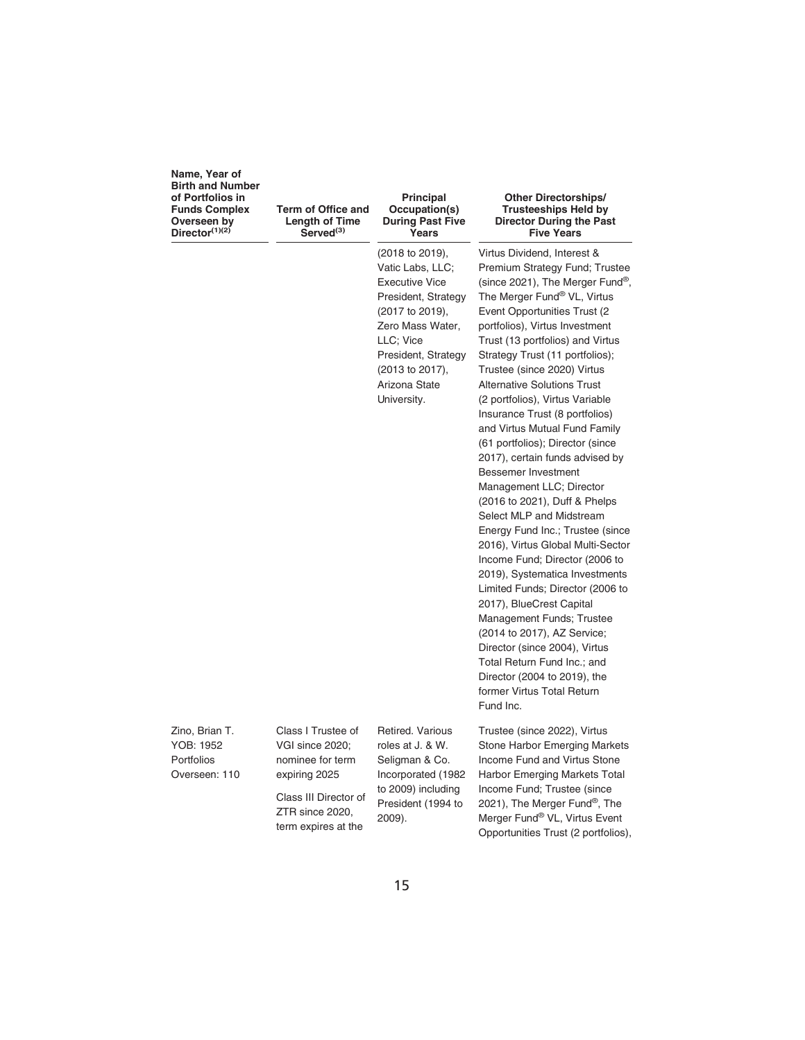| Name, Year of           |
|-------------------------|
| <b>Birth and Number</b> |
| of Portfolios in        |
| <b>Funds Complex</b>    |
| Overseen by             |
| Director $(1)(2)$       |

**Term of Office and Length of Time Served(3)**

#### **Principal Occupation(s) During Past Five Years**

(2018 to 2019), Vatic Labs, LLC; Executive Vice President, Strategy (2017 to 2019), Zero Mass Water, LLC; Vice President, Strategy (2013 to 2017), Arizona State University.

#### **Other Directorships/ Trusteeships Held by Director During the Past Five Years**

Virtus Dividend, Interest & Premium Strategy Fund; Trustee (since 2021), The Merger Fund®, The Merger Fund<sup>®</sup> VL, Virtus Event Opportunities Trust (2 portfolios), Virtus Investment Trust (13 portfolios) and Virtus Strategy Trust (11 portfolios); Trustee (since 2020) Virtus Alternative Solutions Trust (2 portfolios), Virtus Variable Insurance Trust (8 portfolios) and Virtus Mutual Fund Family (61 portfolios); Director (since 2017), certain funds advised by Bessemer Investment Management LLC; Director (2016 to 2021), Duff & Phelps Select MLP and Midstream Energy Fund Inc.; Trustee (since 2016), Virtus Global Multi-Sector Income Fund; Director (2006 to 2019), Systematica Investments Limited Funds; Director (2006 to 2017), BlueCrest Capital Management Funds; Trustee (2014 to 2017), AZ Service; Director (since 2004), Virtus Total Return Fund Inc.; and Director (2004 to 2019), the former Virtus Total Return Fund Inc.

Trustee (since 2022), Virtus Stone Harbor Emerging Markets Income Fund and Virtus Stone Harbor Emerging Markets Total Income Fund; Trustee (since 2021), The Merger Fund®, The Merger Fund® VL, Virtus Event Opportunities Trust (2 portfolios),

Zino, Brian T. YOB: 1952 Portfolios Overseen: 110

VGI since 2020; nominee for term expiring 2025 Class III Director of ZTR since 2020, term expires at the

Class I Trustee of

Retired. Various roles at J. & W. Seligman & Co. Incorporated (1982 to 2009) including President (1994 to 2009).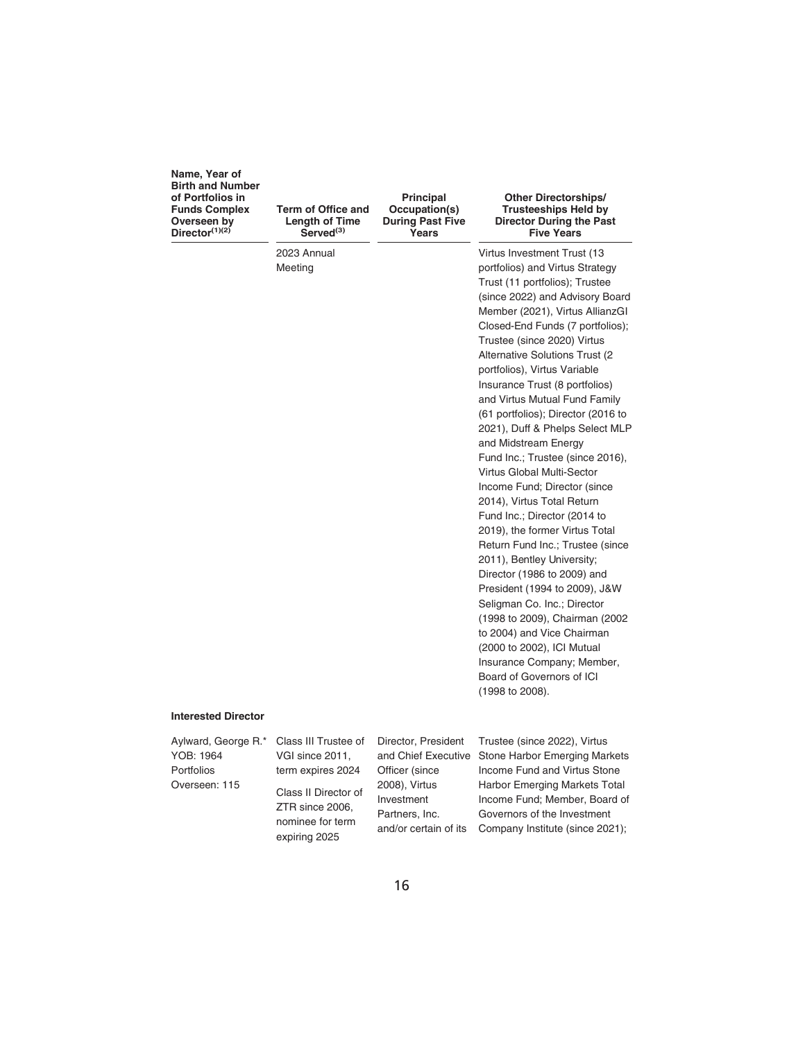| Name, Year of<br><b>Birth and Number</b><br>of Portfolios in<br><b>Funds Complex</b><br>Overseen by<br>Director $(1)(2)$ | Term of Office and<br><b>Length of Time</b><br>Served <sup>(3)</sup> | Principal<br>Occupation(s)<br><b>During Past Five</b><br>Years | <b>Other Directorships/</b><br><b>Trusteeships Held by</b><br><b>Director During the Past</b><br><b>Five Years</b> |
|--------------------------------------------------------------------------------------------------------------------------|----------------------------------------------------------------------|----------------------------------------------------------------|--------------------------------------------------------------------------------------------------------------------|
|                                                                                                                          | 2023 Annual                                                          |                                                                | Virtus Investment Trust (13                                                                                        |
|                                                                                                                          | Meeting                                                              |                                                                | portfolios) and Virtus Strategy                                                                                    |
|                                                                                                                          |                                                                      |                                                                | Trust (11 portfolios); Trustee                                                                                     |
|                                                                                                                          |                                                                      |                                                                | (since 2022) and Advisory Board                                                                                    |
|                                                                                                                          |                                                                      |                                                                | Member (2021), Virtus AllianzGI                                                                                    |
|                                                                                                                          |                                                                      |                                                                | Closed-End Funds (7 portfolios);                                                                                   |
|                                                                                                                          |                                                                      |                                                                | Trustee (since 2020) Virtus                                                                                        |
|                                                                                                                          |                                                                      |                                                                | Alternative Solutions Trust (2                                                                                     |
|                                                                                                                          |                                                                      |                                                                | portfolios), Virtus Variable                                                                                       |
|                                                                                                                          |                                                                      |                                                                | Insurance Trust (8 portfolios)                                                                                     |
|                                                                                                                          |                                                                      |                                                                | and Virtus Mutual Fund Family                                                                                      |
|                                                                                                                          |                                                                      |                                                                | (61 portfolios); Director (2016 to                                                                                 |
|                                                                                                                          |                                                                      |                                                                | 2021), Duff & Phelps Select MLP                                                                                    |
|                                                                                                                          |                                                                      |                                                                | and Midstream Energy                                                                                               |
|                                                                                                                          |                                                                      |                                                                | Fund Inc.; Trustee (since 2016),                                                                                   |
|                                                                                                                          |                                                                      |                                                                | Virtus Global Multi-Sector                                                                                         |
|                                                                                                                          |                                                                      |                                                                | Income Fund; Director (since                                                                                       |
|                                                                                                                          |                                                                      |                                                                | 2014), Virtus Total Return                                                                                         |
|                                                                                                                          |                                                                      |                                                                | Fund Inc.; Director (2014 to                                                                                       |
|                                                                                                                          |                                                                      |                                                                | 2019), the former Virtus Total                                                                                     |
|                                                                                                                          |                                                                      |                                                                | Return Fund Inc.; Trustee (since                                                                                   |
|                                                                                                                          |                                                                      |                                                                | 2011), Bentley University;                                                                                         |
|                                                                                                                          |                                                                      |                                                                | Director (1986 to 2009) and                                                                                        |
|                                                                                                                          |                                                                      |                                                                | President (1994 to 2009), J&W                                                                                      |
|                                                                                                                          |                                                                      |                                                                | Seligman Co. Inc.; Director                                                                                        |
|                                                                                                                          |                                                                      |                                                                | (1998 to 2009), Chairman (2002)                                                                                    |
|                                                                                                                          |                                                                      |                                                                | to 2004) and Vice Chairman                                                                                         |
|                                                                                                                          |                                                                      |                                                                | (2000 to 2002), ICI Mutual                                                                                         |
|                                                                                                                          |                                                                      |                                                                | Insurance Company; Member,<br>Board of Governors of ICI                                                            |
|                                                                                                                          |                                                                      |                                                                |                                                                                                                    |
|                                                                                                                          |                                                                      |                                                                | (1998 to 2008).                                                                                                    |

#### **Interested Director**

Aylward, George R.\* YOB: 1964 Portfolios Overseen: 115

Class III Trustee of VGI since 2011, term expires 2024 Class II Director of ZTR since 2006, nominee for term expiring 2025

Director, President Officer (since 2008), Virtus Investment Partners, Inc. and/or certain of its

and Chief Executive Stone Harbor Emerging Markets Trustee (since 2022), Virtus Income Fund and Virtus Stone Harbor Emerging Markets Total Income Fund; Member, Board of Governors of the Investment Company Institute (since 2021);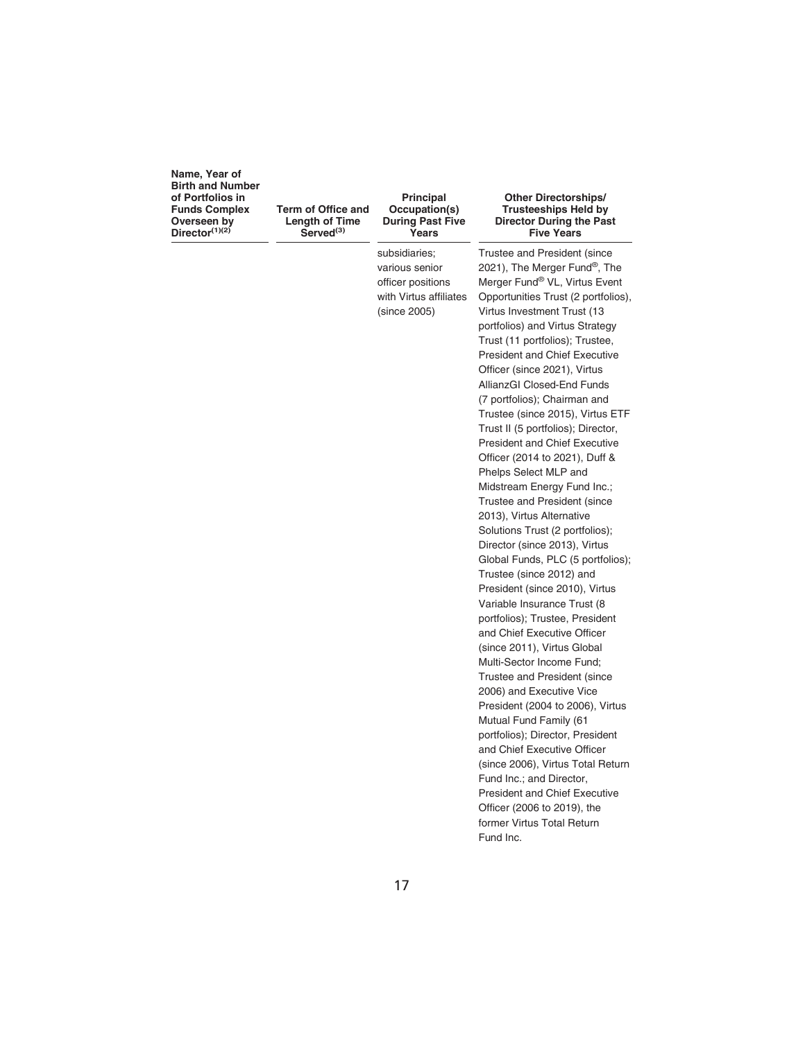**Term of Office and Length of Time Served(3)**

#### **Principal Occupation(s) During Past Five Years**

subsidiaries; various senior officer positions with Virtus affiliates (since 2005)

#### **Other Directorships/ Trusteeships Held by Director During the Past Five Years**

Trustee and President (since 2021), The Merger Fund®, The Merger Fund® VL, Virtus Event Opportunities Trust (2 portfolios), Virtus Investment Trust (13 portfolios) and Virtus Strategy Trust (11 portfolios); Trustee, President and Chief Executive Officer (since 2021), Virtus AllianzGI Closed-End Funds (7 portfolios); Chairman and Trustee (since 2015), Virtus ETF Trust II (5 portfolios); Director, President and Chief Executive Officer (2014 to 2021), Duff & Phelps Select MLP and Midstream Energy Fund Inc.; Trustee and President (since 2013), Virtus Alternative Solutions Trust (2 portfolios); Director (since 2013), Virtus Global Funds, PLC (5 portfolios); Trustee (since 2012) and President (since 2010), Virtus Variable Insurance Trust (8 portfolios); Trustee, President and Chief Executive Officer (since 2011), Virtus Global Multi-Sector Income Fund; Trustee and President (since 2006) and Executive Vice President (2004 to 2006), Virtus Mutual Fund Family (61 portfolios); Director, President and Chief Executive Officer (since 2006), Virtus Total Return Fund Inc.; and Director, President and Chief Executive Officer (2006 to 2019), the former Virtus Total Return Fund Inc.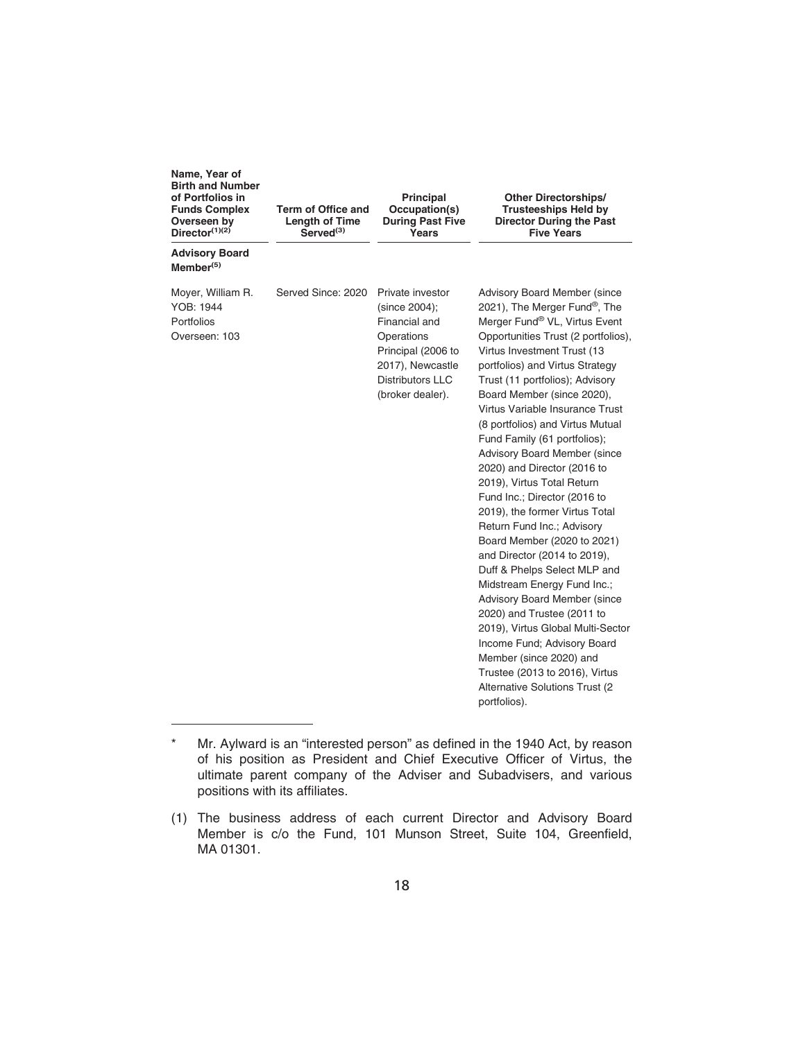| Name, Year of<br><b>Birth and Number</b><br>of Portfolios in<br><b>Funds Complex</b><br>Overseen by<br>Director $(1)(2)$ | Term of Office and<br><b>Length of Time</b><br>Served <sup>(3)</sup> | <b>Principal</b><br>Occupation(s)<br><b>During Past Five</b><br>Years                                                                                     | <b>Other Directorships/</b><br><b>Trusteeships Held by</b><br><b>Director During the Past</b><br><b>Five Years</b>                                                                                                                                                                                                                                                                                                                                                                                                                                                                                                                                                                                                                                                                                                                                                                                                                                                              |
|--------------------------------------------------------------------------------------------------------------------------|----------------------------------------------------------------------|-----------------------------------------------------------------------------------------------------------------------------------------------------------|---------------------------------------------------------------------------------------------------------------------------------------------------------------------------------------------------------------------------------------------------------------------------------------------------------------------------------------------------------------------------------------------------------------------------------------------------------------------------------------------------------------------------------------------------------------------------------------------------------------------------------------------------------------------------------------------------------------------------------------------------------------------------------------------------------------------------------------------------------------------------------------------------------------------------------------------------------------------------------|
| <b>Advisory Board</b><br>$M$ ember $(5)$                                                                                 |                                                                      |                                                                                                                                                           |                                                                                                                                                                                                                                                                                                                                                                                                                                                                                                                                                                                                                                                                                                                                                                                                                                                                                                                                                                                 |
| Moyer, William R.<br>YOB: 1944<br>Portfolios<br>Overseen: 103                                                            | Served Since: 2020                                                   | Private investor<br>(since 2004);<br>Financial and<br>Operations<br>Principal (2006 to<br>2017), Newcastle<br><b>Distributors LLC</b><br>(broker dealer). | <b>Advisory Board Member (since</b><br>2021), The Merger Fund®, The<br>Merger Fund® VL, Virtus Event<br>Opportunities Trust (2 portfolios),<br>Virtus Investment Trust (13<br>portfolios) and Virtus Strategy<br>Trust (11 portfolios); Advisory<br>Board Member (since 2020),<br>Virtus Variable Insurance Trust<br>(8 portfolios) and Virtus Mutual<br>Fund Family (61 portfolios);<br><b>Advisory Board Member (since</b><br>2020) and Director (2016 to<br>2019), Virtus Total Return<br>Fund Inc.; Director (2016 to<br>2019), the former Virtus Total<br>Return Fund Inc.; Advisory<br>Board Member (2020 to 2021)<br>and Director (2014 to 2019),<br>Duff & Phelps Select MLP and<br>Midstream Energy Fund Inc.;<br><b>Advisory Board Member (since</b><br>2020) and Trustee (2011 to<br>2019), Virtus Global Multi-Sector<br>Income Fund; Advisory Board<br>Member (since 2020) and<br>Trustee (2013 to 2016), Virtus<br>Alternative Solutions Trust (2<br>portfolios). |

Mr. Aylward is an "interested person" as defined in the 1940 Act, by reason of his position as President and Chief Executive Officer of Virtus, the ultimate parent company of the Adviser and Subadvisers, and various positions with its affiliates.

<sup>(1)</sup> The business address of each current Director and Advisory Board Member is c/o the Fund, 101 Munson Street, Suite 104, Greenfield, MA 01301.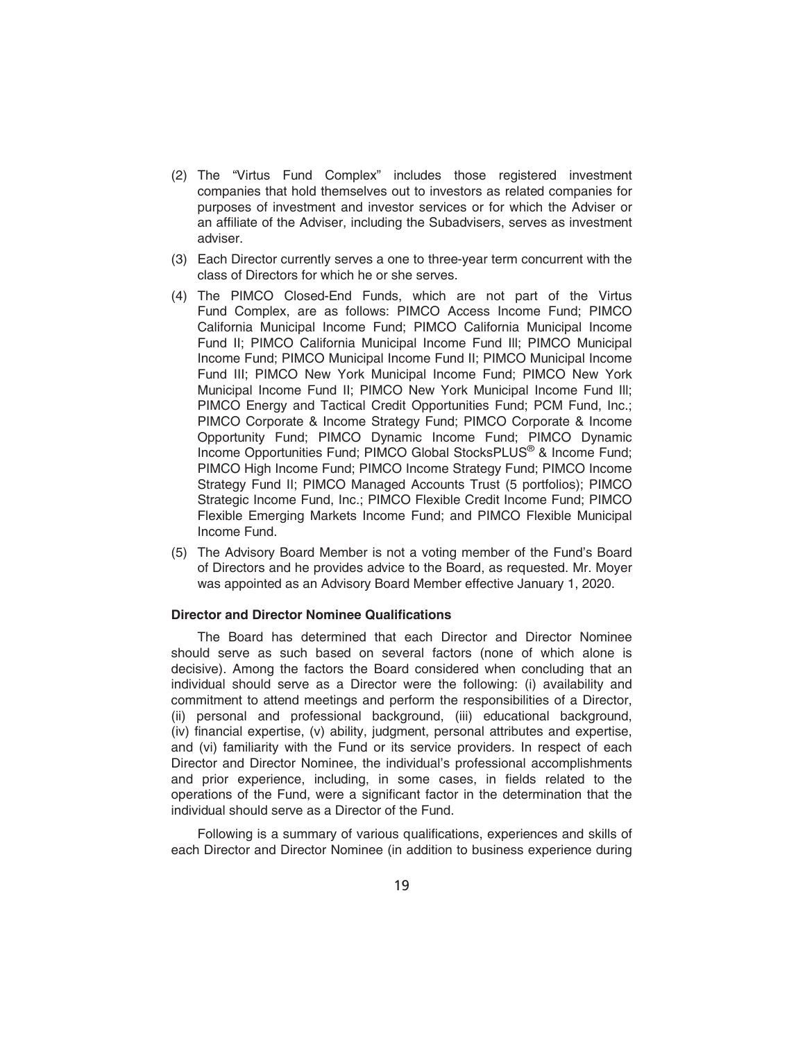- (2) The "Virtus Fund Complex" includes those registered investment companies that hold themselves out to investors as related companies for purposes of investment and investor services or for which the Adviser or an affiliate of the Adviser, including the Subadvisers, serves as investment adviser.
- (3) Each Director currently serves a one to three-year term concurrent with the class of Directors for which he or she serves.
- (4) The PIMCO Closed-End Funds, which are not part of the Virtus Fund Complex, are as follows: PIMCO Access Income Fund; PIMCO California Municipal Income Fund; PIMCO California Municipal Income Fund II; PIMCO California Municipal Income Fund Ill; PIMCO Municipal Income Fund; PIMCO Municipal Income Fund II; PIMCO Municipal Income Fund III; PIMCO New York Municipal Income Fund; PIMCO New York Municipal Income Fund II; PIMCO New York Municipal Income Fund Ill; PIMCO Energy and Tactical Credit Opportunities Fund; PCM Fund, Inc.; PIMCO Corporate & Income Strategy Fund; PIMCO Corporate & Income Opportunity Fund; PIMCO Dynamic Income Fund; PIMCO Dynamic Income Opportunities Fund; PIMCO Global StocksPLUS® & Income Fund; PIMCO High Income Fund; PIMCO Income Strategy Fund; PIMCO Income Strategy Fund II; PIMCO Managed Accounts Trust (5 portfolios); PIMCO Strategic Income Fund, Inc.; PIMCO Flexible Credit Income Fund; PIMCO Flexible Emerging Markets Income Fund; and PIMCO Flexible Municipal Income Fund.
- (5) The Advisory Board Member is not a voting member of the Fund's Board of Directors and he provides advice to the Board, as requested. Mr. Moyer was appointed as an Advisory Board Member effective January 1, 2020.

## **Director and Director Nominee Qualifications**

The Board has determined that each Director and Director Nominee should serve as such based on several factors (none of which alone is decisive). Among the factors the Board considered when concluding that an individual should serve as a Director were the following: (i) availability and commitment to attend meetings and perform the responsibilities of a Director, (ii) personal and professional background, (iii) educational background, (iv) financial expertise, (v) ability, judgment, personal attributes and expertise, and (vi) familiarity with the Fund or its service providers. In respect of each Director and Director Nominee, the individual's professional accomplishments and prior experience, including, in some cases, in fields related to the operations of the Fund, were a significant factor in the determination that the individual should serve as a Director of the Fund.

Following is a summary of various qualifications, experiences and skills of each Director and Director Nominee (in addition to business experience during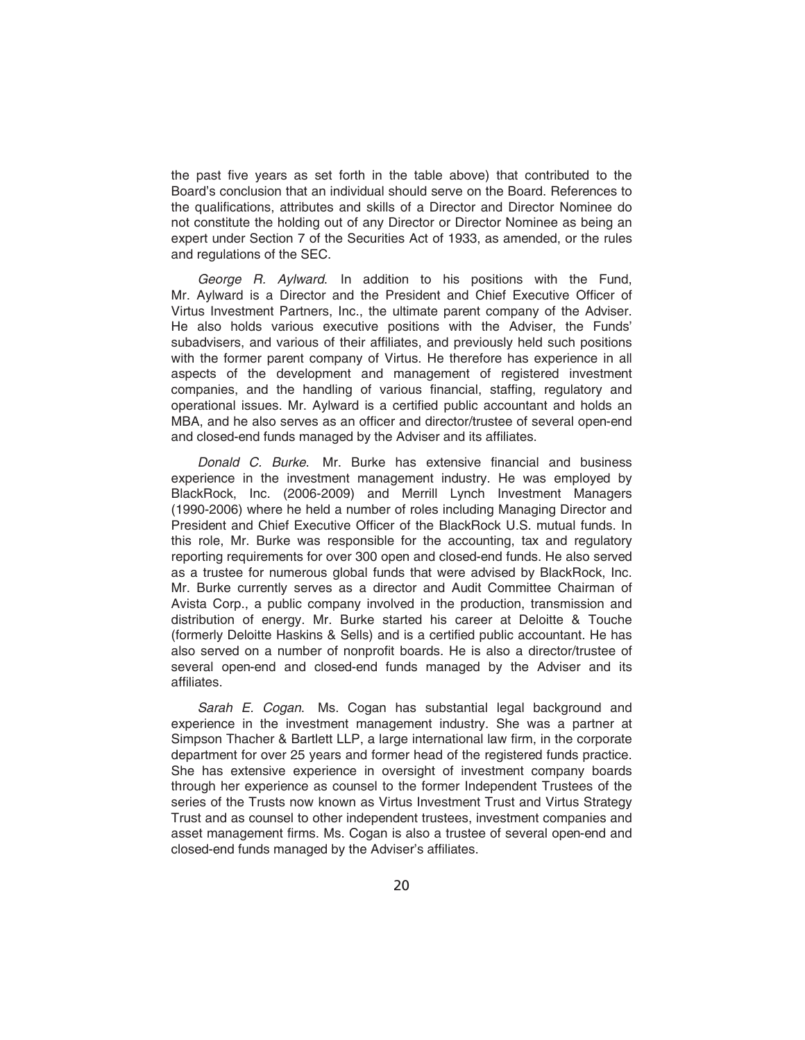the past five years as set forth in the table above) that contributed to the Board's conclusion that an individual should serve on the Board. References to the qualifications, attributes and skills of a Director and Director Nominee do not constitute the holding out of any Director or Director Nominee as being an expert under Section 7 of the Securities Act of 1933, as amended, or the rules and regulations of the SEC.

*George R. Aylward*. In addition to his positions with the Fund, Mr. Aylward is a Director and the President and Chief Executive Officer of Virtus Investment Partners, Inc., the ultimate parent company of the Adviser. He also holds various executive positions with the Adviser, the Funds' subadvisers, and various of their affiliates, and previously held such positions with the former parent company of Virtus. He therefore has experience in all aspects of the development and management of registered investment companies, and the handling of various financial, staffing, regulatory and operational issues. Mr. Aylward is a certified public accountant and holds an MBA, and he also serves as an officer and director/trustee of several open-end and closed-end funds managed by the Adviser and its affiliates.

*Donald C. Burke*. Mr. Burke has extensive financial and business experience in the investment management industry. He was employed by BlackRock, Inc. (2006-2009) and Merrill Lynch Investment Managers (1990-2006) where he held a number of roles including Managing Director and President and Chief Executive Officer of the BlackRock U.S. mutual funds. In this role, Mr. Burke was responsible for the accounting, tax and regulatory reporting requirements for over 300 open and closed-end funds. He also served as a trustee for numerous global funds that were advised by BlackRock, Inc. Mr. Burke currently serves as a director and Audit Committee Chairman of Avista Corp., a public company involved in the production, transmission and distribution of energy. Mr. Burke started his career at Deloitte & Touche (formerly Deloitte Haskins & Sells) and is a certified public accountant. He has also served on a number of nonprofit boards. He is also a director/trustee of several open-end and closed-end funds managed by the Adviser and its affiliates.

*Sarah E. Cogan*. Ms. Cogan has substantial legal background and experience in the investment management industry. She was a partner at Simpson Thacher & Bartlett LLP, a large international law firm, in the corporate department for over 25 years and former head of the registered funds practice. She has extensive experience in oversight of investment company boards through her experience as counsel to the former Independent Trustees of the series of the Trusts now known as Virtus Investment Trust and Virtus Strategy Trust and as counsel to other independent trustees, investment companies and asset management firms. Ms. Cogan is also a trustee of several open-end and closed-end funds managed by the Adviser's affiliates.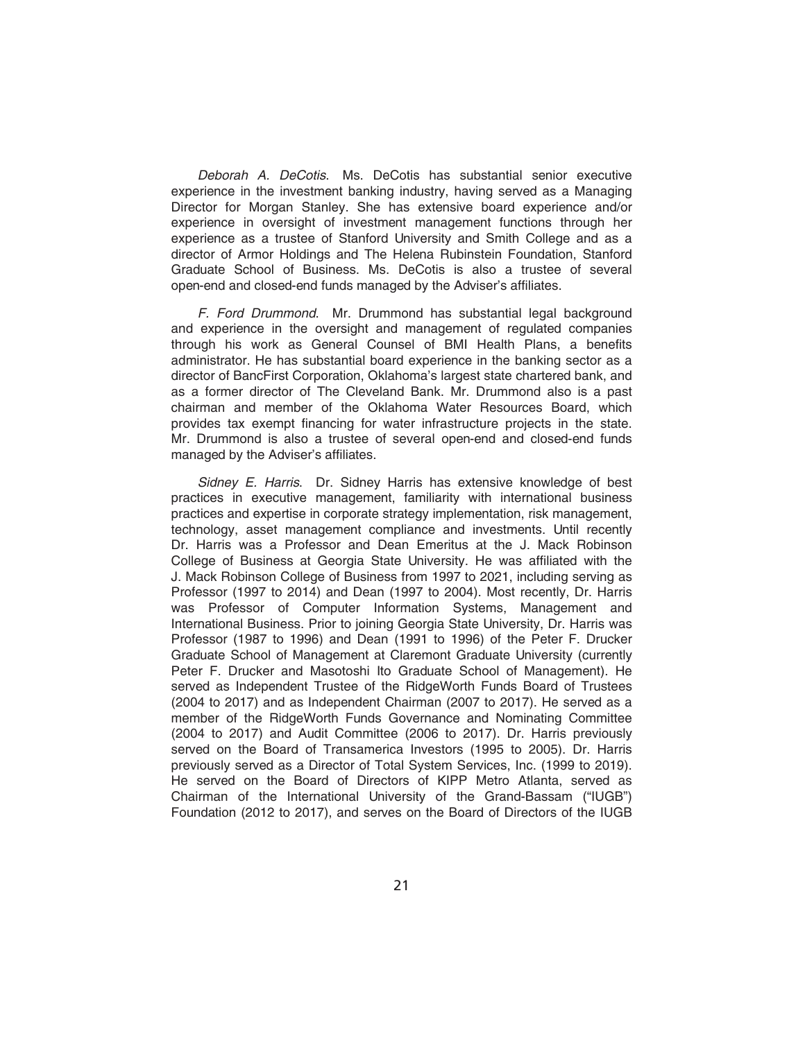*Deborah A. DeCotis*. Ms. DeCotis has substantial senior executive experience in the investment banking industry, having served as a Managing Director for Morgan Stanley. She has extensive board experience and/or experience in oversight of investment management functions through her experience as a trustee of Stanford University and Smith College and as a director of Armor Holdings and The Helena Rubinstein Foundation, Stanford Graduate School of Business. Ms. DeCotis is also a trustee of several open-end and closed-end funds managed by the Adviser's affiliates.

*F. Ford Drummond*. Mr. Drummond has substantial legal background and experience in the oversight and management of regulated companies through his work as General Counsel of BMI Health Plans, a benefits administrator. He has substantial board experience in the banking sector as a director of BancFirst Corporation, Oklahoma's largest state chartered bank, and as a former director of The Cleveland Bank. Mr. Drummond also is a past chairman and member of the Oklahoma Water Resources Board, which provides tax exempt financing for water infrastructure projects in the state. Mr. Drummond is also a trustee of several open-end and closed-end funds managed by the Adviser's affiliates.

*Sidney E. Harris*. Dr. Sidney Harris has extensive knowledge of best practices in executive management, familiarity with international business practices and expertise in corporate strategy implementation, risk management, technology, asset management compliance and investments. Until recently Dr. Harris was a Professor and Dean Emeritus at the J. Mack Robinson College of Business at Georgia State University. He was affiliated with the J. Mack Robinson College of Business from 1997 to 2021, including serving as Professor (1997 to 2014) and Dean (1997 to 2004). Most recently, Dr. Harris was Professor of Computer Information Systems, Management and International Business. Prior to joining Georgia State University, Dr. Harris was Professor (1987 to 1996) and Dean (1991 to 1996) of the Peter F. Drucker Graduate School of Management at Claremont Graduate University (currently Peter F. Drucker and Masotoshi Ito Graduate School of Management). He served as Independent Trustee of the RidgeWorth Funds Board of Trustees (2004 to 2017) and as Independent Chairman (2007 to 2017). He served as a member of the RidgeWorth Funds Governance and Nominating Committee (2004 to 2017) and Audit Committee (2006 to 2017). Dr. Harris previously served on the Board of Transamerica Investors (1995 to 2005). Dr. Harris previously served as a Director of Total System Services, Inc. (1999 to 2019). He served on the Board of Directors of KIPP Metro Atlanta, served as Chairman of the International University of the Grand-Bassam ("IUGB") Foundation (2012 to 2017), and serves on the Board of Directors of the IUGB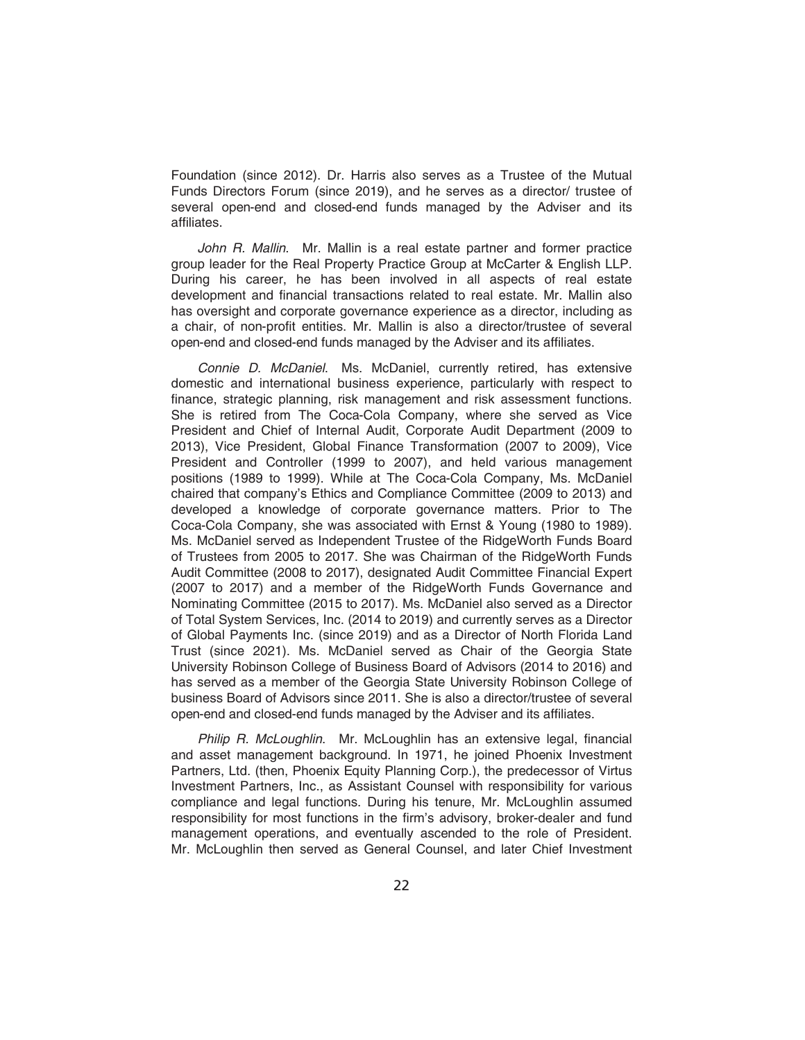Foundation (since 2012). Dr. Harris also serves as a Trustee of the Mutual Funds Directors Forum (since 2019), and he serves as a director/ trustee of several open-end and closed-end funds managed by the Adviser and its affiliates.

*John R. Mallin*. Mr. Mallin is a real estate partner and former practice group leader for the Real Property Practice Group at McCarter & English LLP. During his career, he has been involved in all aspects of real estate development and financial transactions related to real estate. Mr. Mallin also has oversight and corporate governance experience as a director, including as a chair, of non-profit entities. Mr. Mallin is also a director/trustee of several open-end and closed-end funds managed by the Adviser and its affiliates.

*Connie D. McDaniel*. Ms. McDaniel, currently retired, has extensive domestic and international business experience, particularly with respect to finance, strategic planning, risk management and risk assessment functions. She is retired from The Coca-Cola Company, where she served as Vice President and Chief of Internal Audit, Corporate Audit Department (2009 to 2013), Vice President, Global Finance Transformation (2007 to 2009), Vice President and Controller (1999 to 2007), and held various management positions (1989 to 1999). While at The Coca-Cola Company, Ms. McDaniel chaired that company's Ethics and Compliance Committee (2009 to 2013) and developed a knowledge of corporate governance matters. Prior to The Coca-Cola Company, she was associated with Ernst & Young (1980 to 1989). Ms. McDaniel served as Independent Trustee of the RidgeWorth Funds Board of Trustees from 2005 to 2017. She was Chairman of the RidgeWorth Funds Audit Committee (2008 to 2017), designated Audit Committee Financial Expert (2007 to 2017) and a member of the RidgeWorth Funds Governance and Nominating Committee (2015 to 2017). Ms. McDaniel also served as a Director of Total System Services, Inc. (2014 to 2019) and currently serves as a Director of Global Payments Inc. (since 2019) and as a Director of North Florida Land Trust (since 2021). Ms. McDaniel served as Chair of the Georgia State University Robinson College of Business Board of Advisors (2014 to 2016) and has served as a member of the Georgia State University Robinson College of business Board of Advisors since 2011. She is also a director/trustee of several open-end and closed-end funds managed by the Adviser and its affiliates.

*Philip R. McLoughlin*. Mr. McLoughlin has an extensive legal, financial and asset management background. In 1971, he joined Phoenix Investment Partners, Ltd. (then, Phoenix Equity Planning Corp.), the predecessor of Virtus Investment Partners, Inc., as Assistant Counsel with responsibility for various compliance and legal functions. During his tenure, Mr. McLoughlin assumed responsibility for most functions in the firm's advisory, broker-dealer and fund management operations, and eventually ascended to the role of President. Mr. McLoughlin then served as General Counsel, and later Chief Investment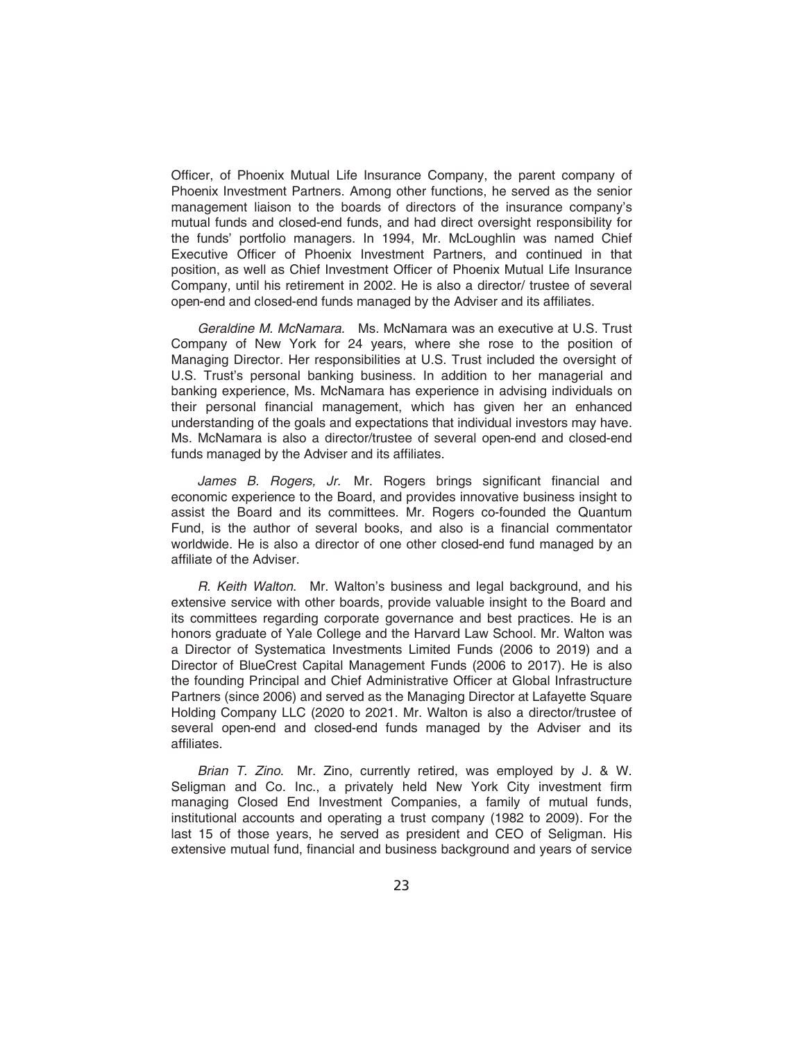Officer, of Phoenix Mutual Life Insurance Company, the parent company of Phoenix Investment Partners. Among other functions, he served as the senior management liaison to the boards of directors of the insurance company's mutual funds and closed-end funds, and had direct oversight responsibility for the funds' portfolio managers. In 1994, Mr. McLoughlin was named Chief Executive Officer of Phoenix Investment Partners, and continued in that position, as well as Chief Investment Officer of Phoenix Mutual Life Insurance Company, until his retirement in 2002. He is also a director/ trustee of several open-end and closed-end funds managed by the Adviser and its affiliates.

*Geraldine M. McNamara*. Ms. McNamara was an executive at U.S. Trust Company of New York for 24 years, where she rose to the position of Managing Director. Her responsibilities at U.S. Trust included the oversight of U.S. Trust's personal banking business. In addition to her managerial and banking experience, Ms. McNamara has experience in advising individuals on their personal financial management, which has given her an enhanced understanding of the goals and expectations that individual investors may have. Ms. McNamara is also a director/trustee of several open-end and closed-end funds managed by the Adviser and its affiliates.

*James B. Rogers, Jr.* Mr. Rogers brings significant financial and economic experience to the Board, and provides innovative business insight to assist the Board and its committees. Mr. Rogers co-founded the Quantum Fund, is the author of several books, and also is a financial commentator worldwide. He is also a director of one other closed-end fund managed by an affiliate of the Adviser.

*R. Keith Walton*. Mr. Walton's business and legal background, and his extensive service with other boards, provide valuable insight to the Board and its committees regarding corporate governance and best practices. He is an honors graduate of Yale College and the Harvard Law School. Mr. Walton was a Director of Systematica Investments Limited Funds (2006 to 2019) and a Director of BlueCrest Capital Management Funds (2006 to 2017). He is also the founding Principal and Chief Administrative Officer at Global Infrastructure Partners (since 2006) and served as the Managing Director at Lafayette Square Holding Company LLC (2020 to 2021. Mr. Walton is also a director/trustee of several open-end and closed-end funds managed by the Adviser and its affiliates.

*Brian T. Zino*. Mr. Zino, currently retired, was employed by J. & W. Seligman and Co. Inc., a privately held New York City investment firm managing Closed End Investment Companies, a family of mutual funds, institutional accounts and operating a trust company (1982 to 2009). For the last 15 of those years, he served as president and CEO of Seligman. His extensive mutual fund, financial and business background and years of service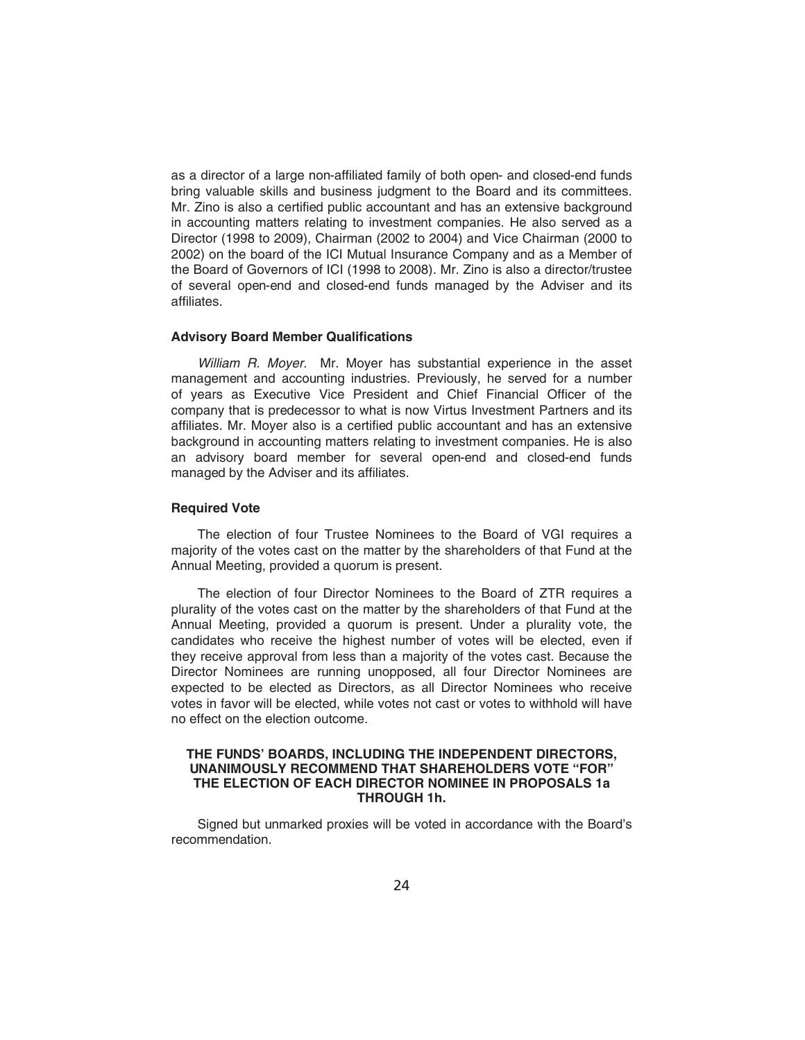as a director of a large non-affiliated family of both open- and closed-end funds bring valuable skills and business judgment to the Board and its committees. Mr. Zino is also a certified public accountant and has an extensive background in accounting matters relating to investment companies. He also served as a Director (1998 to 2009), Chairman (2002 to 2004) and Vice Chairman (2000 to 2002) on the board of the ICI Mutual Insurance Company and as a Member of the Board of Governors of ICI (1998 to 2008). Mr. Zino is also a director/trustee of several open-end and closed-end funds managed by the Adviser and its affiliates.

## **Advisory Board Member Qualifications**

*William R. Moyer.* Mr. Moyer has substantial experience in the asset management and accounting industries. Previously, he served for a number of years as Executive Vice President and Chief Financial Officer of the company that is predecessor to what is now Virtus Investment Partners and its affiliates. Mr. Moyer also is a certified public accountant and has an extensive background in accounting matters relating to investment companies. He is also an advisory board member for several open-end and closed-end funds managed by the Adviser and its affiliates.

## **Required Vote**

The election of four Trustee Nominees to the Board of VGI requires a majority of the votes cast on the matter by the shareholders of that Fund at the Annual Meeting, provided a quorum is present.

The election of four Director Nominees to the Board of ZTR requires a plurality of the votes cast on the matter by the shareholders of that Fund at the Annual Meeting, provided a quorum is present. Under a plurality vote, the candidates who receive the highest number of votes will be elected, even if they receive approval from less than a majority of the votes cast. Because the Director Nominees are running unopposed, all four Director Nominees are expected to be elected as Directors, as all Director Nominees who receive votes in favor will be elected, while votes not cast or votes to withhold will have no effect on the election outcome.

### **THE FUNDS' BOARDS, INCLUDING THE INDEPENDENT DIRECTORS, UNANIMOUSLY RECOMMEND THAT SHAREHOLDERS VOTE "FOR" THE ELECTION OF EACH DIRECTOR NOMINEE IN PROPOSALS 1a THROUGH 1h.**

Signed but unmarked proxies will be voted in accordance with the Board's recommendation.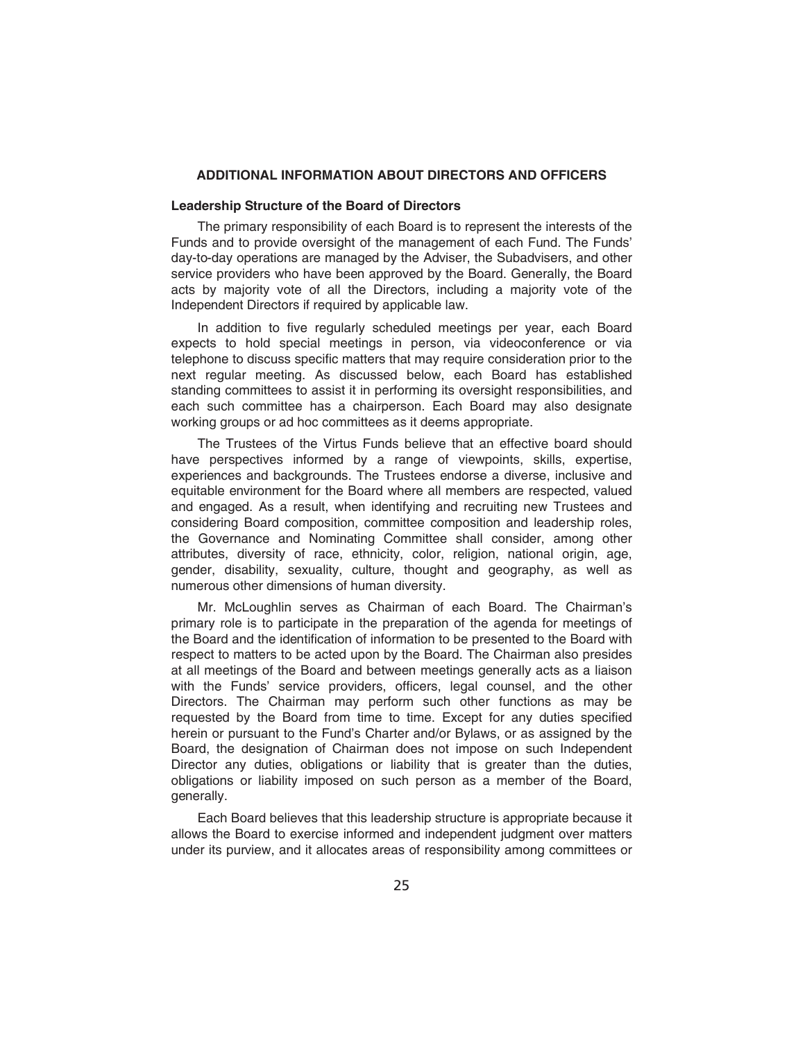## **ADDITIONAL INFORMATION ABOUT DIRECTORS AND OFFICERS**

### **Leadership Structure of the Board of Directors**

The primary responsibility of each Board is to represent the interests of the Funds and to provide oversight of the management of each Fund. The Funds' day-to-day operations are managed by the Adviser, the Subadvisers, and other service providers who have been approved by the Board. Generally, the Board acts by majority vote of all the Directors, including a majority vote of the Independent Directors if required by applicable law.

In addition to five regularly scheduled meetings per year, each Board expects to hold special meetings in person, via videoconference or via telephone to discuss specific matters that may require consideration prior to the next regular meeting. As discussed below, each Board has established standing committees to assist it in performing its oversight responsibilities, and each such committee has a chairperson. Each Board may also designate working groups or ad hoc committees as it deems appropriate.

The Trustees of the Virtus Funds believe that an effective board should have perspectives informed by a range of viewpoints, skills, expertise, experiences and backgrounds. The Trustees endorse a diverse, inclusive and equitable environment for the Board where all members are respected, valued and engaged. As a result, when identifying and recruiting new Trustees and considering Board composition, committee composition and leadership roles, the Governance and Nominating Committee shall consider, among other attributes, diversity of race, ethnicity, color, religion, national origin, age, gender, disability, sexuality, culture, thought and geography, as well as numerous other dimensions of human diversity.

Mr. McLoughlin serves as Chairman of each Board. The Chairman's primary role is to participate in the preparation of the agenda for meetings of the Board and the identification of information to be presented to the Board with respect to matters to be acted upon by the Board. The Chairman also presides at all meetings of the Board and between meetings generally acts as a liaison with the Funds' service providers, officers, legal counsel, and the other Directors. The Chairman may perform such other functions as may be requested by the Board from time to time. Except for any duties specified herein or pursuant to the Fund's Charter and/or Bylaws, or as assigned by the Board, the designation of Chairman does not impose on such Independent Director any duties, obligations or liability that is greater than the duties, obligations or liability imposed on such person as a member of the Board, generally.

Each Board believes that this leadership structure is appropriate because it allows the Board to exercise informed and independent judgment over matters under its purview, and it allocates areas of responsibility among committees or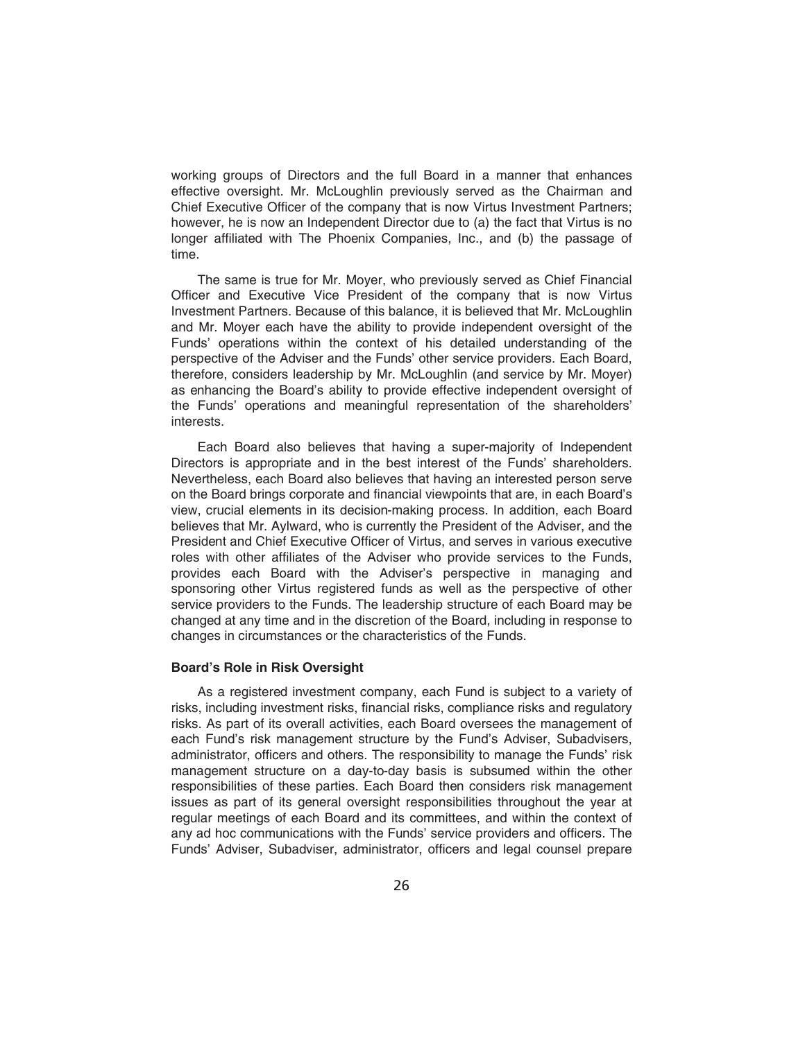working groups of Directors and the full Board in a manner that enhances effective oversight. Mr. McLoughlin previously served as the Chairman and Chief Executive Officer of the company that is now Virtus Investment Partners; however, he is now an Independent Director due to (a) the fact that Virtus is no longer affiliated with The Phoenix Companies, Inc., and (b) the passage of time.

The same is true for Mr. Moyer, who previously served as Chief Financial Officer and Executive Vice President of the company that is now Virtus Investment Partners. Because of this balance, it is believed that Mr. McLoughlin and Mr. Moyer each have the ability to provide independent oversight of the Funds' operations within the context of his detailed understanding of the perspective of the Adviser and the Funds' other service providers. Each Board, therefore, considers leadership by Mr. McLoughlin (and service by Mr. Moyer) as enhancing the Board's ability to provide effective independent oversight of the Funds' operations and meaningful representation of the shareholders' interests.

Each Board also believes that having a super-majority of Independent Directors is appropriate and in the best interest of the Funds' shareholders. Nevertheless, each Board also believes that having an interested person serve on the Board brings corporate and financial viewpoints that are, in each Board's view, crucial elements in its decision-making process. In addition, each Board believes that Mr. Aylward, who is currently the President of the Adviser, and the President and Chief Executive Officer of Virtus, and serves in various executive roles with other affiliates of the Adviser who provide services to the Funds, provides each Board with the Adviser's perspective in managing and sponsoring other Virtus registered funds as well as the perspective of other service providers to the Funds. The leadership structure of each Board may be changed at any time and in the discretion of the Board, including in response to changes in circumstances or the characteristics of the Funds.

### **Board's Role in Risk Oversight**

As a registered investment company, each Fund is subject to a variety of risks, including investment risks, financial risks, compliance risks and regulatory risks. As part of its overall activities, each Board oversees the management of each Fund's risk management structure by the Fund's Adviser, Subadvisers, administrator, officers and others. The responsibility to manage the Funds' risk management structure on a day-to-day basis is subsumed within the other responsibilities of these parties. Each Board then considers risk management issues as part of its general oversight responsibilities throughout the year at regular meetings of each Board and its committees, and within the context of any ad hoc communications with the Funds' service providers and officers. The Funds' Adviser, Subadviser, administrator, officers and legal counsel prepare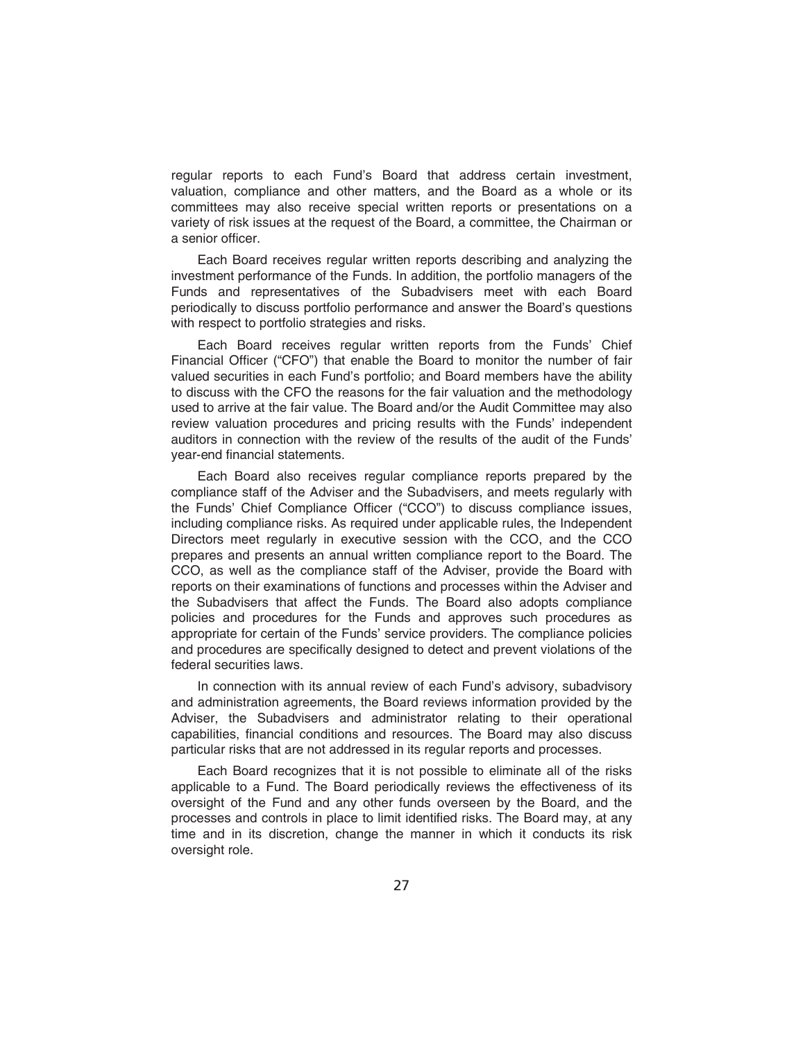regular reports to each Fund's Board that address certain investment, valuation, compliance and other matters, and the Board as a whole or its committees may also receive special written reports or presentations on a variety of risk issues at the request of the Board, a committee, the Chairman or a senior officer.

Each Board receives regular written reports describing and analyzing the investment performance of the Funds. In addition, the portfolio managers of the Funds and representatives of the Subadvisers meet with each Board periodically to discuss portfolio performance and answer the Board's questions with respect to portfolio strategies and risks.

Each Board receives regular written reports from the Funds' Chief Financial Officer ("CFO") that enable the Board to monitor the number of fair valued securities in each Fund's portfolio; and Board members have the ability to discuss with the CFO the reasons for the fair valuation and the methodology used to arrive at the fair value. The Board and/or the Audit Committee may also review valuation procedures and pricing results with the Funds' independent auditors in connection with the review of the results of the audit of the Funds' year-end financial statements.

Each Board also receives regular compliance reports prepared by the compliance staff of the Adviser and the Subadvisers, and meets regularly with the Funds' Chief Compliance Officer ("CCO") to discuss compliance issues, including compliance risks. As required under applicable rules, the Independent Directors meet regularly in executive session with the CCO, and the CCO prepares and presents an annual written compliance report to the Board. The CCO, as well as the compliance staff of the Adviser, provide the Board with reports on their examinations of functions and processes within the Adviser and the Subadvisers that affect the Funds. The Board also adopts compliance policies and procedures for the Funds and approves such procedures as appropriate for certain of the Funds' service providers. The compliance policies and procedures are specifically designed to detect and prevent violations of the federal securities laws.

In connection with its annual review of each Fund's advisory, subadvisory and administration agreements, the Board reviews information provided by the Adviser, the Subadvisers and administrator relating to their operational capabilities, financial conditions and resources. The Board may also discuss particular risks that are not addressed in its regular reports and processes.

Each Board recognizes that it is not possible to eliminate all of the risks applicable to a Fund. The Board periodically reviews the effectiveness of its oversight of the Fund and any other funds overseen by the Board, and the processes and controls in place to limit identified risks. The Board may, at any time and in its discretion, change the manner in which it conducts its risk oversight role.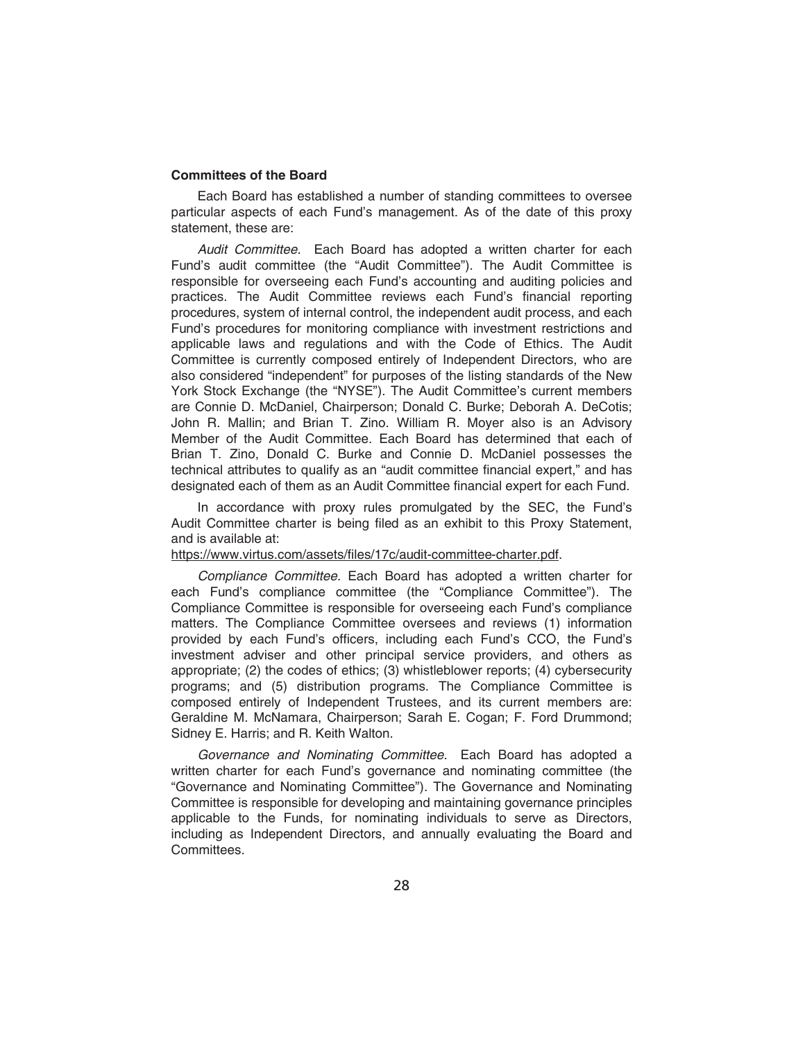### **Committees of the Board**

Each Board has established a number of standing committees to oversee particular aspects of each Fund's management. As of the date of this proxy statement, these are:

*Audit Committee.* Each Board has adopted a written charter for each Fund's audit committee (the "Audit Committee"). The Audit Committee is responsible for overseeing each Fund's accounting and auditing policies and practices. The Audit Committee reviews each Fund's financial reporting procedures, system of internal control, the independent audit process, and each Fund's procedures for monitoring compliance with investment restrictions and applicable laws and regulations and with the Code of Ethics. The Audit Committee is currently composed entirely of Independent Directors, who are also considered "independent" for purposes of the listing standards of the New York Stock Exchange (the "NYSE"). The Audit Committee's current members are Connie D. McDaniel, Chairperson; Donald C. Burke; Deborah A. DeCotis; John R. Mallin; and Brian T. Zino. William R. Moyer also is an Advisory Member of the Audit Committee. Each Board has determined that each of Brian T. Zino, Donald C. Burke and Connie D. McDaniel possesses the technical attributes to qualify as an "audit committee financial expert," and has designated each of them as an Audit Committee financial expert for each Fund.

In accordance with proxy rules promulgated by the SEC, the Fund's Audit Committee charter is being filed as an exhibit to this Proxy Statement, and is available at:

## https://www.virtus.com/assets/files/17c/audit-committee-charter.pdf.

*Compliance Committee.* Each Board has adopted a written charter for each Fund's compliance committee (the "Compliance Committee"). The Compliance Committee is responsible for overseeing each Fund's compliance matters. The Compliance Committee oversees and reviews (1) information provided by each Fund's officers, including each Fund's CCO, the Fund's investment adviser and other principal service providers, and others as appropriate; (2) the codes of ethics; (3) whistleblower reports; (4) cybersecurity programs; and (5) distribution programs. The Compliance Committee is composed entirely of Independent Trustees, and its current members are: Geraldine M. McNamara, Chairperson; Sarah E. Cogan; F. Ford Drummond; Sidney E. Harris; and R. Keith Walton.

*Governance and Nominating Committee.* Each Board has adopted a written charter for each Fund's governance and nominating committee (the "Governance and Nominating Committee"). The Governance and Nominating Committee is responsible for developing and maintaining governance principles applicable to the Funds, for nominating individuals to serve as Directors, including as Independent Directors, and annually evaluating the Board and Committees.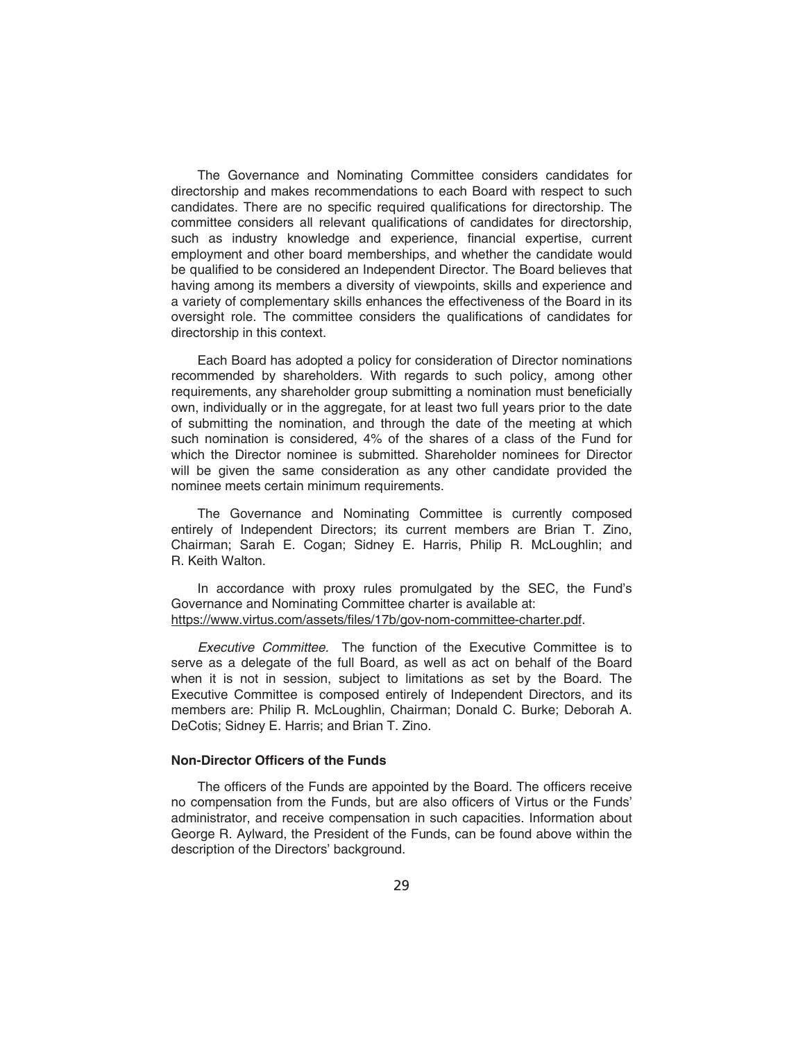The Governance and Nominating Committee considers candidates for directorship and makes recommendations to each Board with respect to such candidates. There are no specific required qualifications for directorship. The committee considers all relevant qualifications of candidates for directorship, such as industry knowledge and experience, financial expertise, current employment and other board memberships, and whether the candidate would be qualified to be considered an Independent Director. The Board believes that having among its members a diversity of viewpoints, skills and experience and a variety of complementary skills enhances the effectiveness of the Board in its oversight role. The committee considers the qualifications of candidates for directorship in this context.

Each Board has adopted a policy for consideration of Director nominations recommended by shareholders. With regards to such policy, among other requirements, any shareholder group submitting a nomination must beneficially own, individually or in the aggregate, for at least two full years prior to the date of submitting the nomination, and through the date of the meeting at which such nomination is considered, 4% of the shares of a class of the Fund for which the Director nominee is submitted. Shareholder nominees for Director will be given the same consideration as any other candidate provided the nominee meets certain minimum requirements.

The Governance and Nominating Committee is currently composed entirely of Independent Directors; its current members are Brian T. Zino, Chairman; Sarah E. Cogan; Sidney E. Harris, Philip R. McLoughlin; and R. Keith Walton.

In accordance with proxy rules promulgated by the SEC, the Fund's Governance and Nominating Committee charter is available at: https://www.virtus.com/assets/files/17b/gov-nom-committee-charter.pdf.

*Executive Committee.* The function of the Executive Committee is to serve as a delegate of the full Board, as well as act on behalf of the Board when it is not in session, subject to limitations as set by the Board. The Executive Committee is composed entirely of Independent Directors, and its members are: Philip R. McLoughlin, Chairman; Donald C. Burke; Deborah A. DeCotis; Sidney E. Harris; and Brian T. Zino.

### **Non-Director Officers of the Funds**

The officers of the Funds are appointed by the Board. The officers receive no compensation from the Funds, but are also officers of Virtus or the Funds' administrator, and receive compensation in such capacities. Information about George R. Aylward, the President of the Funds, can be found above within the description of the Directors' background.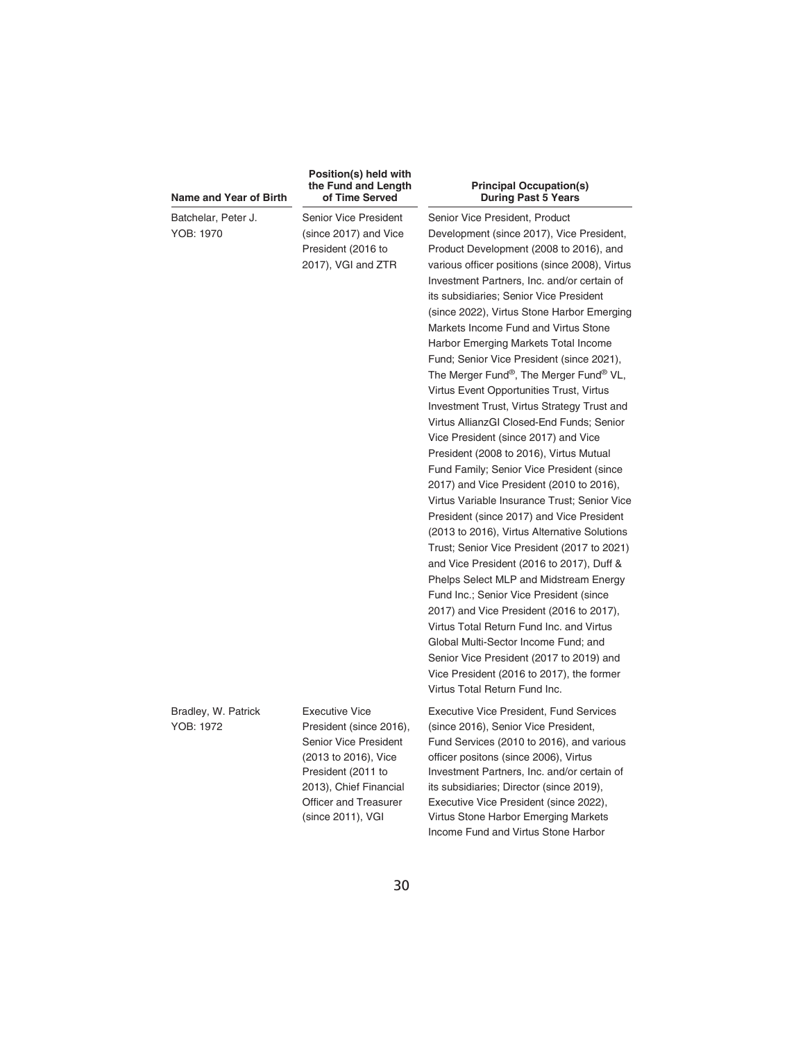| Name and Year of Birth           | Position(s) held with<br>the Fund and Length<br>of Time Served                                                                                           | <b>Principal Occupation(s)</b><br><b>During Past 5 Years</b>                                                                                                                                                                                                                                                                                                                                                                                                                                                                                                                                                                                                                                                                                                                                                                                                                                                                                                                                                                                                                                                                                                                                                                                                              |
|----------------------------------|----------------------------------------------------------------------------------------------------------------------------------------------------------|---------------------------------------------------------------------------------------------------------------------------------------------------------------------------------------------------------------------------------------------------------------------------------------------------------------------------------------------------------------------------------------------------------------------------------------------------------------------------------------------------------------------------------------------------------------------------------------------------------------------------------------------------------------------------------------------------------------------------------------------------------------------------------------------------------------------------------------------------------------------------------------------------------------------------------------------------------------------------------------------------------------------------------------------------------------------------------------------------------------------------------------------------------------------------------------------------------------------------------------------------------------------------|
| Batchelar, Peter J.<br>YOB: 1970 | Senior Vice President<br>(since 2017) and Vice<br>President (2016 to<br>2017), VGI and ZTR                                                               | Senior Vice President, Product<br>Development (since 2017), Vice President,<br>Product Development (2008 to 2016), and<br>various officer positions (since 2008), Virtus<br>Investment Partners, Inc. and/or certain of<br>its subsidiaries; Senior Vice President<br>(since 2022), Virtus Stone Harbor Emerging<br>Markets Income Fund and Virtus Stone<br>Harbor Emerging Markets Total Income<br>Fund; Senior Vice President (since 2021),<br>The Merger Fund®, The Merger Fund® VL,<br>Virtus Event Opportunities Trust, Virtus<br>Investment Trust, Virtus Strategy Trust and<br>Virtus AllianzGI Closed-End Funds; Senior<br>Vice President (since 2017) and Vice<br>President (2008 to 2016), Virtus Mutual<br>Fund Family; Senior Vice President (since<br>2017) and Vice President (2010 to 2016),<br>Virtus Variable Insurance Trust; Senior Vice<br>President (since 2017) and Vice President<br>(2013 to 2016), Virtus Alternative Solutions<br>Trust; Senior Vice President (2017 to 2021)<br>and Vice President (2016 to 2017), Duff &<br>Phelps Select MLP and Midstream Energy<br>Fund Inc.; Senior Vice President (since<br>2017) and Vice President (2016 to 2017),<br>Virtus Total Return Fund Inc. and Virtus<br>Global Multi-Sector Income Fund: and |
|                                  |                                                                                                                                                          | Senior Vice President (2017 to 2019) and<br>Vice President (2016 to 2017), the former<br>Virtus Total Return Fund Inc.                                                                                                                                                                                                                                                                                                                                                                                                                                                                                                                                                                                                                                                                                                                                                                                                                                                                                                                                                                                                                                                                                                                                                    |
| Bradley, W. Patrick<br>YOB: 1972 | <b>Executive Vice</b><br>President (since 2016),<br><b>Senior Vice President</b><br>(2013 to 2016), Vice<br>President (2011 to<br>2013), Chief Financial | <b>Executive Vice President, Fund Services</b><br>(since 2016), Senior Vice President,<br>Fund Services (2010 to 2016), and various<br>officer positons (since 2006), Virtus<br>Investment Partners, Inc. and/or certain of<br>its subsidiaries; Director (since 2019),                                                                                                                                                                                                                                                                                                                                                                                                                                                                                                                                                                                                                                                                                                                                                                                                                                                                                                                                                                                                   |

2013), Chief Financial Officer and Treasurer (since 2011), VGI

Executive Vice President (since 2022), Virtus Stone Harbor Emerging Markets Income Fund and Virtus Stone Harbor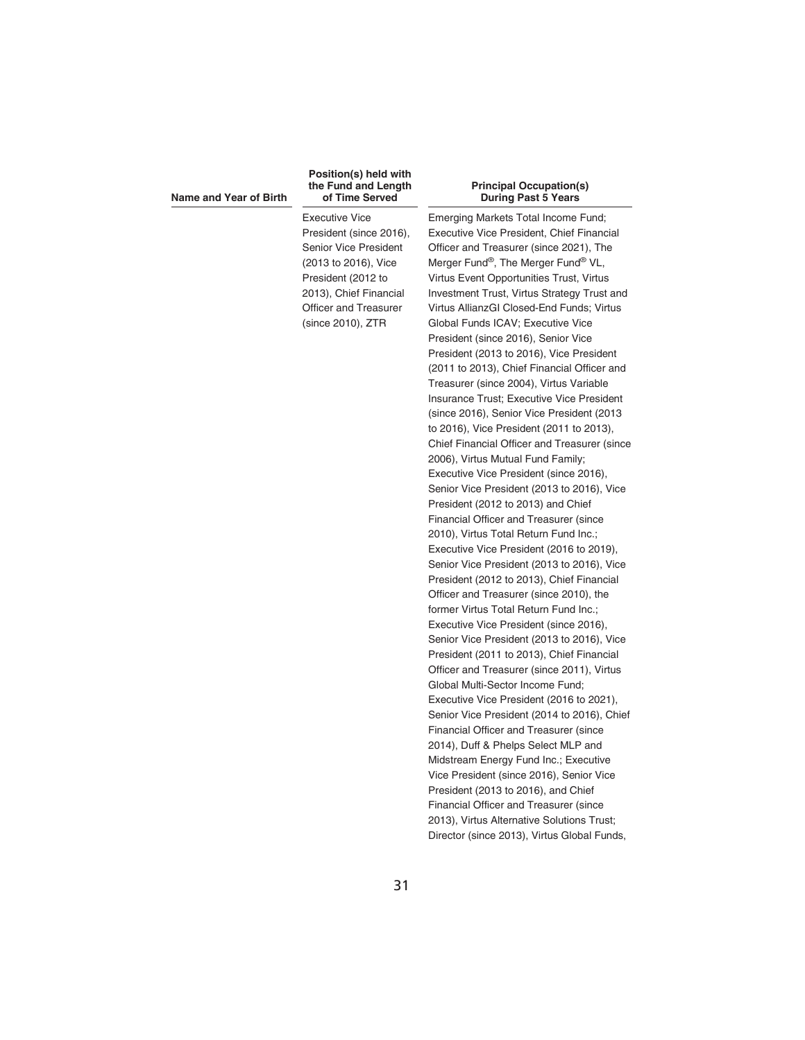#### **Name and Year of Birth**

#### **Position(s) held with the Fund and Length of Time Served**

Executive Vice President (since 2016), Senior Vice President (2013 to 2016), Vice President (2012 to 2013), Chief Financial Officer and Treasurer (since 2010), ZTR

#### **Principal Occupation(s) During Past 5 Years**

Emerging Markets Total Income Fund; Executive Vice President, Chief Financial Officer and Treasurer (since 2021), The Merger Fund®, The Merger Fund® VL, Virtus Event Opportunities Trust, Virtus Investment Trust, Virtus Strategy Trust and Virtus AllianzGI Closed-End Funds; Virtus Global Funds ICAV; Executive Vice President (since 2016), Senior Vice President (2013 to 2016), Vice President (2011 to 2013), Chief Financial Officer and Treasurer (since 2004), Virtus Variable Insurance Trust; Executive Vice President (since 2016), Senior Vice President (2013 to 2016), Vice President (2011 to 2013), Chief Financial Officer and Treasurer (since 2006), Virtus Mutual Fund Family; Executive Vice President (since 2016), Senior Vice President (2013 to 2016), Vice President (2012 to 2013) and Chief Financial Officer and Treasurer (since 2010), Virtus Total Return Fund Inc.; Executive Vice President (2016 to 2019), Senior Vice President (2013 to 2016), Vice President (2012 to 2013), Chief Financial Officer and Treasurer (since 2010), the former Virtus Total Return Fund Inc.; Executive Vice President (since 2016), Senior Vice President (2013 to 2016), Vice President (2011 to 2013), Chief Financial Officer and Treasurer (since 2011), Virtus Global Multi-Sector Income Fund; Executive Vice President (2016 to 2021), Senior Vice President (2014 to 2016), Chief Financial Officer and Treasurer (since 2014), Duff & Phelps Select MLP and Midstream Energy Fund Inc.; Executive Vice President (since 2016), Senior Vice President (2013 to 2016), and Chief Financial Officer and Treasurer (since 2013), Virtus Alternative Solutions Trust; Director (since 2013), Virtus Global Funds,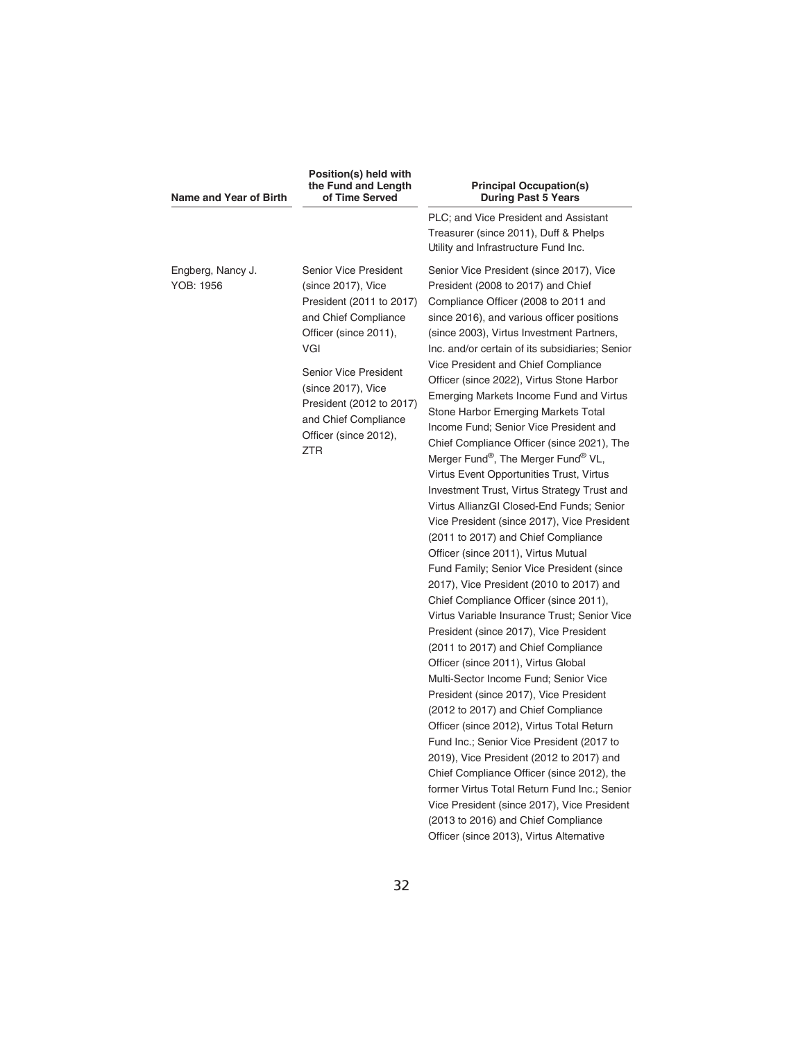| Name and Year of Birth         | Position(s) held with<br>the Fund and Length<br>of Time Served                                                                                                                                                                                                            | <b>Principal Occupation(s)</b><br><b>During Past 5 Years</b>                                                                                                                                                                                                                                                                                                                                                                                                                                                                                                                                                                                                                                                                                                                                                                                                                                                                                                                                                                                                                                                                                                                                                                                                                                                                                                                                                                                                                                                                                                                                                                                             |
|--------------------------------|---------------------------------------------------------------------------------------------------------------------------------------------------------------------------------------------------------------------------------------------------------------------------|----------------------------------------------------------------------------------------------------------------------------------------------------------------------------------------------------------------------------------------------------------------------------------------------------------------------------------------------------------------------------------------------------------------------------------------------------------------------------------------------------------------------------------------------------------------------------------------------------------------------------------------------------------------------------------------------------------------------------------------------------------------------------------------------------------------------------------------------------------------------------------------------------------------------------------------------------------------------------------------------------------------------------------------------------------------------------------------------------------------------------------------------------------------------------------------------------------------------------------------------------------------------------------------------------------------------------------------------------------------------------------------------------------------------------------------------------------------------------------------------------------------------------------------------------------------------------------------------------------------------------------------------------------|
|                                |                                                                                                                                                                                                                                                                           | PLC; and Vice President and Assistant<br>Treasurer (since 2011), Duff & Phelps<br>Utility and Infrastructure Fund Inc.                                                                                                                                                                                                                                                                                                                                                                                                                                                                                                                                                                                                                                                                                                                                                                                                                                                                                                                                                                                                                                                                                                                                                                                                                                                                                                                                                                                                                                                                                                                                   |
| Engberg, Nancy J.<br>YOB: 1956 | Senior Vice President<br>(since 2017), Vice<br>President (2011 to 2017)<br>and Chief Compliance<br>Officer (since 2011),<br>VGI<br>Senior Vice President<br>(since 2017), Vice<br>President (2012 to 2017)<br>and Chief Compliance<br>Officer (since 2012),<br><b>ZTR</b> | Senior Vice President (since 2017), Vice<br>President (2008 to 2017) and Chief<br>Compliance Officer (2008 to 2011 and<br>since 2016), and various officer positions<br>(since 2003), Virtus Investment Partners,<br>Inc. and/or certain of its subsidiaries; Senior<br>Vice President and Chief Compliance<br>Officer (since 2022), Virtus Stone Harbor<br>Emerging Markets Income Fund and Virtus<br>Stone Harbor Emerging Markets Total<br>Income Fund; Senior Vice President and<br>Chief Compliance Officer (since 2021), The<br>Merger Fund®, The Merger Fund® VL,<br>Virtus Event Opportunities Trust, Virtus<br>Investment Trust, Virtus Strategy Trust and<br>Virtus AllianzGI Closed-End Funds; Senior<br>Vice President (since 2017), Vice President<br>(2011 to 2017) and Chief Compliance<br>Officer (since 2011), Virtus Mutual<br>Fund Family; Senior Vice President (since<br>2017), Vice President (2010 to 2017) and<br>Chief Compliance Officer (since 2011),<br>Virtus Variable Insurance Trust; Senior Vice<br>President (since 2017), Vice President<br>(2011 to 2017) and Chief Compliance<br>Officer (since 2011), Virtus Global<br>Multi-Sector Income Fund; Senior Vice<br>President (since 2017), Vice President<br>(2012 to 2017) and Chief Compliance<br>Officer (since 2012), Virtus Total Return<br>Fund Inc.; Senior Vice President (2017 to<br>2019), Vice President (2012 to 2017) and<br>Chief Compliance Officer (since 2012), the<br>former Virtus Total Return Fund Inc.; Senior<br>Vice President (since 2017), Vice President<br>(2013 to 2016) and Chief Compliance<br>Officer (since 2013), Virtus Alternative |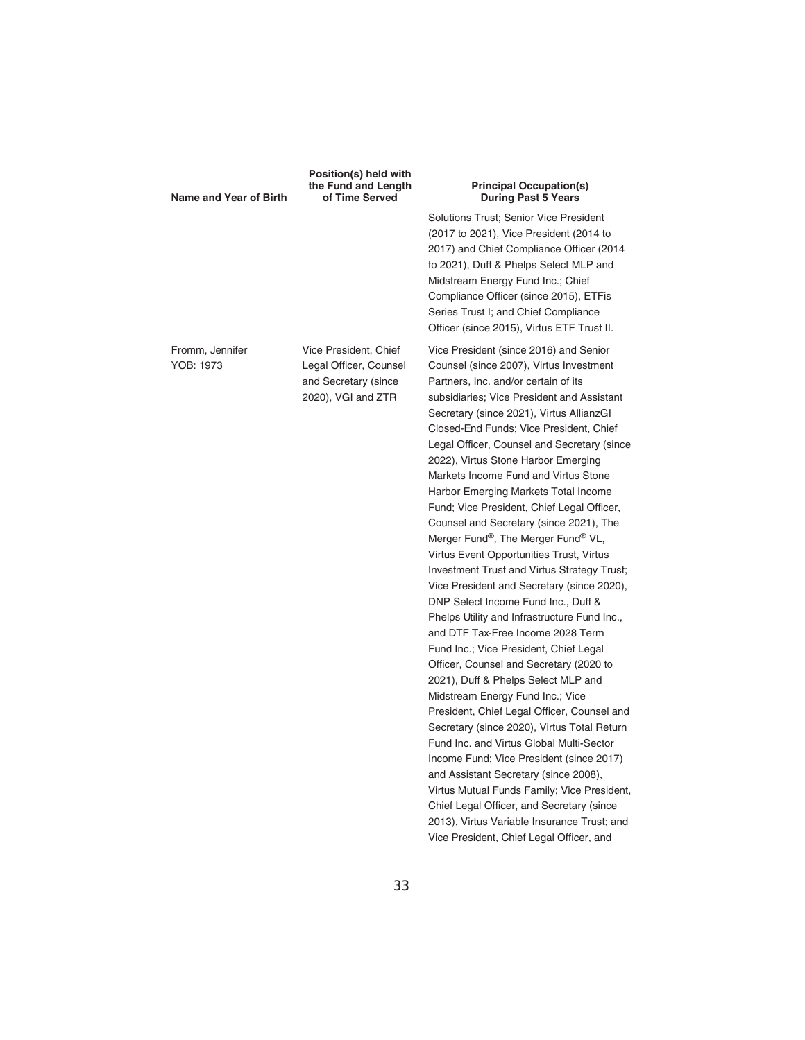| Name and Year of Birth       | Position(s) held with<br>the Fund and Length<br>of Time Served                                | <b>Principal Occupation(s)</b><br><b>During Past 5 Years</b>                                                                                                                                                                                                                                                                                                                                                                                                                                                                                                                                                                                                                                                                                                                                                                                                                                                                                                                                                                                                                                                                                                                                                                                                                                                                                                                                                                   |  |  |
|------------------------------|-----------------------------------------------------------------------------------------------|--------------------------------------------------------------------------------------------------------------------------------------------------------------------------------------------------------------------------------------------------------------------------------------------------------------------------------------------------------------------------------------------------------------------------------------------------------------------------------------------------------------------------------------------------------------------------------------------------------------------------------------------------------------------------------------------------------------------------------------------------------------------------------------------------------------------------------------------------------------------------------------------------------------------------------------------------------------------------------------------------------------------------------------------------------------------------------------------------------------------------------------------------------------------------------------------------------------------------------------------------------------------------------------------------------------------------------------------------------------------------------------------------------------------------------|--|--|
|                              |                                                                                               | Solutions Trust: Senior Vice President<br>(2017 to 2021), Vice President (2014 to<br>2017) and Chief Compliance Officer (2014<br>to 2021), Duff & Phelps Select MLP and<br>Midstream Energy Fund Inc.; Chief<br>Compliance Officer (since 2015), ETFis<br>Series Trust I; and Chief Compliance<br>Officer (since 2015), Virtus ETF Trust II.                                                                                                                                                                                                                                                                                                                                                                                                                                                                                                                                                                                                                                                                                                                                                                                                                                                                                                                                                                                                                                                                                   |  |  |
| Fromm, Jennifer<br>YOB: 1973 | Vice President, Chief<br>Legal Officer, Counsel<br>and Secretary (since<br>2020), VGI and ZTR | Vice President (since 2016) and Senior<br>Counsel (since 2007), Virtus Investment<br>Partners, Inc. and/or certain of its<br>subsidiaries; Vice President and Assistant<br>Secretary (since 2021), Virtus AllianzGI<br>Closed-End Funds; Vice President, Chief<br>Legal Officer, Counsel and Secretary (since<br>2022), Virtus Stone Harbor Emerging<br>Markets Income Fund and Virtus Stone<br>Harbor Emerging Markets Total Income<br>Fund; Vice President, Chief Legal Officer,<br>Counsel and Secretary (since 2021), The<br>Merger Fund®, The Merger Fund® VL,<br>Virtus Event Opportunities Trust, Virtus<br>Investment Trust and Virtus Strategy Trust;<br>Vice President and Secretary (since 2020),<br>DNP Select Income Fund Inc., Duff &<br>Phelps Utility and Infrastructure Fund Inc.,<br>and DTF Tax-Free Income 2028 Term<br>Fund Inc.; Vice President, Chief Legal<br>Officer, Counsel and Secretary (2020 to<br>2021), Duff & Phelps Select MLP and<br>Midstream Energy Fund Inc.; Vice<br>President, Chief Legal Officer, Counsel and<br>Secretary (since 2020), Virtus Total Return<br>Fund Inc. and Virtus Global Multi-Sector<br>Income Fund; Vice President (since 2017)<br>and Assistant Secretary (since 2008),<br>Virtus Mutual Funds Family; Vice President,<br>Chief Legal Officer, and Secretary (since<br>2013), Virtus Variable Insurance Trust; and<br>Vice President, Chief Legal Officer, and |  |  |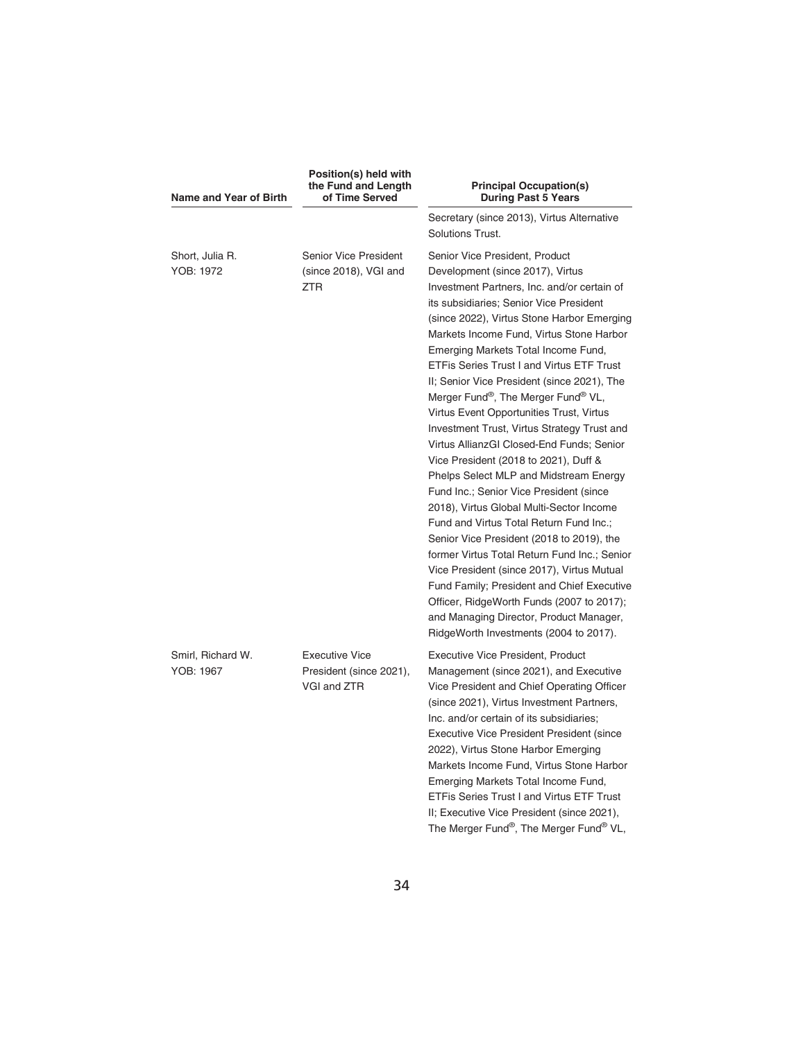| Name and Year of Birth         | Position(s) held with<br>the Fund and Length<br>of Time Served         | <b>Principal Occupation(s)</b><br><b>During Past 5 Years</b>                                                                                                                                                                                                                                                                                                                                                                                                                                                                                                                                                                                                                                                                                                                                                                                                                                                                                                                                                                                                                                                                   |
|--------------------------------|------------------------------------------------------------------------|--------------------------------------------------------------------------------------------------------------------------------------------------------------------------------------------------------------------------------------------------------------------------------------------------------------------------------------------------------------------------------------------------------------------------------------------------------------------------------------------------------------------------------------------------------------------------------------------------------------------------------------------------------------------------------------------------------------------------------------------------------------------------------------------------------------------------------------------------------------------------------------------------------------------------------------------------------------------------------------------------------------------------------------------------------------------------------------------------------------------------------|
|                                |                                                                        | Secretary (since 2013), Virtus Alternative<br>Solutions Trust.                                                                                                                                                                                                                                                                                                                                                                                                                                                                                                                                                                                                                                                                                                                                                                                                                                                                                                                                                                                                                                                                 |
| Short, Julia R.<br>YOB: 1972   | <b>Senior Vice President</b><br>(since 2018), VGI and<br><b>ZTR</b>    | Senior Vice President, Product<br>Development (since 2017), Virtus<br>Investment Partners, Inc. and/or certain of<br>its subsidiaries; Senior Vice President<br>(since 2022), Virtus Stone Harbor Emerging<br>Markets Income Fund, Virtus Stone Harbor<br>Emerging Markets Total Income Fund,<br><b>ETFis Series Trust I and Virtus ETF Trust</b><br>II; Senior Vice President (since 2021), The<br>Merger Fund®, The Merger Fund® VL,<br>Virtus Event Opportunities Trust, Virtus<br>Investment Trust, Virtus Strategy Trust and<br>Virtus AllianzGI Closed-End Funds; Senior<br>Vice President (2018 to 2021), Duff &<br>Phelps Select MLP and Midstream Energy<br>Fund Inc.; Senior Vice President (since<br>2018), Virtus Global Multi-Sector Income<br>Fund and Virtus Total Return Fund Inc.;<br>Senior Vice President (2018 to 2019), the<br>former Virtus Total Return Fund Inc.; Senior<br>Vice President (since 2017), Virtus Mutual<br>Fund Family; President and Chief Executive<br>Officer, RidgeWorth Funds (2007 to 2017);<br>and Managing Director, Product Manager,<br>RidgeWorth Investments (2004 to 2017). |
| Smirl, Richard W.<br>YOB: 1967 | <b>Executive Vice</b><br>President (since 2021),<br><b>VGI and ZTR</b> | <b>Executive Vice President, Product</b><br>Management (since 2021), and Executive<br>Vice President and Chief Operating Officer<br>(since 2021), Virtus Investment Partners,<br>Inc. and/or certain of its subsidiaries:<br>Executive Vice President President (since<br>2022), Virtus Stone Harbor Emerging<br>Markets Income Fund, Virtus Stone Harbor<br>Emerging Markets Total Income Fund,<br><b>ETFis Series Trust I and Virtus ETF Trust</b><br>II; Executive Vice President (since 2021),<br>The Merger Fund®, The Merger Fund® VL,                                                                                                                                                                                                                                                                                                                                                                                                                                                                                                                                                                                   |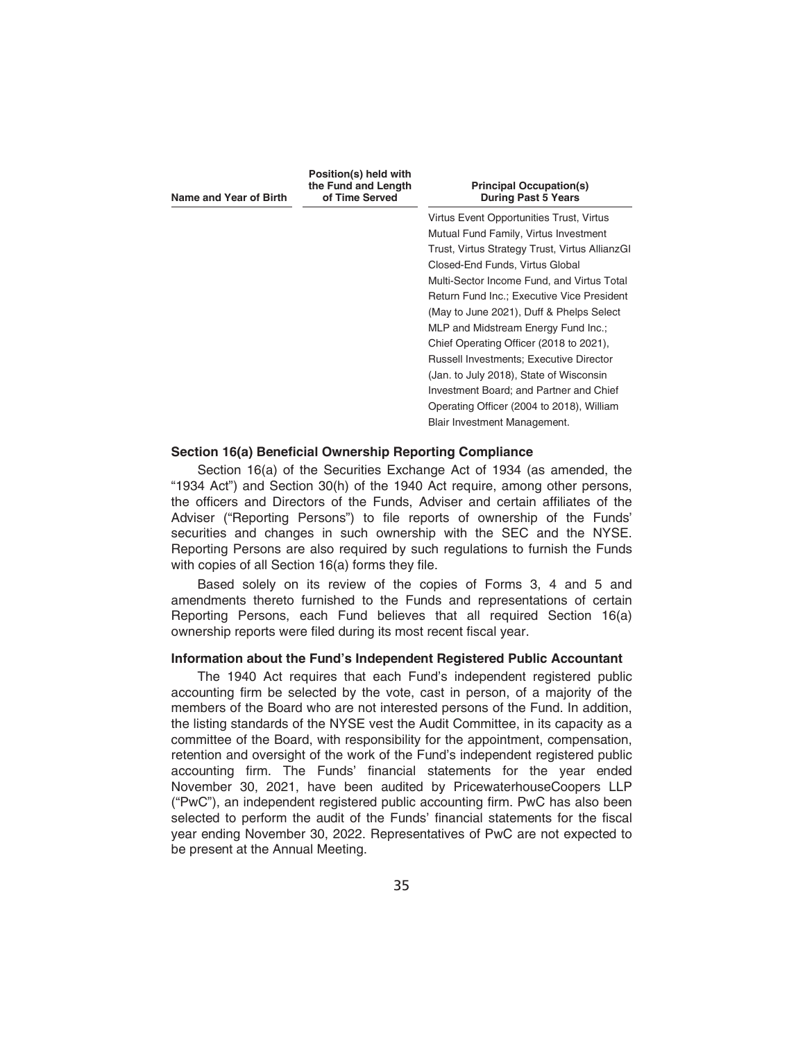| Name and Year of Birth | Position(s) held with<br>the Fund and Length<br>of Time Served | <b>Principal Occupation(s)</b><br><b>During Past 5 Years</b> |  |
|------------------------|----------------------------------------------------------------|--------------------------------------------------------------|--|
|                        |                                                                | Virtus Event Opportunities Trust, Virtus                     |  |
|                        |                                                                | Mutual Fund Family, Virtus Investment                        |  |
|                        |                                                                | Trust, Virtus Strategy Trust, Virtus AllianzGI               |  |
|                        |                                                                | Closed-End Funds, Virtus Global                              |  |
|                        |                                                                | Multi-Sector Income Fund, and Virtus Total                   |  |
|                        |                                                                | <b>Return Fund Inc.: Executive Vice President</b>            |  |
|                        |                                                                | (May to June 2021), Duff & Phelps Select                     |  |
|                        |                                                                | MLP and Midstream Energy Fund Inc.;                          |  |
|                        |                                                                | Chief Operating Officer (2018 to 2021),                      |  |
|                        |                                                                | <b>Russell Investments: Executive Director</b>               |  |
|                        |                                                                | (Jan. to July 2018), State of Wisconsin                      |  |
|                        |                                                                | Investment Board; and Partner and Chief                      |  |
|                        |                                                                | Operating Officer (2004 to 2018), William                    |  |
|                        |                                                                | Blair Investment Management.                                 |  |
|                        |                                                                |                                                              |  |

### **Section 16(a) Beneficial Ownership Reporting Compliance**

Section 16(a) of the Securities Exchange Act of 1934 (as amended, the "1934 Act") and Section 30(h) of the 1940 Act require, among other persons, the officers and Directors of the Funds, Adviser and certain affiliates of the Adviser ("Reporting Persons") to file reports of ownership of the Funds' securities and changes in such ownership with the SEC and the NYSE. Reporting Persons are also required by such regulations to furnish the Funds with copies of all Section 16(a) forms they file.

Based solely on its review of the copies of Forms 3, 4 and 5 and amendments thereto furnished to the Funds and representations of certain Reporting Persons, each Fund believes that all required Section 16(a) ownership reports were filed during its most recent fiscal year.

## **Information about the Fund's Independent Registered Public Accountant**

The 1940 Act requires that each Fund's independent registered public accounting firm be selected by the vote, cast in person, of a majority of the members of the Board who are not interested persons of the Fund. In addition, the listing standards of the NYSE vest the Audit Committee, in its capacity as a committee of the Board, with responsibility for the appointment, compensation, retention and oversight of the work of the Fund's independent registered public accounting firm. The Funds' financial statements for the year ended November 30, 2021, have been audited by PricewaterhouseCoopers LLP ("PwC"), an independent registered public accounting firm. PwC has also been selected to perform the audit of the Funds' financial statements for the fiscal year ending November 30, 2022. Representatives of PwC are not expected to be present at the Annual Meeting.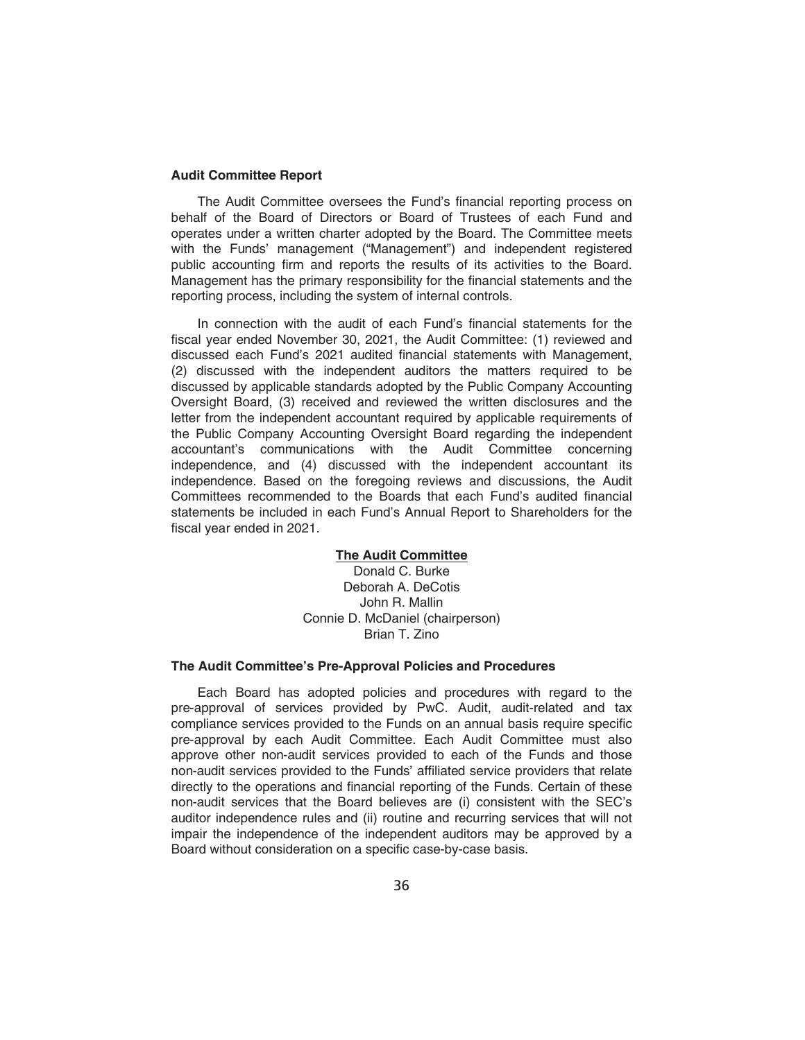## **Audit Committee Report**

The Audit Committee oversees the Fund's financial reporting process on behalf of the Board of Directors or Board of Trustees of each Fund and operates under a written charter adopted by the Board. The Committee meets with the Funds' management ("Management") and independent registered public accounting firm and reports the results of its activities to the Board. Management has the primary responsibility for the financial statements and the reporting process, including the system of internal controls.

In connection with the audit of each Fund's financial statements for the fiscal year ended November 30, 2021, the Audit Committee: (1) reviewed and discussed each Fund's 2021 audited financial statements with Management, (2) discussed with the independent auditors the matters required to be discussed by applicable standards adopted by the Public Company Accounting Oversight Board, (3) received and reviewed the written disclosures and the letter from the independent accountant required by applicable requirements of the Public Company Accounting Oversight Board regarding the independent accountant's communications with the Audit Committee concerning independence, and (4) discussed with the independent accountant its independence. Based on the foregoing reviews and discussions, the Audit Committees recommended to the Boards that each Fund's audited financial statements be included in each Fund's Annual Report to Shareholders for the fiscal year ended in 2021.

### **The Audit Committee**

Donald C. Burke Deborah A. DeCotis John R. Mallin Connie D. McDaniel (chairperson) Brian T. Zino

## **The Audit Committee's Pre-Approval Policies and Procedures**

Each Board has adopted policies and procedures with regard to the pre-approval of services provided by PwC. Audit, audit-related and tax compliance services provided to the Funds on an annual basis require specific pre-approval by each Audit Committee. Each Audit Committee must also approve other non-audit services provided to each of the Funds and those non-audit services provided to the Funds' affiliated service providers that relate directly to the operations and financial reporting of the Funds. Certain of these non-audit services that the Board believes are (i) consistent with the SEC's auditor independence rules and (ii) routine and recurring services that will not impair the independence of the independent auditors may be approved by a Board without consideration on a specific case-by-case basis.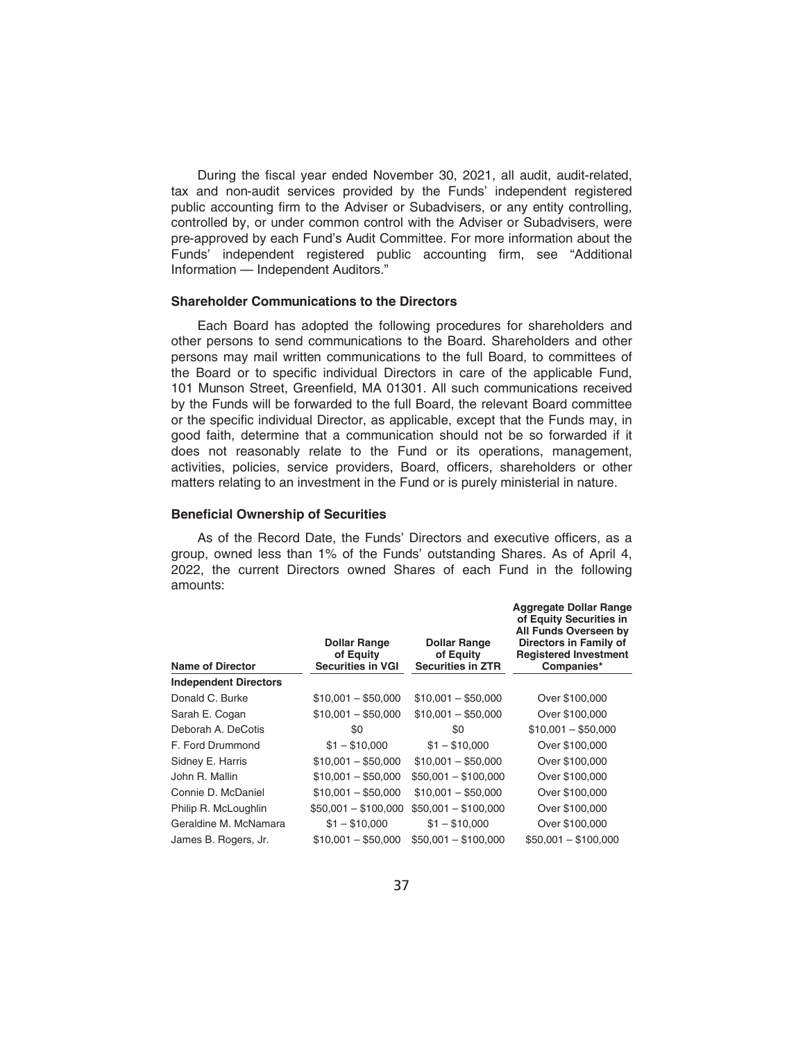During the fiscal year ended November 30, 2021, all audit, audit-related, tax and non-audit services provided by the Funds' independent registered public accounting firm to the Adviser or Subadvisers, or any entity controlling, controlled by, or under common control with the Adviser or Subadvisers, were pre-approved by each Fund's Audit Committee. For more information about the Funds' independent registered public accounting firm, see "Additional Information — Independent Auditors."

#### **Shareholder Communications to the Directors**

Each Board has adopted the following procedures for shareholders and other persons to send communications to the Board. Shareholders and other persons may mail written communications to the full Board, to committees of the Board or to specific individual Directors in care of the applicable Fund, 101 Munson Street, Greenfield, MA 01301. All such communications received by the Funds will be forwarded to the full Board, the relevant Board committee or the specific individual Director, as applicable, except that the Funds may, in good faith, determine that a communication should not be so forwarded if it does not reasonably relate to the Fund or its operations, management, activities, policies, service providers, Board, officers, shareholders or other matters relating to an investment in the Fund or is purely ministerial in nature.

#### **Beneficial Ownership of Securities**

As of the Record Date, the Funds' Directors and executive officers, as a group, owned less than 1% of the Funds' outstanding Shares. As of April 4, 2022, the current Directors owned Shares of each Fund in the following amounts:

| Name of Director             | <b>Dollar Range</b><br>of Equity<br><b>Securities in VGI</b> | <b>Dollar Range</b><br>of Equity<br><b>Securities in ZTR</b> |                      |
|------------------------------|--------------------------------------------------------------|--------------------------------------------------------------|----------------------|
| <b>Independent Directors</b> |                                                              |                                                              |                      |
| Donald C. Burke              | $$10,001 - $50,000$                                          | $$10,001 - $50,000$                                          | Over \$100,000       |
| Sarah E. Cogan               | $$10,001 - $50,000$                                          | $$10,001 - $50,000$                                          | Over \$100,000       |
| Deborah A. DeCotis           | \$0                                                          | \$0                                                          | $$10,001 - $50,000$  |
| F. Ford Drummond             | $$1 - $10,000$                                               | $$1 - $10,000$                                               | Over \$100,000       |
| Sidney E. Harris             | $$10,001 - $50,000$                                          | $$10.001 - $50.000$                                          | Over \$100,000       |
| John R. Mallin               | $$10,001 - $50,000$                                          | $$50,001 - $100,000$                                         | Over \$100,000       |
| Connie D. McDaniel           | $$10,001 - $50,000$                                          | $$10,001 - $50,000$                                          | Over \$100,000       |
| Philip R. McLoughlin         | $$50,001 - $100,000$                                         | $$50,001 - $100,000$                                         | Over \$100,000       |
| Geraldine M. McNamara        | $$1 - $10,000$                                               | $$1 - $10,000$                                               | Over \$100,000       |
| James B. Rogers, Jr.         | $$10,001 - $50,000$                                          | $$50,001 - $100,000$                                         | $$50,001 - $100,000$ |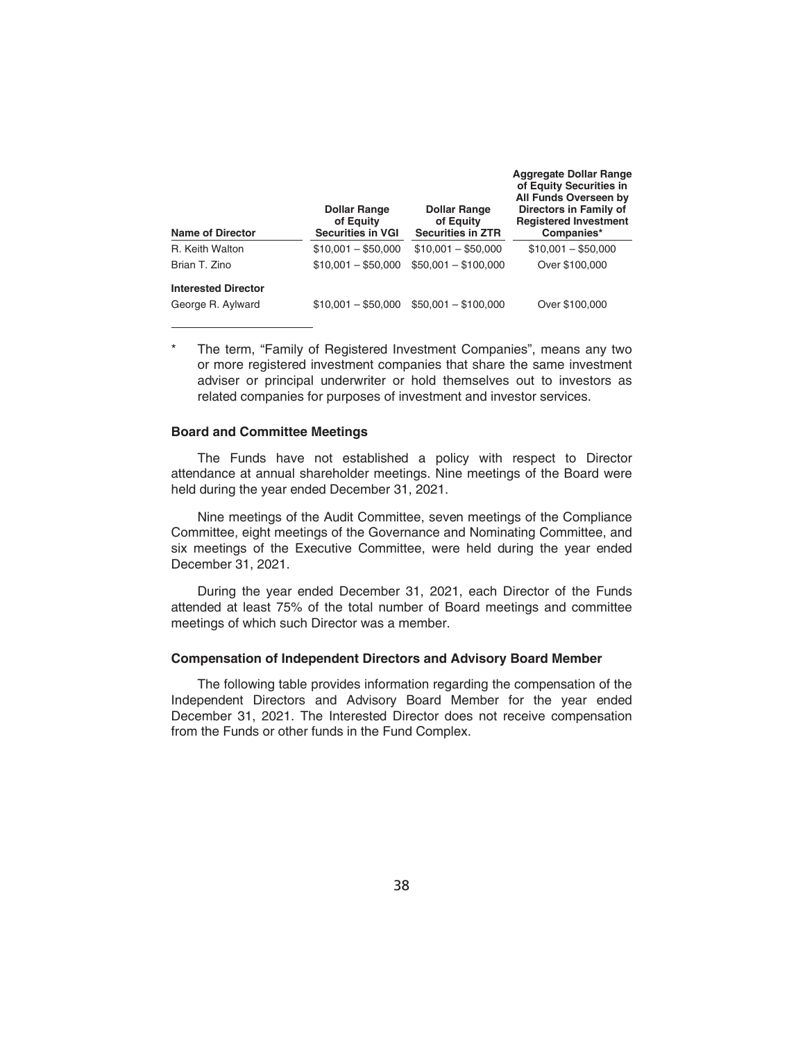| <b>Name of Director</b>    | <b>Dollar Range</b><br>of Equity<br><b>Securities in VGI</b> | <b>Dollar Range</b><br>of Equity<br><b>Securities in ZTR</b> | <b>Aggregate Dollar Range</b><br>of Equity Securities in<br>All Funds Overseen by<br>Directors in Family of<br><b>Registered Investment</b><br>Companies* |  |
|----------------------------|--------------------------------------------------------------|--------------------------------------------------------------|-----------------------------------------------------------------------------------------------------------------------------------------------------------|--|
| R. Keith Walton            | $$10.001 - $50.000$                                          | $$10.001 - $50.000$                                          | $$10.001 - $50.000$                                                                                                                                       |  |
| Brian T. Zino              | $$10.001 - $50.000$                                          | $$50.001 - $100.000$                                         | Over \$100,000                                                                                                                                            |  |
| <b>Interested Director</b> |                                                              |                                                              |                                                                                                                                                           |  |
| George R. Aylward          | $$10.001 - $50.000$                                          | $$50,001 - $100,000$                                         | Over \$100,000                                                                                                                                            |  |

The term, "Family of Registered Investment Companies", means any two or more registered investment companies that share the same investment adviser or principal underwriter or hold themselves out to investors as related companies for purposes of investment and investor services.

### **Board and Committee Meetings**

The Funds have not established a policy with respect to Director attendance at annual shareholder meetings. Nine meetings of the Board were held during the year ended December 31, 2021.

Nine meetings of the Audit Committee, seven meetings of the Compliance Committee, eight meetings of the Governance and Nominating Committee, and six meetings of the Executive Committee, were held during the year ended December 31, 2021.

During the year ended December 31, 2021, each Director of the Funds attended at least 75% of the total number of Board meetings and committee meetings of which such Director was a member.

#### **Compensation of Independent Directors and Advisory Board Member**

The following table provides information regarding the compensation of the Independent Directors and Advisory Board Member for the year ended December 31, 2021. The Interested Director does not receive compensation from the Funds or other funds in the Fund Complex.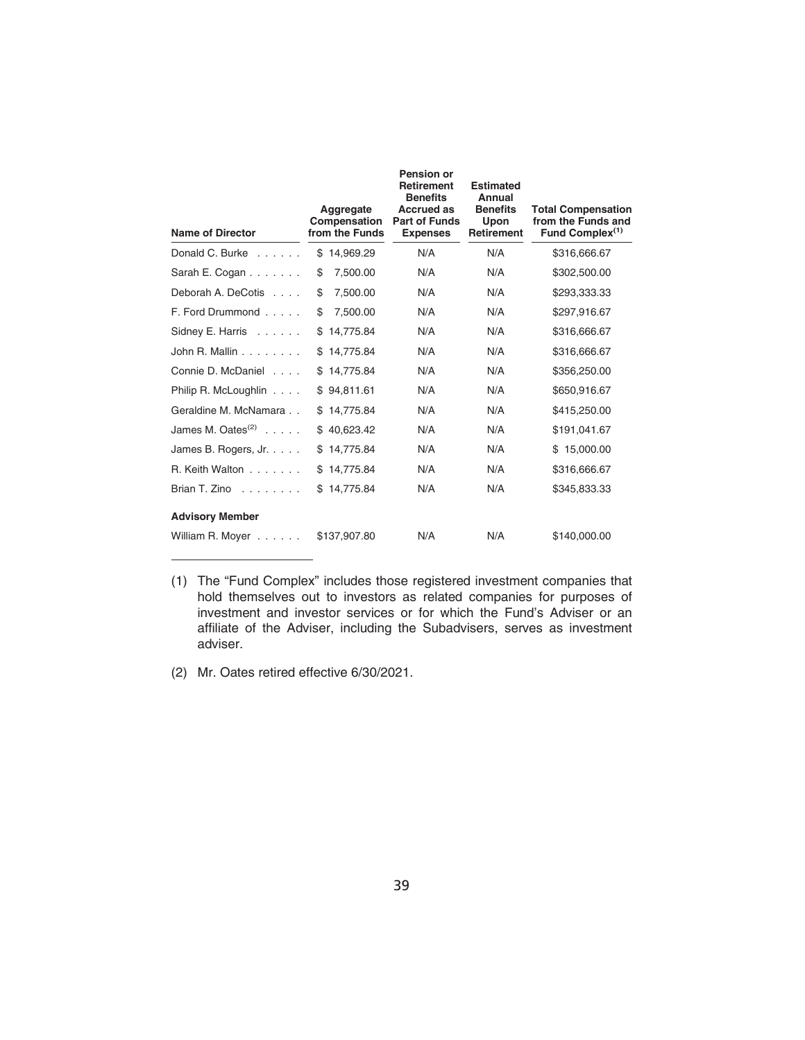| <b>Name of Director</b>            | Aggregate<br>Compensation<br>from the Funds | <b>Pension or</b><br><b>Retirement</b><br><b>Benefits</b><br><b>Accrued as</b><br><b>Part of Funds</b><br><b>Expenses</b> | <b>Estimated</b><br>Annual<br><b>Benefits</b><br>Upon<br><b>Retirement</b> | <b>Total Compensation</b><br>from the Funds and<br>Fund Complex <sup>(1)</sup> |
|------------------------------------|---------------------------------------------|---------------------------------------------------------------------------------------------------------------------------|----------------------------------------------------------------------------|--------------------------------------------------------------------------------|
| Donald C. Burke $\ldots$ ,         | \$14,969.29                                 | N/A                                                                                                                       | N/A                                                                        | \$316,666.67                                                                   |
| Sarah E. Cogan                     | \$<br>7,500.00                              | N/A                                                                                                                       | N/A                                                                        | \$302,500.00                                                                   |
| Deborah A. DeCotis                 | \$<br>7,500.00                              | N/A                                                                                                                       | N/A                                                                        | \$293,333.33                                                                   |
| F. Ford Drummond                   | \$<br>7,500.00                              | N/A                                                                                                                       | N/A                                                                        | \$297,916.67                                                                   |
| Sidney E. Harris                   | \$14,775.84                                 | N/A                                                                                                                       | N/A                                                                        | \$316,666.67                                                                   |
| John R. Mallin $\ldots$            | \$14,775.84                                 | N/A                                                                                                                       | N/A                                                                        | \$316,666.67                                                                   |
| Connie D. McDaniel                 | \$14,775.84                                 | N/A                                                                                                                       | N/A                                                                        | \$356,250.00                                                                   |
| Philip R. McLoughlin               | \$94,811.61                                 | N/A                                                                                                                       | N/A                                                                        | \$650,916.67                                                                   |
| Geraldine M. McNamara              | \$14,775.84                                 | N/A                                                                                                                       | N/A                                                                        | \$415,250.00                                                                   |
| James M. Oates $(2)$ ,             | \$40,623.42                                 | N/A                                                                                                                       | N/A                                                                        | \$191,041.67                                                                   |
| James B. Rogers, Jr.               | \$14,775.84                                 | N/A                                                                                                                       | N/A                                                                        | \$15,000.00                                                                    |
| R. Keith Walton                    | \$14,775.84                                 | N/A                                                                                                                       | N/A                                                                        | \$316,666.67                                                                   |
| Brian T. Zino, $\ldots$ , $\ldots$ | \$14,775.84                                 | N/A                                                                                                                       | N/A                                                                        | \$345,833.33                                                                   |
| <b>Advisory Member</b>             |                                             |                                                                                                                           |                                                                            |                                                                                |
| William R. Moyer                   | \$137,907.80                                | N/A                                                                                                                       | N/A                                                                        | \$140,000.00                                                                   |

(1) The "Fund Complex" includes those registered investment companies that hold themselves out to investors as related companies for purposes of investment and investor services or for which the Fund's Adviser or an affiliate of the Adviser, including the Subadvisers, serves as investment adviser.

<sup>(2)</sup> Mr. Oates retired effective 6/30/2021.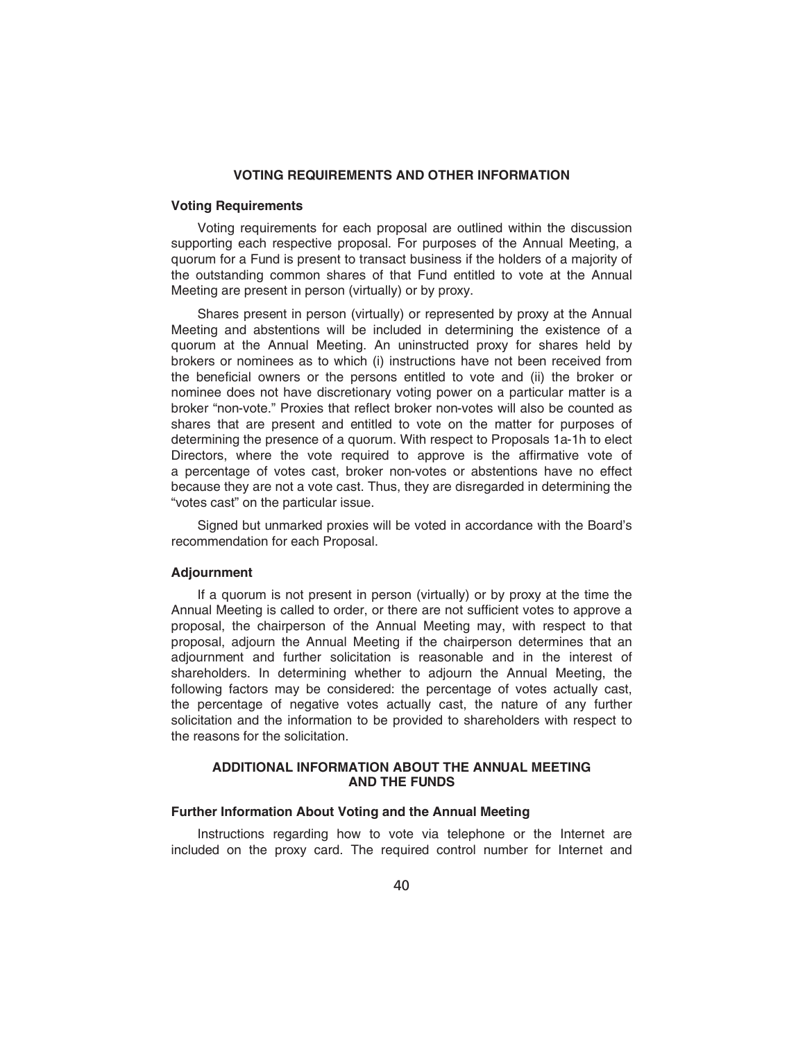### **VOTING REQUIREMENTS AND OTHER INFORMATION**

### **Voting Requirements**

Voting requirements for each proposal are outlined within the discussion supporting each respective proposal. For purposes of the Annual Meeting, a quorum for a Fund is present to transact business if the holders of a majority of the outstanding common shares of that Fund entitled to vote at the Annual Meeting are present in person (virtually) or by proxy.

Shares present in person (virtually) or represented by proxy at the Annual Meeting and abstentions will be included in determining the existence of a quorum at the Annual Meeting. An uninstructed proxy for shares held by brokers or nominees as to which (i) instructions have not been received from the beneficial owners or the persons entitled to vote and (ii) the broker or nominee does not have discretionary voting power on a particular matter is a broker "non-vote." Proxies that reflect broker non-votes will also be counted as shares that are present and entitled to vote on the matter for purposes of determining the presence of a quorum. With respect to Proposals 1a-1h to elect Directors, where the vote required to approve is the affirmative vote of a percentage of votes cast, broker non-votes or abstentions have no effect because they are not a vote cast. Thus, they are disregarded in determining the "votes cast" on the particular issue.

Signed but unmarked proxies will be voted in accordance with the Board's recommendation for each Proposal.

## **Adjournment**

If a quorum is not present in person (virtually) or by proxy at the time the Annual Meeting is called to order, or there are not sufficient votes to approve a proposal, the chairperson of the Annual Meeting may, with respect to that proposal, adjourn the Annual Meeting if the chairperson determines that an adjournment and further solicitation is reasonable and in the interest of shareholders. In determining whether to adjourn the Annual Meeting, the following factors may be considered: the percentage of votes actually cast, the percentage of negative votes actually cast, the nature of any further solicitation and the information to be provided to shareholders with respect to the reasons for the solicitation.

### **ADDITIONAL INFORMATION ABOUT THE ANNUAL MEETING AND THE FUNDS**

## **Further Information About Voting and the Annual Meeting**

Instructions regarding how to vote via telephone or the Internet are included on the proxy card. The required control number for Internet and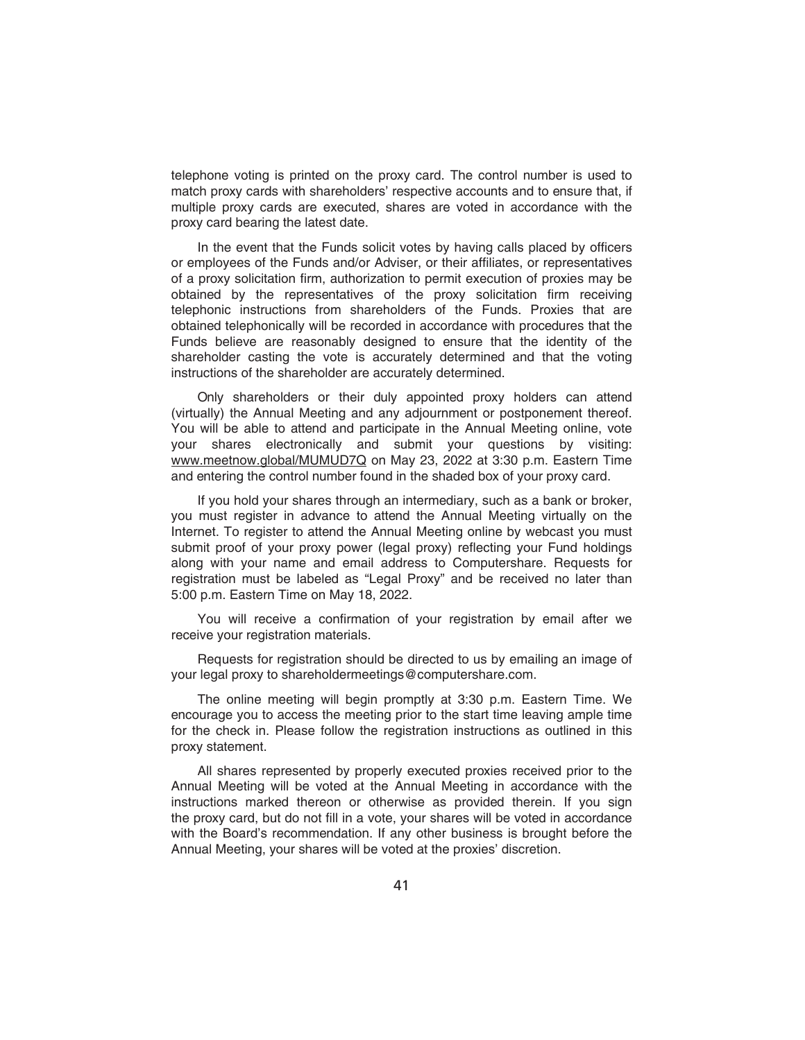telephone voting is printed on the proxy card. The control number is used to match proxy cards with shareholders' respective accounts and to ensure that, if multiple proxy cards are executed, shares are voted in accordance with the proxy card bearing the latest date.

In the event that the Funds solicit votes by having calls placed by officers or employees of the Funds and/or Adviser, or their affiliates, or representatives of a proxy solicitation firm, authorization to permit execution of proxies may be obtained by the representatives of the proxy solicitation firm receiving telephonic instructions from shareholders of the Funds. Proxies that are obtained telephonically will be recorded in accordance with procedures that the Funds believe are reasonably designed to ensure that the identity of the shareholder casting the vote is accurately determined and that the voting instructions of the shareholder are accurately determined.

Only shareholders or their duly appointed proxy holders can attend (virtually) the Annual Meeting and any adjournment or postponement thereof. You will be able to attend and participate in the Annual Meeting online, vote<br>vour shares electronically and submit your questions by visiting: electronically and submit your questions by visiting: www.meetnow.global/MUMUD7Q on May 23, 2022 at 3:30 p.m. Eastern Time and entering the control number found in the shaded box of your proxy card.

If you hold your shares through an intermediary, such as a bank or broker, you must register in advance to attend the Annual Meeting virtually on the Internet. To register to attend the Annual Meeting online by webcast you must submit proof of your proxy power (legal proxy) reflecting your Fund holdings along with your name and email address to Computershare. Requests for registration must be labeled as "Legal Proxy" and be received no later than 5:00 p.m. Eastern Time on May 18, 2022.

You will receive a confirmation of your registration by email after we receive your registration materials.

Requests for registration should be directed to us by emailing an image of your legal proxy to shareholdermeetings@computershare.com.

The online meeting will begin promptly at 3:30 p.m. Eastern Time. We encourage you to access the meeting prior to the start time leaving ample time for the check in. Please follow the registration instructions as outlined in this proxy statement.

All shares represented by properly executed proxies received prior to the Annual Meeting will be voted at the Annual Meeting in accordance with the instructions marked thereon or otherwise as provided therein. If you sign the proxy card, but do not fill in a vote, your shares will be voted in accordance with the Board's recommendation. If any other business is brought before the Annual Meeting, your shares will be voted at the proxies' discretion.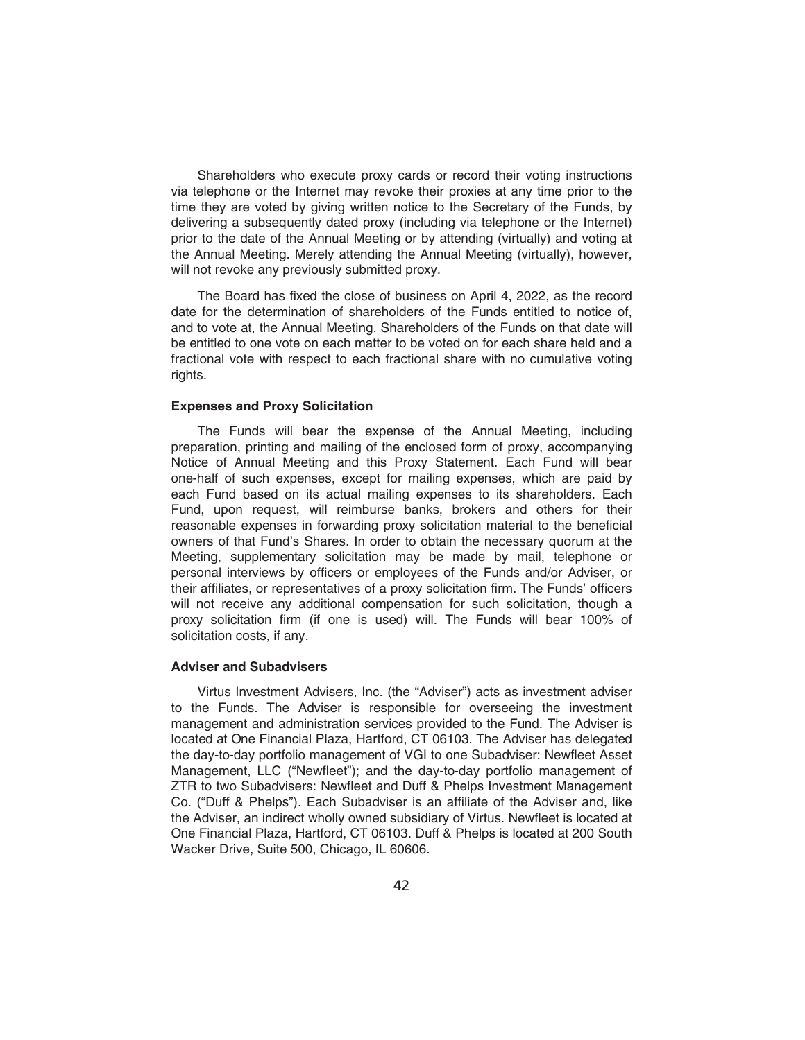Shareholders who execute proxy cards or record their voting instructions via telephone or the Internet may revoke their proxies at any time prior to the time they are voted by giving written notice to the Secretary of the Funds, by delivering a subsequently dated proxy (including via telephone or the Internet) prior to the date of the Annual Meeting or by attending (virtually) and voting at the Annual Meeting. Merely attending the Annual Meeting (virtually), however, will not revoke any previously submitted proxy.

The Board has fixed the close of business on April 4, 2022, as the record date for the determination of shareholders of the Funds entitled to notice of, and to vote at, the Annual Meeting. Shareholders of the Funds on that date will be entitled to one vote on each matter to be voted on for each share held and a fractional vote with respect to each fractional share with no cumulative voting rights.

## **Expenses and Proxy Solicitation**

The Funds will bear the expense of the Annual Meeting, including preparation, printing and mailing of the enclosed form of proxy, accompanying Notice of Annual Meeting and this Proxy Statement. Each Fund will bear one-half of such expenses, except for mailing expenses, which are paid by each Fund based on its actual mailing expenses to its shareholders. Each Fund, upon request, will reimburse banks, brokers and others for their reasonable expenses in forwarding proxy solicitation material to the beneficial owners of that Fund's Shares. In order to obtain the necessary quorum at the Meeting, supplementary solicitation may be made by mail, telephone or personal interviews by officers or employees of the Funds and/or Adviser, or their affiliates, or representatives of a proxy solicitation firm. The Funds' officers will not receive any additional compensation for such solicitation, though a proxy solicitation firm (if one is used) will. The Funds will bear 100% of solicitation costs, if any.

## **Adviser and Subadvisers**

Virtus Investment Advisers, Inc. (the "Adviser") acts as investment adviser to the Funds. The Adviser is responsible for overseeing the investment management and administration services provided to the Fund. The Adviser is located at One Financial Plaza, Hartford, CT 06103. The Adviser has delegated the day-to-day portfolio management of VGI to one Subadviser: Newfleet Asset Management, LLC ("Newfleet"); and the day-to-day portfolio management of ZTR to two Subadvisers: Newfleet and Duff & Phelps Investment Management Co. ("Duff & Phelps"). Each Subadviser is an affiliate of the Adviser and, like the Adviser, an indirect wholly owned subsidiary of Virtus. Newfleet is located at One Financial Plaza, Hartford, CT 06103. Duff & Phelps is located at 200 South Wacker Drive, Suite 500, Chicago, IL 60606.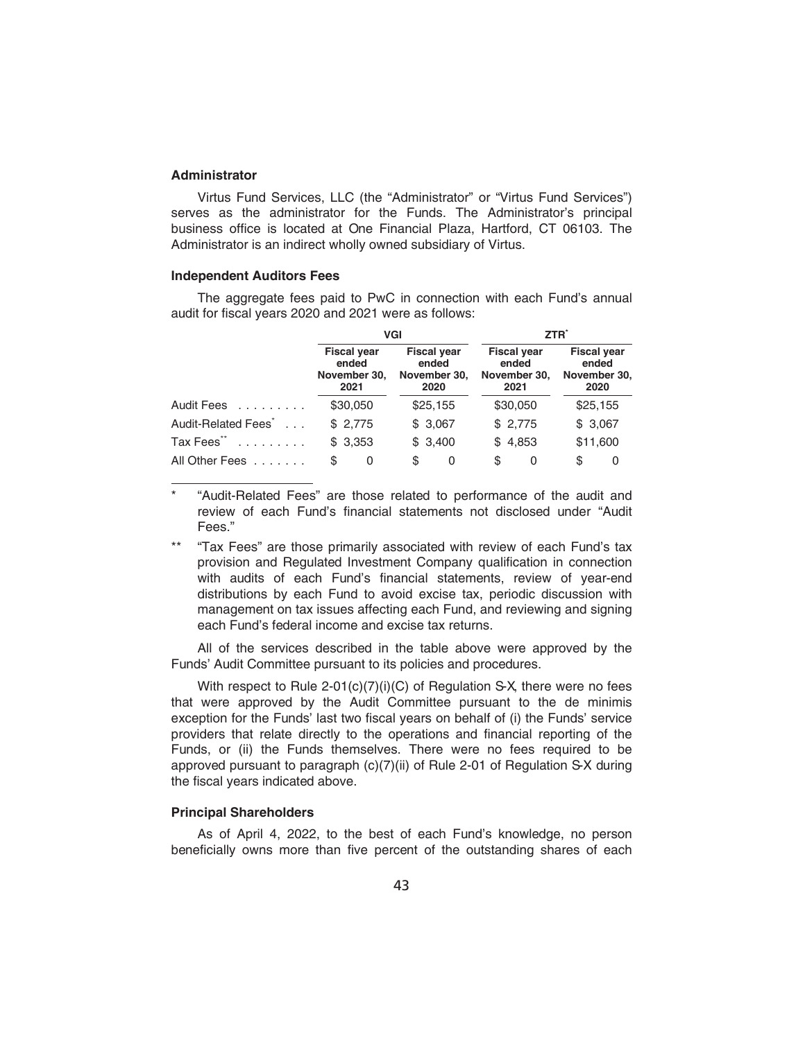## **Administrator**

Virtus Fund Services, LLC (the "Administrator" or "Virtus Fund Services") serves as the administrator for the Funds. The Administrator's principal business office is located at One Financial Plaza, Hartford, CT 06103. The Administrator is an indirect wholly owned subsidiary of Virtus.

### **Independent Auditors Fees**

The aggregate fees paid to PwC in connection with each Fund's annual audit for fiscal years 2020 and 2021 were as follows:

|                                 | VGI                                                 |                                                     | ZTR <sup>*</sup>                                    |                                                     |  |
|---------------------------------|-----------------------------------------------------|-----------------------------------------------------|-----------------------------------------------------|-----------------------------------------------------|--|
|                                 | <b>Fiscal year</b><br>ended<br>November 30,<br>2021 | <b>Fiscal year</b><br>ended<br>November 30,<br>2020 | <b>Fiscal year</b><br>ended<br>November 30,<br>2021 | <b>Fiscal year</b><br>ended<br>November 30,<br>2020 |  |
| Audit Fees                      | \$30,050                                            | \$25,155                                            | \$30,050                                            | \$25,155                                            |  |
| Audit-Related Fees <sup>*</sup> | \$2,775                                             | \$3,067                                             | \$2,775                                             | \$3,067                                             |  |
| Tax Fees <sup>**</sup>          | \$3,353                                             | \$3,400                                             | \$4,853                                             | \$11,600                                            |  |
| All Other Fees                  | \$<br>0                                             | \$<br>0                                             | \$<br>0                                             | \$<br>0                                             |  |

\* "Audit-Related Fees" are those related to performance of the audit and review of each Fund's financial statements not disclosed under "Audit Fees."

\*\* "Tax Fees" are those primarily associated with review of each Fund's tax provision and Regulated Investment Company qualification in connection with audits of each Fund's financial statements, review of year-end distributions by each Fund to avoid excise tax, periodic discussion with management on tax issues affecting each Fund, and reviewing and signing each Fund's federal income and excise tax returns.

All of the services described in the table above were approved by the Funds' Audit Committee pursuant to its policies and procedures.

With respect to Rule 2-01(c)(7)(i)(C) of Regulation S-X, there were no fees that were approved by the Audit Committee pursuant to the de minimis exception for the Funds' last two fiscal years on behalf of (i) the Funds' service providers that relate directly to the operations and financial reporting of the Funds, or (ii) the Funds themselves. There were no fees required to be approved pursuant to paragraph (c)(7)(ii) of Rule 2-01 of Regulation S-X during the fiscal years indicated above.

## **Principal Shareholders**

As of April 4, 2022, to the best of each Fund's knowledge, no person beneficially owns more than five percent of the outstanding shares of each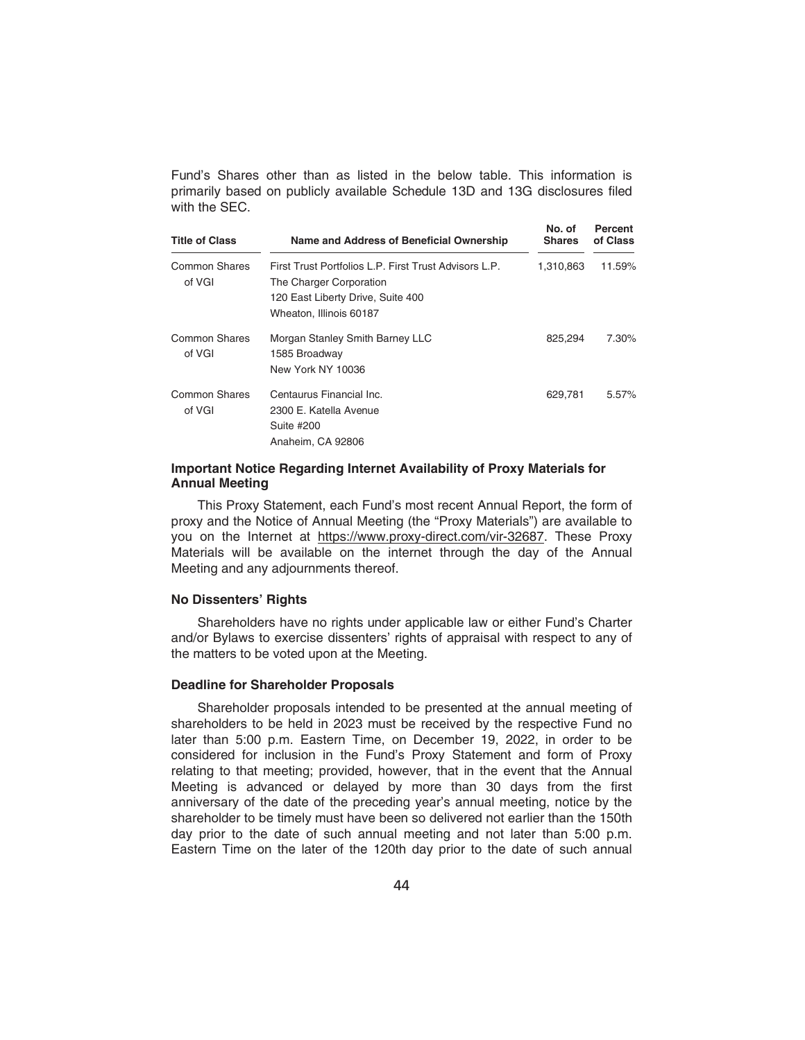Fund's Shares other than as listed in the below table. This information is primarily based on publicly available Schedule 13D and 13G disclosures filed with the SEC.

| <b>Title of Class</b>   | Name and Address of Beneficial Ownership                                                                                                         | No. of<br><b>Shares</b> | Percent<br>of Class |
|-------------------------|--------------------------------------------------------------------------------------------------------------------------------------------------|-------------------------|---------------------|
| Common Shares<br>of VGI | First Trust Portfolios L.P. First Trust Advisors L.P.<br>The Charger Corporation<br>120 East Liberty Drive, Suite 400<br>Wheaton, Illinois 60187 | 1,310,863               | 11.59%              |
| Common Shares<br>of VGI | Morgan Stanley Smith Barney LLC<br>1585 Broadway<br>New York NY 10036                                                                            | 825,294                 | 7.30%               |
| Common Shares<br>of VGI | Centaurus Financial Inc.<br>2300 E. Katella Avenue<br>Suite #200<br>Anaheim, CA 92806                                                            | 629.781                 | 5.57%               |

### **Important Notice Regarding Internet Availability of Proxy Materials for Annual Meeting**

This Proxy Statement, each Fund's most recent Annual Report, the form of proxy and the Notice of Annual Meeting (the "Proxy Materials") are available to you on the Internet at https://www.proxy-direct.com/vir-32687. These Proxy Materials will be available on the internet through the day of the Annual Meeting and any adjournments thereof.

### **No Dissenters' Rights**

Shareholders have no rights under applicable law or either Fund's Charter and/or Bylaws to exercise dissenters' rights of appraisal with respect to any of the matters to be voted upon at the Meeting.

### **Deadline for Shareholder Proposals**

Shareholder proposals intended to be presented at the annual meeting of shareholders to be held in 2023 must be received by the respective Fund no later than 5:00 p.m. Eastern Time, on December 19, 2022, in order to be considered for inclusion in the Fund's Proxy Statement and form of Proxy relating to that meeting; provided, however, that in the event that the Annual Meeting is advanced or delayed by more than 30 days from the first anniversary of the date of the preceding year's annual meeting, notice by the shareholder to be timely must have been so delivered not earlier than the 150th day prior to the date of such annual meeting and not later than 5:00 p.m. Eastern Time on the later of the 120th day prior to the date of such annual